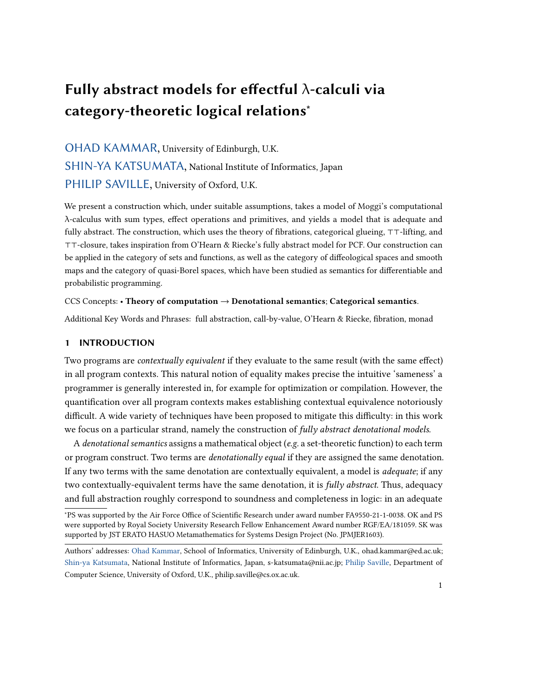# Fully abstract models for effectful  $\lambda$ -calculi via category-theoretic logical relations<sup>∗</sup>

# [OHAD KAMMAR,](HTTPS://ORCID.ORG/0000-0002-2071-0929) University of Edinburgh, U.K. [SHIN-YA KATSUMATA,](HTTPS://ORCID.ORG/0000-0001-7529-5489) National Institute of Informatics, Japan [PHILIP SAVILLE,](HTTPS://ORCID.ORG/0000-0002-8320-0280) University of Oxford, U.K.

We present a construction which, under suitable assumptions, takes a model of Moggi's computational λ-calculus with sum types, effect operations and primitives, and yields a model that is adequate and fully abstract. The construction, which uses the theory of fibrations, categorical glueing, ⊤⊤-lifting, and ⊤⊤-closure, takes inspiration from O'Hearn & Riecke's fully abstract model for PCF. Our construction can be applied in the category of sets and functions, as well as the category of diffeological spaces and smooth maps and the category of quasi-Borel spaces, which have been studied as semantics for differentiable and probabilistic programming.

# CCS Concepts: • Theory of computation  $\rightarrow$  Denotational semantics; Categorical semantics.

Additional Key Words and Phrases: full abstraction, call-by-value, O'Hearn & Riecke, fibration, monad

# 1 INTRODUCTION

Two programs are contextually equivalent if they evaluate to the same result (with the same effect) in all program contexts. This natural notion of equality makes precise the intuitive 'sameness' a programmer is generally interested in, for example for optimization or compilation. However, the quantification over all program contexts makes establishing contextual equivalence notoriously difficult. A wide variety of techniques have been proposed to mitigate this difficulty: in this work we focus on a particular strand, namely the construction of fully abstract denotational models.

A denotational semantics assigns a mathematical object (e.g. a set-theoretic function) to each term or program construct. Two terms are *denotationally equal* if they are assigned the same denotation. If any two terms with the same denotation are contextually equivalent, a model is *adequate*; if any two contextually-equivalent terms have the same denotation, it is *fully abstract*. Thus, adequacy and full abstraction roughly correspond to soundness and completeness in logic: in an adequate

<sup>∗</sup>PS was supported by the Air Force Office of Scientific Research under award number FA9550-21-1-0038. OK and PS were supported by Royal Society University Research Fellow Enhancement Award number RGF/EA/181059. SK was supported by JST ERATO HASUO Metamathematics for Systems Design Project (No. JPMJER1603).

Authors' addresses: [Ohad Kammar,](https://orcid.org/0000-0002-2071-0929) School of Informatics, University of Edinburgh, U.K., ohad.kammar@ed.ac.uk; [Shin-ya Katsumata,](https://orcid.org/0000-0001-7529-5489) National Institute of Informatics, Japan, s-katsumata@nii.ac.jp; [Philip Saville,](https://orcid.org/0000-0002-8320-0280) Department of Computer Science, University of Oxford, U.K., philip.saville@cs.ox.ac.uk.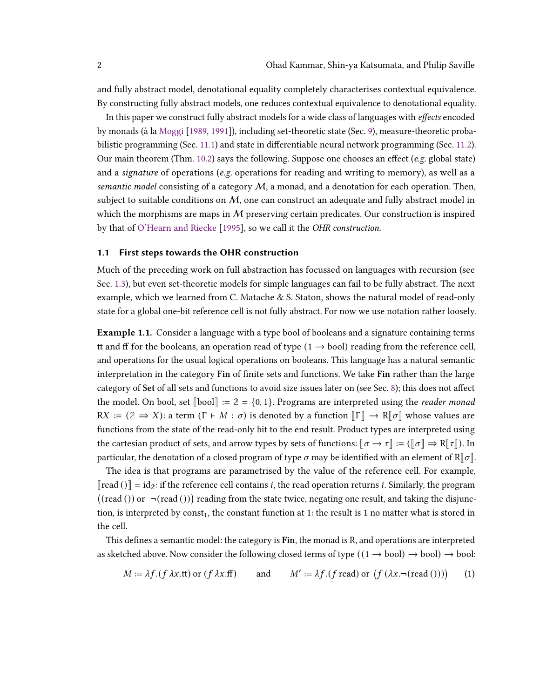and fully abstract model, denotational equality completely characterises contextual equivalence. By constructing fully abstract models, one reduces contextual equivalence to denotational equality.

In this paper we construct fully abstract models for a wide class of languages with *effects* encoded by monads (à la [Moggi](#page-35-0) [\[1989,](#page-35-0) [1991\]](#page-35-1)), including set-theoretic state (Sec. [9\)](#page-27-0), measure-theoretic probabilistic programming (Sec. [11.1\)](#page-31-0) and state in differentiable neural network programming (Sec. [11.2\)](#page-32-0). Our main theorem (Thm.  $10.2$ ) says the following. Suppose one chooses an effect (e.g. global state) and a *signature* of operations (*e.g.* operations for reading and writing to memory), as well as a semantic model consisting of a category  $M$ , a monad, and a denotation for each operation. Then, subject to suitable conditions on  $M$ , one can construct an adequate and fully abstract model in which the morphisms are maps in  $M$  preserving certain predicates. Our construction is inspired by that of [O'Hearn and Riecke](#page-35-2) [\[1995\]](#page-35-2), so we call it the OHR construction.

# 1.1 First steps towards the OHR construction

Much of the preceding work on full abstraction has focussed on languages with recursion (see Sec. [1.3\)](#page-7-0), but even set-theoretic models for simple languages can fail to be fully abstract. The next example, which we learned from C. Matache & S. Staton, shows the natural model of read-only state for a global one-bit reference cell is not fully abstract. For now we use notation rather loosely.

<span id="page-1-0"></span>**Example 1.1.** Consider a language with a type bool of booleans and a signature containing terms tt and ff for the booleans, an operation read of type  $(1 \rightarrow bool)$  reading from the reference cell, and operations for the usual logical operations on booleans. This language has a natural semantic interpretation in the category Fin of finite sets and functions. We take Fin rather than the large category of Set of all sets and functions to avoid size issues later on (see Sec. [8\)](#page-25-0); this does not affect the model. On bool, set  $\llbracket \text{bool} \rrbracket := 2 = \{0, 1\}$ . Programs are interpreted using the *reader monad* RX :=  $(2 \Rightarrow X)$ : a term  $(\Gamma \vdash M : \sigma)$  is denoted by a function  $\llbracket \Gamma \rrbracket \rightarrow \mathbb{R} \llbracket \sigma \rrbracket$  whose values are functions from the state of the read-only bit to the end result. Product types are interpreted using the cartesian product of sets, and arrow types by sets of functions:  $\llbracket \sigma \to \tau \rrbracket := (\llbracket \sigma \rrbracket \to \mathbb{R} \llbracket \tau \rrbracket)$ . In particular, the denotation of a closed program of type  $\sigma$  may be identified with an element of  $R[\sigma]$ .

The idea is that programs are parametrised by the value of the reference cell. For example,  $\lceil \text{read } (\cdot) \rceil = \text{id}_2$ : if the reference cell contains *i*, the read operation returns *i*. Similarly, the program  $((\text{read }()) \text{ or } \neg(\text{read })))$  reading from the state twice, negating one result, and taking the disjunction, is interpreted by const<sub>1</sub>, the constant function at 1: the result is 1 no matter what is stored in the cell.

This defines a semantic model: the category is Fin, the monad is R, and operations are interpreted as sketched above. Now consider the following closed terms of type  $((1 \rightarrow bool) \rightarrow bool) \rightarrow bool$ :

<span id="page-1-1"></span>
$$
M := \lambda f \cdot (f \lambda x \cdot \text{tt}) \text{ or } (f \lambda x \cdot \text{ff}) \qquad \text{and} \qquad M' := \lambda f \cdot (f \text{ read}) \text{ or } (f (\lambda x \cdot \neg(\text{ read })))) \tag{1}
$$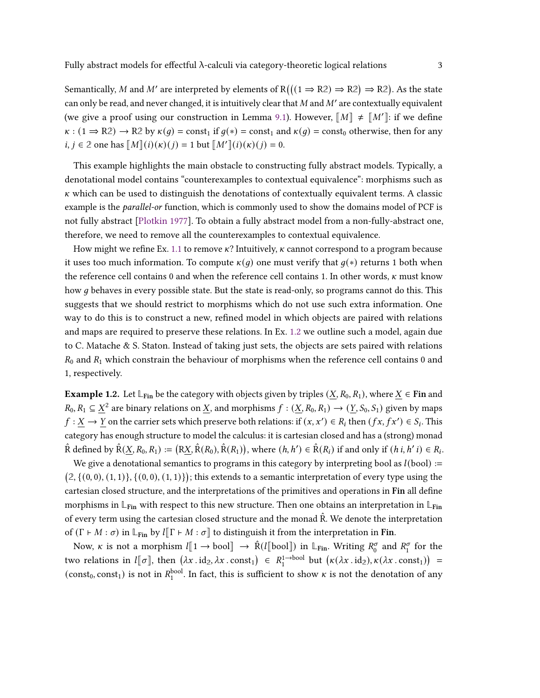Semantically, M and M' are interpreted by elements of  $R(((1 \Rightarrow R2) \Rightarrow R2) \Rightarrow R2)$ . As the state can only be read, and never changed, it is intuitively clear that M and M' are contextually equivalent (we give a proof using our construction in Lemma [9.1\)](#page-29-0). However,  $\llbracket M \rrbracket \neq \llbracket M' \rrbracket$ : if we define  $\kappa$ : (1  $\Rightarrow$  R2)  $\rightarrow$  R2 by  $\kappa(q)$  = const<sub>1</sub> if  $q(*)$  = const<sub>1</sub> and  $\kappa(q)$  = const<sub>0</sub> otherwise, then for any  $i, j \in \mathbb{Z}$  one has  $\llbracket M \rrbracket(i)(\kappa)(j) = 1$  but  $\llbracket M' \rrbracket(i)(\kappa)(j) = 0$ .

This example highlights the main obstacle to constructing fully abstract models. Typically, a denotational model contains "counterexamples to contextual equivalence": morphisms such as  $\kappa$  which can be used to distinguish the denotations of contextually equivalent terms. A classic example is the *parallel-or* function, which is commonly used to show the domains model of PCF is not fully abstract [\[Plotkin](#page-35-3) [1977\]](#page-35-3). To obtain a fully abstract model from a non-fully-abstract one, therefore, we need to remove all the counterexamples to contextual equivalence.

How might we refine Ex. [1.1](#page-1-0) to remove  $\kappa$ ? Intuitively,  $\kappa$  cannot correspond to a program because it uses too much information. To compute  $\kappa(q)$  one must verify that  $q(*)$  returns 1 both when the reference cell contains 0 and when the reference cell contains 1. In other words,  $\kappa$  must know how g behaves in every possible state. But the state is read-only, so programs cannot do this. This suggests that we should restrict to morphisms which do not use such extra information. One way to do this is to construct a new, refined model in which objects are paired with relations and maps are required to preserve these relations. In Ex. [1.2](#page-2-0) we outline such a model, again due to C. Matache & S. Staton. Instead of taking just sets, the objects are sets paired with relations  $R_0$  and  $R_1$  which constrain the behaviour of morphisms when the reference cell contains 0 and 1, respectively.

<span id="page-2-0"></span>**Example 1.2.** Let  $\mathbb{L}_{\text{Fin}}$  be the category with objects given by triples  $(X, R_0, R_1)$ , where  $X \in \text{Fin}$  and  $R_0, R_1 \subseteq X^2$  are binary relations on X, and morphisms  $f : (X, R_0, R_1) \to (Y, S_0, S_1)$  given by maps  $f: X \to Y$  on the carrier sets which preserve both relations: if  $(x, x') \in R_i$  then  $(fx, fx') \in S_i$ . This category has enough structure to model the calculus: it is cartesian closed and has a (strong) monad  $\hat{R}$  defined by  $\hat{R}(X, R_0, R_1) := (R X, \hat{R}(R_0), \hat{R}(R_1)),$  where  $(h, h') \in \hat{R}(R_i)$  if and only if  $(h, h'i) \in R_i$ .

We give a denotational semantics to programs in this category by interpreting bool as  $l(bool) :=$  $(2, \{(0,0), (1, 1)\}, \{(0,0), (1, 1)\})$ ; this extends to a semantic interpretation of every type using the cartesian closed structure, and the interpretations of the primitives and operations in Fin all define morphisms in  $\mathbb{L}_{\text{Fin}}$  with respect to this new structure. Then one obtains an interpretation in  $\mathbb{L}_{\text{Fin}}$ of every term using the cartesian closed structure and the monad  $\hat{R}$ . We denote the interpretation of  $(\Gamma \vdash M : \sigma)$  in  $\mathbb{L}_{\text{Fin}}$  by  $l[\Gamma \vdash M : \sigma]$  to distinguish it from the interpretation in Fin.

Now,  $\kappa$  is not a morphism  $l[\![1 \rightarrow \text{bool}]\!] \rightarrow \hat{R}(l[\![\text{bool}]\!])$  in  $\mathbb{L}_{\text{Fin}}$ . Writing  $R_0^{\sigma}$  and  $R_1^{\sigma}$  for the two relations in  $l[\![\sigma]\!]$ , then  $(\lambda x \cdot id_2, \lambda x \cdot const_1) \in R_1^{1 \to bool}$  but  $(\kappa(\lambda x \cdot id_2), \kappa(\lambda x \cdot const_1)) =$ (const<sub>0</sub>, const<sub>1</sub>) is not in  $R_1^{\text{bool}}$ . In fact, this is sufficient to show  $\kappa$  is not the denotation of any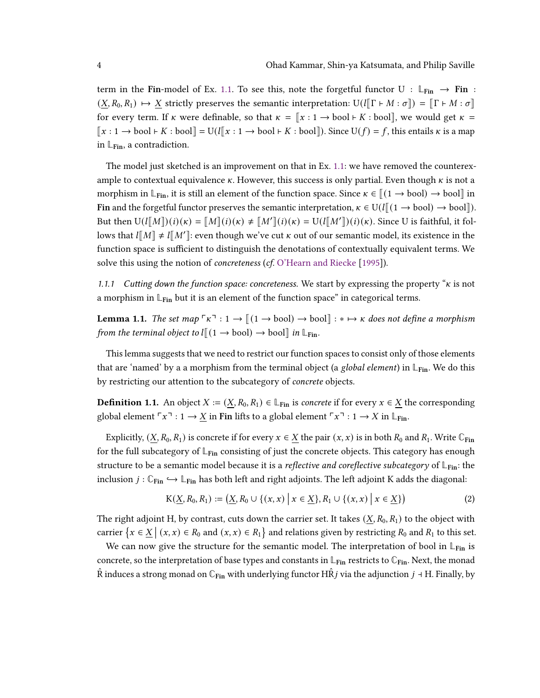term in the Fin-model of Ex. [1.1.](#page-1-0) To see this, note the forgetful functor  $U : \mathbb{L}_{Fin} \to Fin$  $(X, R_0, R_1) \mapsto X$  strictly preserves the semantic interpretation:  $U(I[T \rhd M : \sigma]) = [T \rhd M : \sigma]$ for every term. If k were definable, so that  $\kappa = [x : 1 \rightarrow \text{bool} \vdash K : \text{bool}]$ , we would get  $\kappa =$  $[[x : 1 \rightarrow bool \vdash K : bool]] = U(l[[x : 1 \rightarrow bool \vdash K : bool]])$ . Since  $U(f) = f$ , this entails  $\kappa$  is a map in  $\mathbb{L}_{\text{Fin}}$ , a contradiction.

The model just sketched is an improvement on that in Ex. [1.1:](#page-1-0) we have removed the counterexample to contextual equivalence  $\kappa$ . However, this success is only partial. Even though  $\kappa$  is not a morphism in  $\mathbb{L}_{\text{Fin}}$ , it is still an element of the function space. Since  $\kappa \in [(1 \rightarrow \text{bool}) \rightarrow \text{bool}]$  in Fin and the forgetful functor preserves the semantic interpretation,  $\kappa \in U(l[(1 \rightarrow bool) \rightarrow bool])$ . But then  $U(l[[M]])(i)(\kappa) = [M](i)(\kappa) \neq [M'](i)(\kappa) = U(l[[M']](i)(\kappa)$ . Since U is faithful, it follows that  $l[M] \neq l[M']$ : even though we've cut  $\kappa$  out of our semantic model, its existence in the function space is sufficient to distinguish the denotations of contextually equivalent terms. We solve this using the notion of *concreteness* (*cf.* [O'Hearn and Riecke](#page-35-2) [\[1995\]](#page-35-2)).

<span id="page-3-2"></span>1.1.1 Cutting down the function space: concreteness. We start by expressing the property " $\kappa$  is not a morphism in  $\mathbb{L}_{Fin}$  but it is an element of the function space" in categorical terms.

<span id="page-3-0"></span>**Lemma 1.1.** The set map  $\lceil \kappa \rceil : 1 \to \lceil (1 \to \text{bool}) \rceil \to \text{bool} \rceil : \kappa \to \kappa$  does not define a morphism from the terminal object to  $l\rrbracket(1 \rightarrow \text{bool}) \rightarrow \text{bool}\rrbracket$  in  $\mathbb{L}_{\text{Fin}}$ .

This lemma suggests that we need to restrict our function spaces to consist only of those elements that are 'named' by a a morphism from the terminal object (a *global element*) in  $\mathbb{L}_{\text{Fin}}$ . We do this by restricting our attention to the subcategory of *concrete* objects.

<span id="page-3-1"></span>**Definition 1.1.** An object  $X := (X, R_0, R_1) \in \mathbb{L}_{\text{Fin}}$  is concrete if for every  $x \in X$  the corresponding global element  $\ulcorner x \urcorner : 1 \to \underline{X}$  in Fin lifts to a global element  $\ulcorner x \urcorner : 1 \to X$  in  $\mathbb{L}_{\text{Fin}}$ .

Explicitly,  $(X, R_0, R_1)$  is concrete if for every  $x \in X$  the pair  $(x, x)$  is in both  $R_0$  and  $R_1$ . Write  $\mathbb{C}_{\text{Fin}}$ for the full subcategory of **L**Fin consisting of just the concrete objects. This category has enough structure to be a semantic model because it is a reflective and coreflective subcategory of **L**Fin: the inclusion  $j : \mathbb{C}_{\text{Fin}} \hookrightarrow \mathbb{L}_{\text{Fin}}$  has both left and right adjoints. The left adjoint K adds the diagonal:

<span id="page-3-3"></span>
$$
K(\underline{X}, R_0, R_1) := (\underline{X}, R_0 \cup \{(x, x) \mid x \in \underline{X}\}, R_1 \cup \{(x, x) \mid x \in \underline{X}\})
$$
(2)

The right adjoint H, by contrast, cuts down the carrier set. It takes  $(X, R_0, R_1)$  to the object with carrier  $\{x \in \underline{X} \mid (x, x) \in R_0 \text{ and } (x, x) \in R_1\}$  and relations given by restricting  $R_0$  and  $R_1$  to this set.

We can now give the structure for the semantic model. The interpretation of bool in L<sub>Fin</sub> is concrete, so the interpretation of base types and constants in  $L_{Fin}$  restricts to  $\mathbb{C}_{Fin}$ . Next, the monad  $\hat{R}$  induces a strong monad on  $\mathbb{C}_{\text{Fin}}$  with underlying functor H $\hat{R}$  *j* via the adjunction  $j$  + H. Finally, by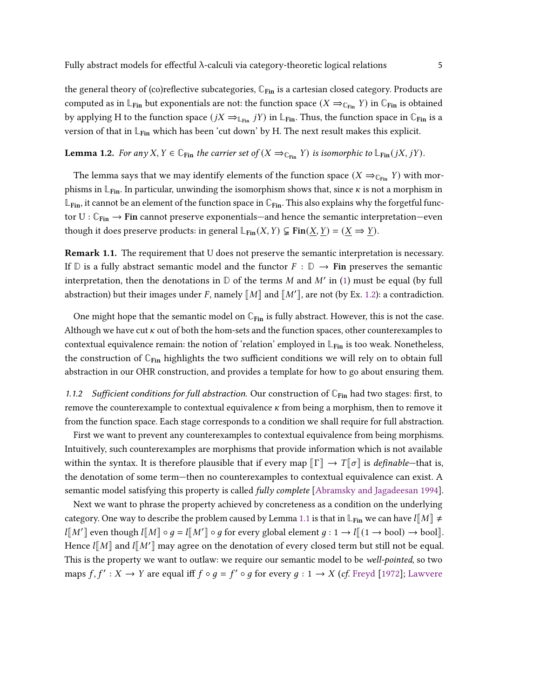the general theory of (co)reflective subcategories, **C**Fin is a cartesian closed category. Products are computed as in  $\mathbb{L}_{\text{Fin}}$  but exponentials are not: the function space  $(X \Rightarrow_{\mathbb{C}_{\text{Fin}}} Y)$  in  $\mathbb{C}_{\text{Fin}}$  is obtained by applying H to the function space  $(jX \rightleftharpoons_{\mathbb{L}_{\text{Fin}}} jY)$  in  $\mathbb{L}_{\text{Fin}}$ . Thus, the function space in  $\mathbb{C}_{\text{Fin}}$  is a version of that in  $\mathbb{L}_{\text{Fin}}$  which has been 'cut down' by H. The next result makes this explicit.

# **Lemma 1.2.** For any X,  $Y \in \mathbb{C}_{\text{Fin}}$  the carrier set of  $(X \Rightarrow_{\mathbb{C}_{\text{Fin}}} Y)$  is isomorphic to  $\mathbb{L}_{\text{Fin}}(jX, jY)$ .

The lemma says that we may identify elements of the function space  $(X \Rightarrow_{\mathbb{C}_{\text{Fin}}} Y)$  with morphisms in  $\mathbb{L}_{\text{Fin}}$ . In particular, unwinding the isomorphism shows that, since  $\kappa$  is not a morphism in  $\mathbb{L}_{\text{Fin}}$ , it cannot be an element of the function space in  $\mathbb{C}_{\text{Fin}}$ . This also explains why the forgetful functor  $U: \mathbb{C}_{\text{Fin}} \to \text{Fin}$  cannot preserve exponentials—and hence the semantic interpretation—even though it does preserve products: in general  $\mathbb{L}_{\text{Fin}}(X, Y) \subsetneq \text{Fin}(\underline{X}, \underline{Y}) = (\underline{X} \Rightarrow \underline{Y}).$ 

<span id="page-4-0"></span>**Remark 1.1.** The requirement that U does not preserve the semantic interpretation is necessary. If  $\mathbb D$  is a fully abstract semantic model and the functor  $F : \mathbb D \to \mathbf{Fin}$  preserves the semantic interpretation, then the denotations in  $D$  of the terms M and M' in [\(1\)](#page-1-1) must be equal (by full abstraction) but their images under F, namely  $\llbracket M \rrbracket$  and  $\llbracket M' \rrbracket$ , are not (by Ex. [1.2\)](#page-2-0): a contradiction.

One might hope that the semantic model on  $\mathbb{C}_{\text{Fin}}$  is fully abstract. However, this is not the case. Although we have cut  $\kappa$  out of both the hom-sets and the function spaces, other counterexamples to contextual equivalence remain: the notion of 'relation' employed in **L**Fin is too weak. Nonetheless, the construction of **C**Fin highlights the two sufficient conditions we will rely on to obtain full abstraction in our OHR construction, and provides a template for how to go about ensuring them.

<span id="page-4-1"></span>1.1.2 Sufficient conditions for full abstraction. Our construction of  $\mathbb{C}_{\text{Fin}}$  had two stages: first, to remove the counterexample to contextual equivalence  $\kappa$  from being a morphism, then to remove it from the function space. Each stage corresponds to a condition we shall require for full abstraction.

First we want to prevent any counterexamples to contextual equivalence from being morphisms. Intuitively, such counterexamples are morphisms that provide information which is not available within the syntax. It is therefore plausible that if every map  $\llbracket \Gamma \rrbracket \to T \llbracket \sigma \rrbracket$  is *definable*—that is, the denotation of some term—then no counterexamples to contextual equivalence can exist. A semantic model satisfying this property is called *fully complete* [\[Abramsky and Jagadeesan](#page-33-0) [1994\]](#page-33-0).

Next we want to phrase the property achieved by concreteness as a condition on the underlying category. One way to describe the problem caused by Lemma [1.1](#page-3-0) is that in  $\mathbb{L}_{\text{Fin}}$  we can have  $l[M] \neq$  $l[[M']\text{ even though }l[[M]\circ g=l[[M']\circ g \text{ for every global element } g:1\to l[[(1\to \text{bool})\to \text{bool}]]$ . Hence  $l[[M]]$  and  $l[[M']]$  may agree on the denotation of every closed term but still not be equal. This is the property we want to outlaw: we require our semantic model to be well-pointed, so two maps  $f, f' : X \to Y$  are equal iff  $f \circ g = f' \circ g$  for every  $g : 1 \to X$  (cf. [Freyd](#page-34-0) [\[1972\]](#page-34-0); [Lawvere](#page-35-4)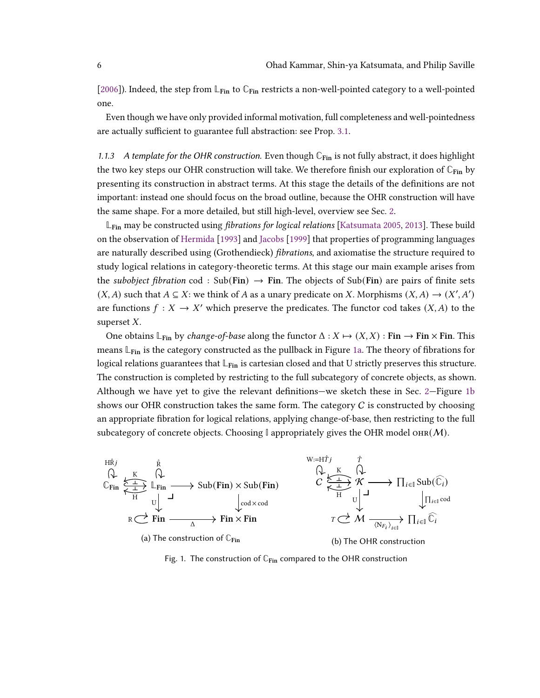[\[2006\]](#page-35-4)). Indeed, the step from **L**Fin to **C**Fin restricts a non-well-pointed category to a well-pointed one.

Even though we have only provided informal motivation, full completeness and well-pointedness are actually sufficient to guarantee full abstraction: see Prop. [3.1.](#page-16-0)

<span id="page-5-1"></span>1.1.3 A template for the OHR construction. Even though **C**Fin is not fully abstract, it does highlight the two key steps our OHR construction will take. We therefore finish our exploration of  $\mathbb{C}_{\text{Fin}}$  by presenting its construction in abstract terms. At this stage the details of the definitions are not important: instead one should focus on the broad outline, because the OHR construction will have the same shape. For a more detailed, but still high-level, overview see Sec. [2.](#page-8-0)

**L<sub>Fin</sub> may be constructed using** *fibrations for logical relations* [\[Katsumata](#page-34-1) [2005,](#page-34-1) [2013\]](#page-35-5). These build on the observation of [Hermida](#page-34-2) [\[1993\]](#page-34-2) and [Jacobs](#page-34-3) [\[1999\]](#page-34-3) that properties of programming languages are naturally described using (Grothendieck) *fibrations*, and axiomatise the structure required to study logical relations in category-theoretic terms. At this stage our main example arises from the *subobject fibration* cod : Sub(Fin)  $\rightarrow$  Fin. The objects of Sub(Fin) are pairs of finite sets  $(X, A)$  such that  $A \subseteq X$ : we think of A as a unary predicate on X. Morphisms  $(X, A) \rightarrow (X', A')$ are functions  $f : X \to X'$  which preserve the predicates. The functor cod takes  $(X, A)$  to the superset  $X$ .

One obtains  $\mathbb{L}_{\text{Fin}}$  by *change-of-base* along the functor  $\Delta : X \mapsto (X, X) : \text{Fin} \to \text{Fin} \times \text{Fin}$ . This means **L**Fin is the category constructed as the pullback in Figure [1a.](#page-5-0) The theory of fibrations for logical relations guarantees that **L**Fin is cartesian closed and that U strictly preserves this structure. The construction is completed by restricting to the full subcategory of concrete objects, as shown. Although we have yet to give the relevant definitions—we sketch these in Sec. [2—](#page-8-0)Figure [1b](#page-5-0) shows our OHR construction takes the same form. The category  $C$  is constructed by choosing an appropriate fibration for logical relations, applying change-of-base, then restricting to the full subcategory of concrete objects. Choosing  $\mathbb{I}$  appropriately gives the OHR model  $\text{OHR}(M)$ .

<span id="page-5-0"></span>

Fig. 1. The construction of  $\mathbb{C}_{\text{Fin}}$  compared to the OHR construction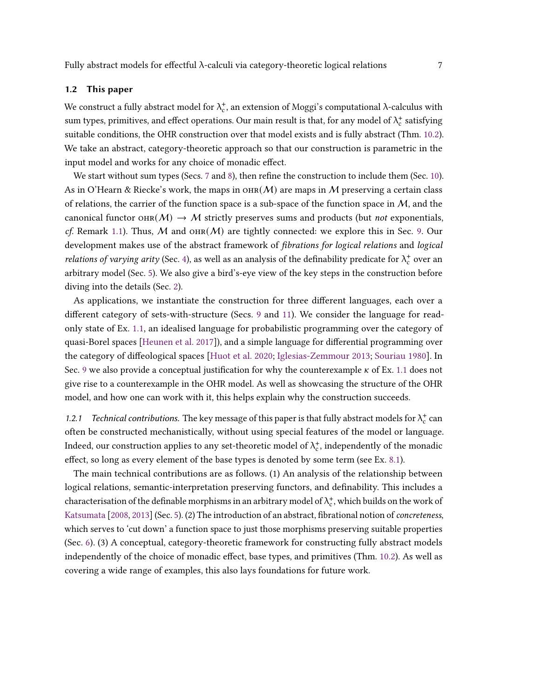## 1.2 This paper

We construct a fully abstract model for  $\lambda_c^*$ , an extension of Moggi's computational  $\lambda$ -calculus with sum types, primitives, and effect operations. Our main result is that, for any model of  $\lambda_c^+$  satisfying suitable conditions, the OHR construction over that model exists and is fully abstract (Thm. [10.2\)](#page-30-0). We take an abstract, category-theoretic approach so that our construction is parametric in the input model and works for any choice of monadic effect.

We start without sum types (Secs. [7](#page-23-0) and [8\)](#page-25-0), then refine the construction to include them (Sec. [10\)](#page-29-1). As in O'Hearn & Riecke's work, the maps in  $\text{OHR}(\mathcal{M})$  are maps in M preserving a certain class of relations, the carrier of the function space is a sub-space of the function space in  $M$ , and the canonical functor  $\text{OHR}(M) \rightarrow M$  strictly preserves sums and products (but *not* exponentials, cf. Remark [1.1\)](#page-4-0). Thus, M and  $\text{OH}(M)$  are tightly connected: we explore this in Sec. [9.](#page-27-0) Our development makes use of the abstract framework of *fibrations for logical relations* and *logical relations of varying arity* (Sec. [4\)](#page-16-1), as well as an analysis of the definability predicate for  $\lambda_c^+$  over an arbitrary model (Sec. [5\)](#page-18-0). We also give a bird's-eye view of the key steps in the construction before diving into the details (Sec. [2\)](#page-8-0).

As applications, we instantiate the construction for three different languages, each over a different category of sets-with-structure (Secs. [9](#page-27-0) and [11\)](#page-31-1). We consider the language for readonly state of Ex. [1.1,](#page-1-0) an idealised language for probabilistic programming over the category of quasi-Borel spaces [\[Heunen et al.](#page-34-4) [2017\]](#page-34-4)), and a simple language for differential programming over the category of diffeological spaces [\[Huot et al.](#page-34-5) [2020;](#page-34-5) [Iglesias-Zemmour](#page-34-6) [2013;](#page-34-6) [Souriau](#page-36-0) [1980\]](#page-36-0). In Sec. [9](#page-27-0) we also provide a conceptual justification for why the counterexample  $\kappa$  of Ex. [1.1](#page-1-0) does not give rise to a counterexample in the OHR model. As well as showcasing the structure of the OHR model, and how one can work with it, this helps explain why the construction succeeds.

1.2.1 Technical contributions. The key message of this paper is that fully abstract models for  $\lambda_c^+$  can often be constructed mechanistically, without using special features of the model or language. Indeed, our construction applies to any set-theoretic model of  $\lambda_c^+$ , independently of the monadic effect, so long as every element of the base types is denoted by some term (see Ex. [8.1\)](#page-27-1).

The main technical contributions are as follows. (1) An analysis of the relationship between logical relations, semantic-interpretation preserving functors, and definability. This includes a characterisation of the definable morphisms in an arbitrary model of  $\lambda_c^*$ , which builds on the work of [Katsumata](#page-35-6) [\[2008,](#page-35-6) [2013\]](#page-35-5) (Sec. [5\)](#page-18-0). (2) The introduction of an abstract, fibrational notion of *concreteness*, which serves to 'cut down' a function space to just those morphisms preserving suitable properties (Sec. [6\)](#page-20-0). (3) A conceptual, category-theoretic framework for constructing fully abstract models independently of the choice of monadic effect, base types, and primitives (Thm. [10.2\)](#page-30-0). As well as covering a wide range of examples, this also lays foundations for future work.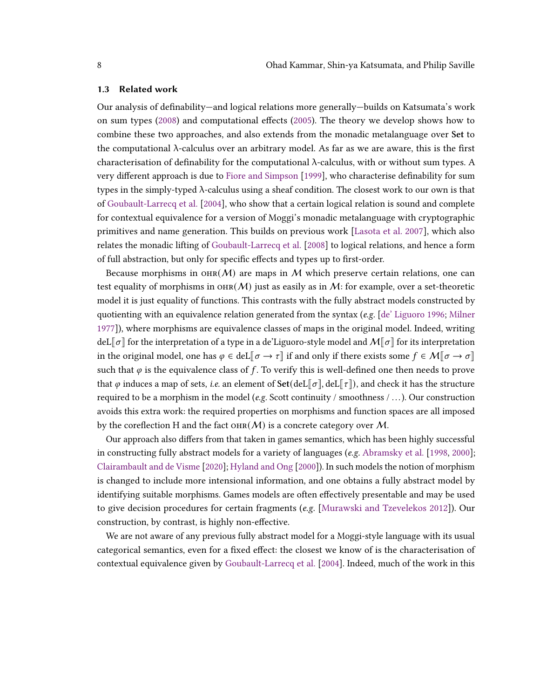## <span id="page-7-0"></span>1.3 Related work

Our analysis of definability—and logical relations more generally—builds on Katsumata's work on sum types [\(2008\)](#page-35-6) and computational effects [\(2005\)](#page-34-1). The theory we develop shows how to combine these two approaches, and also extends from the monadic metalanguage over Set to the computational  $\lambda$ -calculus over an arbitrary model. As far as we are aware, this is the first characterisation of definability for the computational λ-calculus, with or without sum types. A very different approach is due to [Fiore and Simpson](#page-34-7) [\[1999\]](#page-34-7), who characterise definability for sum types in the simply-typed  $\lambda$ -calculus using a sheaf condition. The closest work to our own is that of [Goubault-Larrecq et al.](#page-34-8) [\[2004\]](#page-34-8), who show that a certain logical relation is sound and complete for contextual equivalence for a version of Moggi's monadic metalanguage with cryptographic primitives and name generation. This builds on previous work [\[Lasota et al.](#page-35-7) [2007\]](#page-35-7), which also relates the monadic lifting of [Goubault-Larrecq et al.](#page-34-9) [\[2008\]](#page-34-9) to logical relations, and hence a form of full abstraction, but only for specific effects and types up to first-order.

Because morphisms in OHR( $M$ ) are maps in M which preserve certain relations, one can test equality of morphisms in  $\text{OHR}(M)$  just as easily as in M: for example, over a set-theoretic model it is just equality of functions. This contrasts with the fully abstract models constructed by quotienting with an equivalence relation generated from the syntax (e.g.  $\lceil de \rceil$  Liguoro [1996;](#page-33-1) [Milner](#page-35-8) [1977\]](#page-35-8)), where morphisms are equivalence classes of maps in the original model. Indeed, writing deL $\llbracket \sigma \rrbracket$  for the interpretation of a type in a de'Liguoro-style model and  $M\llbracket \sigma \rrbracket$  for its interpretation in the original model, one has  $\varphi \in \text{del}[\sigma \to \tau]$  if and only if there exists some  $f \in \mathcal{M}[\sigma \to \sigma]$ such that  $\varphi$  is the equivalence class of f. To verify this is well-defined one then needs to prove that  $\varphi$  induces a map of sets, *i.e.* an element of **Set**(deL $\llbracket \sigma \rrbracket$ , deL $\llbracket \tau \rrbracket$ ), and check it has the structure required to be a morphism in the model (e.g. Scott continuity / smoothness  $/ \dots$ ). Our construction avoids this extra work: the required properties on morphisms and function spaces are all imposed by the coreflection H and the fact  $\text{OHR}(M)$  is a concrete category over M.

Our approach also differs from that taken in games semantics, which has been highly successful in constructing fully abstract models for a variety of languages (e.g. [Abramsky et al.](#page-33-2) [\[1998,](#page-33-2) [2000\]](#page-33-3); [Clairambault and de Visme](#page-33-4) [\[2020\]](#page-33-4); [Hyland and Ong](#page-34-10) [\[2000\]](#page-34-10)). In such models the notion of morphism is changed to include more intensional information, and one obtains a fully abstract model by identifying suitable morphisms. Games models are often effectively presentable and may be used to give decision procedures for certain fragments (e.g. [\[Murawski and Tzevelekos](#page-35-9) [2012\]](#page-35-9)). Our construction, by contrast, is highly non-effective.

We are not aware of any previous fully abstract model for a Moggi-style language with its usual categorical semantics, even for a fixed effect: the closest we know of is the characterisation of contextual equivalence given by [Goubault-Larrecq et al.](#page-34-8) [\[2004\]](#page-34-8). Indeed, much of the work in this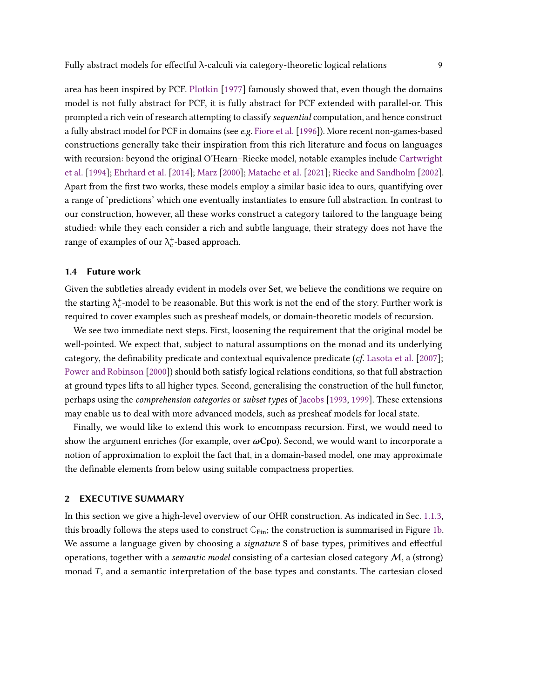area has been inspired by PCF. [Plotkin](#page-35-3) [\[1977\]](#page-35-3) famously showed that, even though the domains model is not fully abstract for PCF, it is fully abstract for PCF extended with parallel-or. This prompted a rich vein of research attempting to classify *sequential* computation, and hence construct a fully abstract model for PCF in domains (see e.g. [Fiore et al.](#page-33-5) [\[1996\]](#page-33-5)). More recent non-games-based constructions generally take their inspiration from this rich literature and focus on languages with recursion: beyond the original O'Hearn–Riecke model, notable examples include [Cartwright](#page-33-6) [et al.](#page-33-6) [\[1994\]](#page-33-6); [Ehrhard et al.](#page-33-7) [\[2014\]](#page-33-7); [Marz](#page-35-10) [\[2000\]](#page-35-10); [Matache et al.](#page-35-11) [\[2021\]](#page-35-11); [Riecke and Sandholm](#page-36-1) [\[2002\]](#page-36-1). Apart from the first two works, these models employ a similar basic idea to ours, quantifying over a range of 'predictions' which one eventually instantiates to ensure full abstraction. In contrast to our construction, however, all these works construct a category tailored to the language being studied: while they each consider a rich and subtle language, their strategy does not have the range of examples of our  $\lambda_c^*$ -based approach.

# <span id="page-8-1"></span>1.4 Future work

Given the subtleties already evident in models over Set, we believe the conditions we require on the starting  $\lambda_c^*$ -model to be reasonable. But this work is not the end of the story. Further work is required to cover examples such as presheaf models, or domain-theoretic models of recursion.

We see two immediate next steps. First, loosening the requirement that the original model be well-pointed. We expect that, subject to natural assumptions on the monad and its underlying category, the definability predicate and contextual equivalence predicate  $(cf.$  [Lasota et al.](#page-35-7)  $[2007]$ ; [Power and Robinson](#page-36-2) [\[2000\]](#page-36-2)) should both satisfy logical relations conditions, so that full abstraction at ground types lifts to all higher types. Second, generalising the construction of the hull functor, perhaps using the comprehension categories or subset types of [Jacobs](#page-34-11) [\[1993,](#page-34-11) [1999\]](#page-34-3). These extensions may enable us to deal with more advanced models, such as presheaf models for local state.

Finally, we would like to extend this work to encompass recursion. First, we would need to show the argument enriches (for example, over  $\omega$ Cpo). Second, we would want to incorporate a notion of approximation to exploit the fact that, in a domain-based model, one may approximate the definable elements from below using suitable compactness properties.

# <span id="page-8-0"></span>2 EXECUTIVE SUMMARY

In this section we give a high-level overview of our OHR construction. As indicated in Sec. [1.1.3,](#page-5-1) this broadly follows the steps used to construct  $\mathbb{C}_{\text{Fin}}$ ; the construction is summarised in Figure [1b.](#page-5-0) We assume a language given by choosing a *signature* S of base types, primitives and effectful operations, together with a *semantic model* consisting of a cartesian closed category  $M$ , a (strong) monad  $T$ , and a semantic interpretation of the base types and constants. The cartesian closed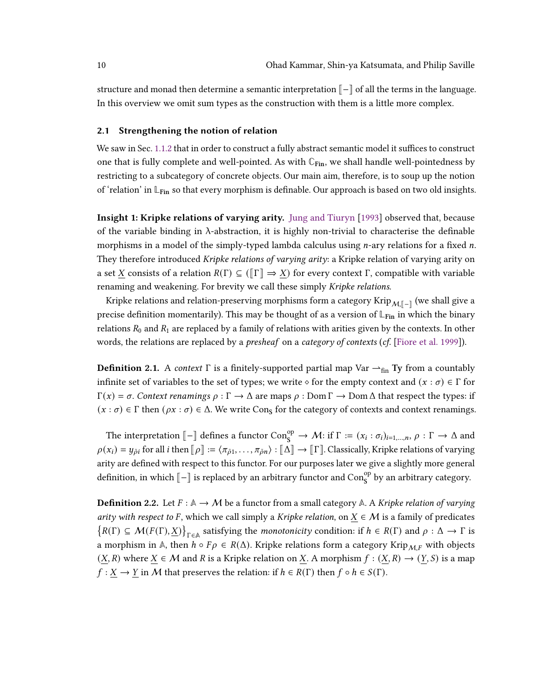structure and monad then determine a semantic interpretation  $\llbracket - \rrbracket$  of all the terms in the language. In this overview we omit sum types as the construction with them is a little more complex.

## <span id="page-9-0"></span>2.1 Strengthening the notion of relation

We saw in Sec. [1.1.2](#page-4-1) that in order to construct a fully abstract semantic model it suffices to construct one that is fully complete and well-pointed. As with **C**Fin, we shall handle well-pointedness by restricting to a subcategory of concrete objects. Our main aim, therefore, is to soup up the notion of 'relation' in **L**Fin so that every morphism is definable. Our approach is based on two old insights.

Insight 1: Kripke relations of varying arity. [Jung and Tiuryn](#page-34-12) [\[1993\]](#page-34-12) observed that, because of the variable binding in λ-abstraction, it is highly non-trivial to characterise the definable morphisms in a model of the simply-typed lambda calculus using  $n$ -ary relations for a fixed  $n$ . They therefore introduced Kripke relations of varying arity: a Kripke relation of varying arity on a set X consists of a relation  $R(\Gamma) \subseteq (\llbracket \Gamma \rrbracket \Rightarrow \underline{X})$  for every context  $\Gamma$ , compatible with variable renaming and weakening. For brevity we call these simply Kripke relations.

Kripke relations and relation-preserving morphisms form a category Krip $_{\mathcal{M},\llbracket - \rrbracket}$  (we shall give a precise definition momentarily). This may be thought of as a version of  $\mathbb{L}_{\text{Fin}}$  in which the binary relations  $R_0$  and  $R_1$  are replaced by a family of relations with arities given by the contexts. In other words, the relations are replaced by a *presheaf* on a *category of contexts (cf.* [\[Fiore et al.](#page-34-13) [1999\]](#page-34-13)).

**Definition 2.1.** A context  $\Gamma$  is a finitely-supported partial map Var  $\rightarrow$ <sub>fin</sub> Ty from a countably infinite set of variables to the set of types; we write  $\diamond$  for the empty context and  $(x : \sigma) \in \Gamma$  for  $\Gamma(x) = \sigma$ . Context renamings  $\rho : \Gamma \to \Delta$  are maps  $\rho : \text{Dom } \Gamma \to \text{Dom } \Delta$  that respect the types: if  $(x : \sigma) \in \Gamma$  then  $(\rho x : \sigma) \in \Delta$ . We write Cons for the category of contexts and context renamings.

The interpretation  $[\![-\!]$  defines a functor Con $_S^{\text{op}} \to \mathcal{M}$ : if  $\Gamma := (x_i : \sigma_i)_{i=1,...,n}, \rho : \Gamma \to \Delta$  and  $\rho(x_i) = y_{\tilde{\rho}i}$  for all *i* then  $[\![\rho]\!] := \langle \pi_{\tilde{\rho}1}, \ldots, \pi_{\tilde{\rho}n} \rangle : [\![\Delta]\!] \to [\![\Gamma]\!]$ . Classically, Kripke relations of varying arity are defined with respect to this functor. For our purposes later we give a slightly more general definition, in which  $\llbracket - \rrbracket$  is replaced by an arbitrary functor and Con<sup>op</sup> by an arbitrary category.

<span id="page-9-1"></span>**Definition 2.2.** Let  $F : \mathbb{A} \to M$  be a functor from a small category  $\mathbb{A}$ . A Kripke relation of varying arity with respect to F, which we call simply a Kripke relation, on  $\underline{X} \in \mathcal{M}$  is a family of predicates  $\{R(\Gamma) \subseteq \mathcal{M}(F(\Gamma), \underline{X})\}_{\Gamma \in \mathbb{A}}$  satisfying the *monotonicity* condition: if  $h \in R(\Gamma)$  and  $\rho : \Delta \to \Gamma$  is a morphism in A, then  $h \circ F\rho \in R(\Delta)$ . Kripke relations form a category Krip<sub>M,F</sub> with objects  $(X, R)$  where  $X \in \mathcal{M}$  and R is a Kripke relation on X. A morphism  $f : (X, R) \to (Y, S)$  is a map  $f: \underline{X} \to \underline{Y}$  in M that preserves the relation: if  $h \in R(\Gamma)$  then  $f \circ h \in S(\Gamma)$ .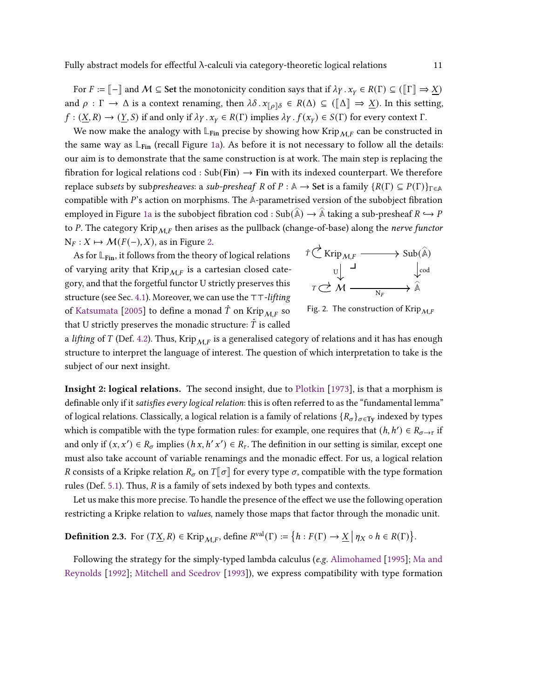For  $F := \llbracket - \rrbracket$  and  $M \subseteq$  Set the monotonicity condition says that if  $\lambda \gamma \cdot x_\gamma \in R(\Gamma) \subseteq (\llbracket \Gamma \rrbracket \Rightarrow X)$ and  $\rho : \Gamma \to \Delta$  is a context renaming, then  $\lambda \delta . x_{\rho} \delta \in R(\Delta) \subseteq (\llbracket \Delta \rrbracket \Rightarrow \underline{X})$ . In this setting,  $f: (\underline{X}, R) \to (\underline{Y}, S)$  if and only if  $\lambda \gamma \cdot x_{\gamma} \in R(\Gamma)$  implies  $\lambda \gamma \cdot f(x_{\gamma}) \in S(\Gamma)$  for every context  $\Gamma$ .

We now make the analogy with  $\mathbb{L}_{\text{Fin}}$  precise by showing how Krip<sub>MF</sub> can be constructed in the same way as **L**Fin (recall Figure [1a\)](#page-5-0). As before it is not necessary to follow all the details: our aim is to demonstrate that the same construction is at work. The main step is replacing the fibration for logical relations cod : Sub(Fin)  $\rightarrow$  Fin with its indexed counterpart. We therefore replace subsets by subpresheaves: a sub-presheaf R of  $P : \mathbb{A} \to$  Set is a family  $\{R(\Gamma) \subseteq P(\Gamma)\}_{\Gamma \in \mathbb{A}}$ compatible with  $P$ 's action on morphisms. The  $A$ -parametrised version of the subobject fibration employed in Figure [1a](#page-5-0) is the subobject fibration cod : Sub $(\widehat{\mathbb{A}}) \to \widehat{\mathbb{A}}$  taking a sub-presheaf  $R \hookrightarrow P$ to P. The category Krip $_{MF}$  then arises as the pullback (change-of-base) along the nerve functor  $N_F : X \mapsto \mathcal{M}(F(-), X)$ , as in Figure [2.](#page-10-0)

As for **L**Fin, it follows from the theory of logical relations of varying arity that Krip $_{M,F}$  is a cartesian closed category, and that the forgetful functor U strictly preserves this structure (see Sec. [4.1\)](#page-16-2). Moreover, we can use the ⊤⊤-lifting of [Katsumata](#page-34-1) [\[2005\]](#page-34-1) to define a monad  $\hat{T}$  on Krip $_{MF}$  so that U strictly preserves the monadic structure:  $\hat{T}$  is called

<span id="page-10-0"></span>

Fig. 2. The construction of Krip $_{MF}$ 

a lifting of T (Def. [4.2\)](#page-17-0). Thus, Krip<sub>MF</sub> is a generalised category of relations and it has has enough structure to interpret the language of interest. The question of which interpretation to take is the subject of our next insight.

Insight 2: logical relations. The second insight, due to [Plotkin](#page-35-12) [\[1973\]](#page-35-12), is that a morphism is definable only if it satisfies every logical relation: this is often referred to as the "fundamental lemma" of logical relations. Classically, a logical relation is a family of relations  $\{R_{\sigma}\}_{{\sigma}\in\Gamma}$  indexed by types which is compatible with the type formation rules: for example, one requires that  $(h, h') \in R_{\sigma \to \tau}$  if and only if  $(x, x') \in R_{\sigma}$  implies  $(hx, h'x') \in R_{\tau}$ . The definition in our setting is similar, except one must also take account of variable renamings and the monadic effect. For us, a logical relation R consists of a Kripke relation  $R_{\sigma}$  on  $T[\sigma]$  for every type  $\sigma$ , compatible with the type formation rules (Def. [5.1\)](#page-18-1). Thus,  $R$  is a family of sets indexed by both types and contexts.

Let us make this more precise. To handle the presence of the effect we use the following operation restricting a Kripke relation to values, namely those maps that factor through the monadic unit.

<span id="page-10-1"></span>**Definition 2.3.** For  $(T\underline{X}, R) \in \text{Krip}_{\mathcal{M}, F}$ , define  $R^{\text{val}}(\Gamma) := \{ h : F(\Gamma) \to \underline{X} \mid \eta_X \circ h \in R(\Gamma) \}.$ 

Following the strategy for the simply-typed lambda calculus (e.g. [Alimohamed](#page-33-8) [\[1995\]](#page-33-8); [Ma and](#page-35-13) [Reynolds](#page-35-13) [\[1992\]](#page-35-13); [Mitchell and Scedrov](#page-35-14) [\[1993\]](#page-35-14)), we express compatibility with type formation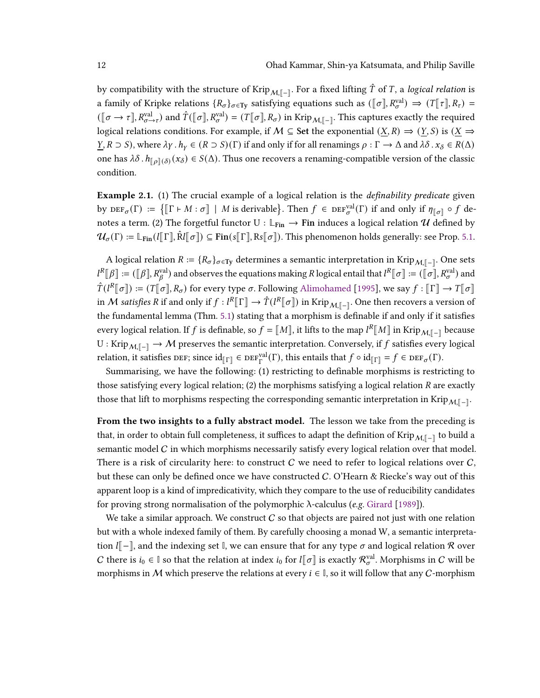by compatibility with the structure of Krip $_{\mathcal{M},\llbracket-\rrbracket}.$  For a fixed lifting  $\hat{T}$  of  $T,$  a *logical relation* is a family of Kripke relations  $\{R_{\sigma}\}_{{\sigma}\in\mathrm{Ty}}$  satisfying equations such as  $(\llbracket {\sigma} \rrbracket, R_{\sigma}^{\mathrm{val}}) \Rightarrow (T\llbracket {\tau} \rrbracket, R_{\tau}) =$  $([\![\sigma \to \tau]\!], R_{\sigma \to \tau}^{\text{val}})$  and  $\hat{T}([\![\sigma]\!], R_{\sigma}^{\text{val}}) = (T[\![\sigma]\!], R_{\sigma})$  in Krip $_{\mathcal{M}, [\![-]\!]}.$  This captures exactly the required logical relations conditions. For example, if  $M \subseteq$  Set the exponential  $(\underline{X}, R) \Rightarrow (\underline{Y}, S)$  is  $(\underline{X} \Rightarrow$  $\underline{Y}, R \supset S$ , where  $\lambda \gamma \cdot h_Y \in (R \supset S)(\Gamma)$  if and only if for all renamings  $\rho : \Gamma \to \Delta$  and  $\lambda \delta \cdot x_\delta \in R(\Delta)$ one has  $\lambda \delta$ .  $h_{\llbracket \rho \rrbracket(\delta)}(x_\delta) \in S(\Delta)$ . Thus one recovers a renaming-compatible version of the classic condition.

<span id="page-11-0"></span>**Example 2.1.** (1) The crucial example of a logical relation is the *definability predicate* given by  $DEF_{\sigma}(\Gamma) := \{ [\![ \Gamma \vdash M : \sigma ]\!] \mid M \text{ is derivable} \}.$  Then  $f \in DEF_{\sigma}^{\text{val}}(\Gamma)$  if and only if  $\eta_{[\![\sigma]\!]} \circ f$  denotes a term. (2) The forgetful functor  $U : \mathbb{L}_{Fin} \to$  Fin induces a logical relation  $\mathcal U$  defined by  $\mathcal{U}_{\sigma}(\Gamma) \coloneqq \mathbb{L}_{\text{Fin}}(l[\![\Gamma]\!], \hat{\text{R}}l[\![\sigma]\!]) \subseteq \text{Fin}(\mathbf{s}[\![\Gamma]\!], \text{Rs}[\![\sigma]\!]).$  This phenomenon holds generally: see Prop. [5.1.](#page-20-1)

A logical relation  $R := \{R_{\sigma}\}_{\sigma \in Ty}$  determines a semantic interpretation in Krip $_{\mathcal{M},[-]}$ . One sets  $l^R[\![\beta]\!]:=([\![\beta]\!],R_{\beta}^{\text{val}})$  and observes the equations making  $R$  logical entail that  $l^R[\![\sigma]\!]:=(\![\sigma]\!],R_{\sigma}^{\text{val}})$  and  $\hat{T}(l^R \llbracket \sigma \rrbracket) := (T \llbracket \sigma \rrbracket, R_{\sigma})$  for every type  $\sigma$ . Following [Alimohamed](#page-33-8) [\[1995\]](#page-33-8), we say  $f : \llbracket \Gamma \rrbracket \to T \llbracket \sigma \rrbracket$ in M satisfies R if and only if  $f : l^R[\Gamma] \to \hat{T}(l^R[\sigma])$  in Krip<sub>M, $\lceil - \rceil$ </sub>. One then recovers a version of the fundamental lemma (Thm. [5.1\)](#page-20-2) stating that a morphism is definable if and only if it satisfies every logical relation. If  $f$  is definable, so  $f = [[M]]$ , it lifts to the map  $l^R[[M]]$  in Krip $_{M,[-]}$  because U : Krip<sub>M, $\|\cdot\|$ </sub> → M preserves the semantic interpretation. Conversely, if f satisfies every logical relation, it satisfies DEF; since  $\mathrm{id}_{[\![\Gamma]\!]} \in \mathrm{DEF}_{\Gamma}^{\mathrm{val}}(\Gamma)$ , this entails that  $f \circ \mathrm{id}_{[\![\Gamma]\!]} = f \in \mathrm{DEF}_{\sigma}(\Gamma)$ .

Summarising, we have the following: (1) restricting to definable morphisms is restricting to those satisfying every logical relation; (2) the morphisms satisfying a logical relation  $R$  are exactly those that lift to morphisms respecting the corresponding semantic interpretation in Krip $_{\mathcal{M},\llbracket - \rrbracket}$ .

From the two insights to a fully abstract model. The lesson we take from the preceding is that, in order to obtain full completeness, it suffices to adapt the definition of Krip $_{\mathcal{M},\llbracket-\rrbracket}$  to build a semantic model  $C$  in which morphisms necessarily satisfy every logical relation over that model. There is a risk of circularity here: to construct C we need to refer to logical relations over C, but these can only be defined once we have constructed  $C$ . O'Hearn & Riecke's way out of this apparent loop is a kind of impredicativity, which they compare to the use of reducibility candidates for proving strong normalisation of the polymorphic λ-calculus (e.g. [Girard](#page-34-14) [\[1989\]](#page-34-14)).

We take a similar approach. We construct  $C$  so that objects are paired not just with one relation but with a whole indexed family of them. By carefully choosing a monad W, a semantic interpretation  $I[-\]$ , and the indexing set  $\[$ , we can ensure that for any type  $\sigma$  and logical relation R over *C* there is  $i_0 ∈ ℓ$  so that the relation at index  $i_0$  for  $l[[σ]]$  is exactly  $\mathcal{R}^{\text{val}}_{\sigma}$ . Morphisms in *C* will be morphisms in M which preserve the relations at every  $i \in \mathbb{I}$ , so it will follow that any C-morphism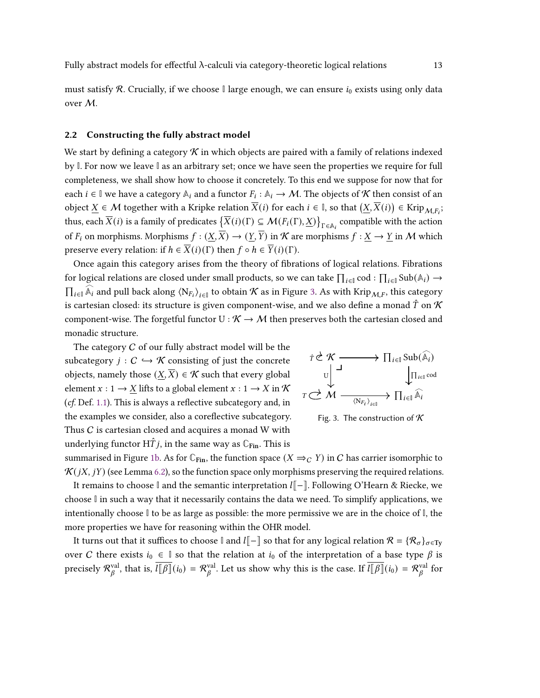must satisfy R. Crucially, if we choose  $\mathbb{I}$  large enough, we can ensure  $i_0$  exists using only data over M.

# <span id="page-12-1"></span>2.2 Constructing the fully abstract model

We start by defining a category  $\mathcal K$  in which objects are paired with a family of relations indexed by **I**. For now we leave **I** as an arbitrary set; once we have seen the properties we require for full completeness, we shall show how to choose it concretely. To this end we suppose for now that for each  $i \in \mathbb{I}$  we have a category  $\mathbb{A}_i$  and a functor  $F_i : \mathbb{A}_i \to \mathcal{M}$ . The objects of  $\mathcal K$  then consist of an object ∑ ∈  $\mathcal{M}$  together with a Kripke relation  $\overline{X}(i)$  for each  $i \in \mathbb{I}$ , so that  $(\underline{X},\overline{X}(i)) \in \text{Krip}_{\mathcal{M},F_i};$ thus, each  $\overline{X}(i)$  is a family of predicates  $\left\{ \overline{X}(i)(\Gamma) \subseteq \mathcal{M}(F_i(\Gamma), \underline{X}) \right\}_{\Gamma \in \mathbb{A}_i}$  compatible with the action of  $F_i$  on morphisms. Morphisms  $f : (\underline{X}, \overline{X}) \to (\underline{Y}, \overline{Y})$  in K are morphisms  $f : \underline{X} \to \underline{Y}$  in M which preserve every relation: if  $h \in \overline{X}(i)(\Gamma)$  then  $f \circ h \in \overline{Y}(i)(\Gamma)$ .

Once again this category arises from the theory of fibrations of logical relations. Fibrations for logical relations are closed under small products, so we can take  $\prod_{i\in\mathbb{I}}\text{cod}:\prod_{i\in\mathbb{I}}\text{Sub}(\mathbb{A}_i)\to$  $\prod_{i\in\mathbb{I}}$   $\widehat{\mathbb{A}}_i$  and pull back along  $\langle N_{F_i}\rangle_{i\in\mathbb{I}}$  to obtain  $K$  as in Figure [3.](#page-12-0) As with Krip<sub>M,F</sub>, this category is cartesian closed: its structure is given component-wise, and we also define a monad  $\hat{T}$  on  $\mathcal K$ component-wise. The forgetful functor  $U : \mathcal{K} \to \mathcal{M}$  then preserves both the cartesian closed and monadic structure.

The category  $C$  of our fully abstract model will be the subcategory  $j: C \hookrightarrow \mathcal{K}$  consisting of just the concrete objects, namely those  $(X,\overline{X}) \in \mathcal{K}$  such that every global element  $x : 1 \rightarrow X$  lifts to a global element  $x : 1 \rightarrow X$  in  $K$ (cf. Def. [1.1\)](#page-3-1). This is always a reflective subcategory and, in the examples we consider, also a coreflective subcategory. Thus  $C$  is cartesian closed and acquires a monad  $W$  with underlying functor  $H\hat{T}j$ , in the same way as  $\mathbb{C}_{\text{Fin}}$ . This is

<span id="page-12-0"></span>

Fig. 3. The construction of  $K$ 

summarised in Figure [1b.](#page-5-0) As for  $\mathbb{C}_{\text{Fin}}$ , the function space  $(X \Rightarrow_C Y)$  in C has carrier isomorphic to  $\mathcal{K}(jX, jY)$  (see Lemma [6.2\)](#page-23-1), so the function space only morphisms preserving the required relations. It remains to choose **I** and the semantic interpretation ⎜−⨆︁. Following O'Hearn & Riecke, we

choose **I** in such a way that it necessarily contains the data we need. To simplify applications, we intentionally choose **I** to be as large as possible: the more permissive we are in the choice of **I**, the more properties we have for reasoning within the OHR model.

It turns out that it suffices to choose **I** and *I* $\llbracket - \rrbracket$  so that for any logical relation  $\mathcal{R} = \{\mathcal{R}_{\sigma}\}_{\sigma \in \text{Ty}}$ over C there exists  $i_0 \in \mathbb{I}$  so that the relation at  $i_0$  of the interpretation of a base type  $\beta$  is precisely  $\mathcal{R}_e^{\text{val}}$ <sup>val</sup>, that is,  $\overline{l[\![\beta]\!]}(i_0) = \mathcal{R}^{\text{val}}_{\beta}$ <sup>val</sup>. Let us show why this is the case. If  $\overline{l[\![\beta]\!]}(i_0) = \mathcal{R}^{\text{val}}_{\beta}$  $\frac{\text{val}}{\beta}$  for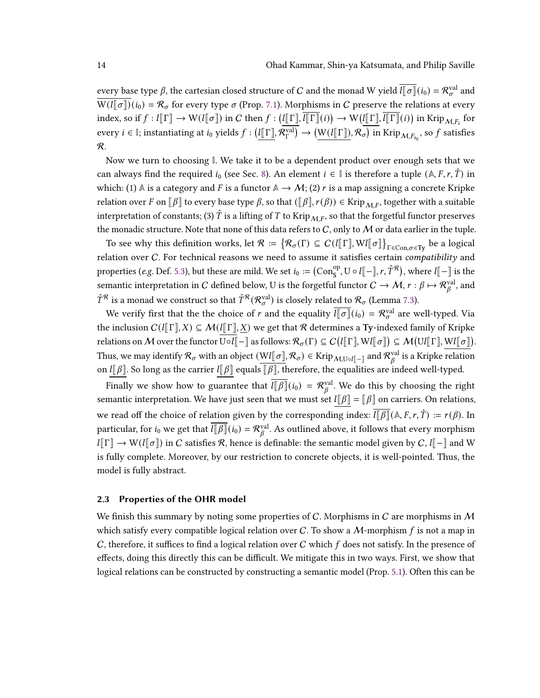every base type  $\beta$ , the cartesian closed structure of  $C$  and the monad W yield  $\overline{l[\sigma]}(i_0)=\mathcal{R}^{\text{val}}_\sigma$  and  $\overline{W(l[\sigma])}(i_0) = \mathcal{R}_{\sigma}$  for every type  $\sigma$  (Prop. [7.1\)](#page-25-1). Morphisms in C preserve the relations at every index, so if  $f: l[\![\Gamma]\!] \to \mathrm{W}(l[\![\sigma]\!])$  in  $C$  then  $f: (l[\![\Gamma]\!], \overline{l[\![\Gamma]\!]}(i)) \to \mathrm{W}(l[\![\Gamma]\!], \overline{l[\![\Gamma]\!]}(i))$  in Krip $_{\mathcal{M}, F_i}$  for every  $i \in \mathbb{I}$ ; instantiating at  $i_0$  yields  $f : (\mathbb{I}[\![\Gamma]\!], \mathcal{R}_{\Gamma}^{\text{val}}]$  $\mathcal{C}^\mathrm{val}_\Gamma \big) \to \big( \underline{\mathrm{W}}(l \llbracket \Gamma \rrbracket), \mathcal{R}_\sigma \big)$  in  $\mathrm{Krip}_{\mathcal{M}, F_{i_0}},$  so  $f$  satisfies R.

Now we turn to choosing **I**. We take it to be a dependent product over enough sets that we can always find the required  $i_0$  (see Sec. [8\)](#page-25-0). An element  $i \in \mathbb{I}$  is therefore a tuple  $(\mathbb{A}, F, r, \hat{T})$  in which: (1)  $\mathbb A$  is a category and F is a functor  $\mathbb A \to \mathcal M$ ; (2) r is a map assigning a concrete Kripke relation over F on  $[\beta]$  to every base type  $\beta$ , so that  $([\beta], r(\beta)) \in$  Krip $_{\mathcal{M},F}$ , together with a suitable interpretation of constants; (3)  $\hat{T}$  is a lifting of  $T$  to Krip $_{M,F}$ , so that the forgetful functor preserves the monadic structure. Note that none of this data refers to C, only to M or data earlier in the tuple.

To see why this definition works, let  $\mathcal{R} \coloneqq \big\{ \mathcal{R}_\sigma(\Gamma) \subseteq C (l \llbracket \Gamma \rrbracket, W l \llbracket \sigma \rrbracket \big\}_{\Gamma \in \operatorname{Con}, \sigma \in \operatorname{Ty}}$  be a logical relation over C. For technical reasons we need to assume it satisfies certain compatibility and properties (e.g. Def. [5.3\)](#page-20-3), but these are mild. We set  $i_0 := (\mathrm{Con}_{\mathrm{S}}^{\mathrm{op}}, \mathrm{U} \circ l[\![-]\!]$ ,  $r, \hat{T}^{\mathcal{R}})$ , where  $l[\![-]\!]$  is the semantic interpretation in  $C$  defined below, U is the forgetful functor  $C\to \mathcal{M},$   $r:\beta\mapsto \mathcal{R}^{\text{val}}_\beta,$  and  $\hat{T}^{\mathcal{R}}$  is a monad we construct so that  $\hat{T}^{\mathcal{R}}(\mathcal{R}^{\text{val}}_{\sigma})$  is closely related to  $\mathcal{R}_{\sigma}$  (Lemma [7.3\)](#page-24-0).

We verify first that the the choice of  $r$  and the equality  $\overline{l[\sigma]}(i_0) = \mathcal{R}^{\text{val}}_{\sigma}$  are well-typed. Via the inclusion  $C(l[\![\Gamma]\!],X) \subseteq \mathcal{M}(l[\![\Gamma]\!],X)$  we get that R determines a Ty-indexed family of Kripke relations on  $\mathcal M$  over the functor  $\overline{\mathbb U\circ l[\![} -\rrbracket$  as follows:  $\mathcal R_\sigma(\Gamma)\subseteq C\big(l[\![\Gamma]\!],\mathbb W l[\![\sigma]\!]\big)\subseteq \mathcal M\big(\mathbb Ul[\![\Gamma]\!],\mathbb W l[\![\sigma]\!]\big).$ Thus, we may identify  $\mathcal{R}_\sigma$  with an object  $(Wl[\![\sigma]\!],\mathcal{R}_\sigma)\in \text{Krip}_{\mathcal{M},\text{U}\circ l[\![-\![} \text{ and } \mathcal{R}^\text{val}_{\beta} ]$  $^{\text{val}}_{\beta}$  is a Kripke relation on  $I[[\beta]]$ . So long as the carrier  $I[[\beta]]$  equals  $[[\beta]]$ , therefore, the equalities are indeed well-typed.

Finally we show how to guarantee that  $\overline{l} \overline{l} \overline{\beta} \overline{l} (i_0) = \mathcal{R}_g^{\text{val}}$  $\chi_{\beta}^{\text{val}}$ . We do this by choosing the right semantic interpretation. We have just seen that we must set  $l[\![\beta]\!] = [\![\beta]\!]$  on carriers. On relations, we read off the choice of relation given by the corresponding index:  $\overline{l[\beta]}(\mathbb{A}, F, r, \hat{T}) := r(\beta)$ . In particular, for  $i_0$  we get that  $\overline{l \|\beta\|}(i_0) = \mathcal{R}_g^{\text{val}}$  $\chi_{\beta}^{\text{val}}$ . As outlined above, it follows that every morphism  $l[\![\Gamma]\!] \to W(l[\![\sigma]\!])$  in C satisfies R, hence is definable: the semantic model given by C,  $l[\![-\!]$  and W is fully complete. Moreover, by our restriction to concrete objects, it is well-pointed. Thus, the model is fully abstract.

# 2.3 Properties of the OHR model

We finish this summary by noting some properties of C. Morphisms in C are morphisms in M which satisfy every compatible logical relation over C. To show a  $\mathcal{M}$ -morphism f is not a map in C, therefore, it suffices to find a logical relation over C which  $f$  does not satisfy. In the presence of effects, doing this directly this can be difficult. We mitigate this in two ways. First, we show that logical relations can be constructed by constructing a semantic model (Prop. [5.1\)](#page-20-1). Often this can be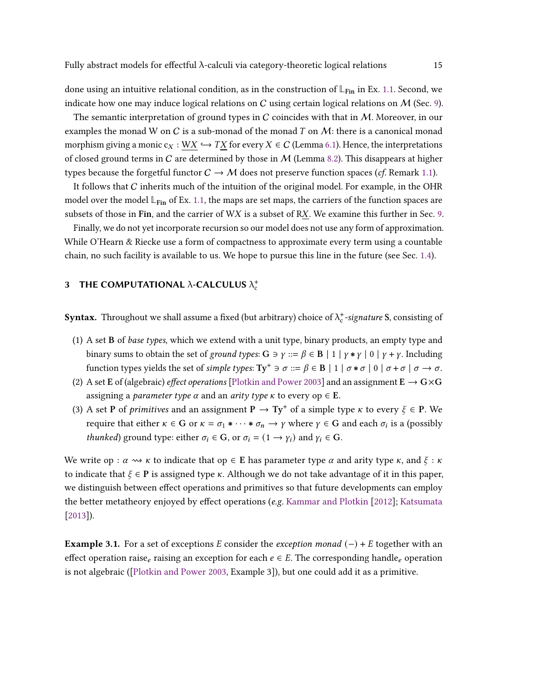done using an intuitive relational condition, as in the construction of  $\mathbb{L}_{\text{Fin}}$  in Ex. [1.1.](#page-1-0) Second, we indicate how one may induce logical relations on C using certain logical relations on M (Sec. [9\)](#page-27-0).

The semantic interpretation of ground types in C coincides with that in  $M$ . Moreover, in our examples the monad W on C is a sub-monad of the monad T on  $M$ : there is a canonical monad morphism giving a monic  $c_X : W X \hookrightarrow TX$  for every  $X \in C$  (Lemma [6.1\)](#page-22-0). Hence, the interpretations of closed ground terms in C are determined by those in  $M$  (Lemma [8.2\)](#page-27-2). This disappears at higher types because the forgetful functor  $C \to M$  does not preserve function spaces (*cf.* Remark [1.1\)](#page-4-0).

It follows that C inherits much of the intuition of the original model. For example, in the OHR model over the model  $\mathbb{L}_{\text{Fin}}$  of Ex. [1.1,](#page-1-0) the maps are set maps, the carriers of the function spaces are subsets of those in Fin, and the carrier of  $WX$  is a subset of RX. We examine this further in Sec. [9.](#page-27-0)

Finally, we do not yet incorporate recursion so our model does not use any form of approximation. While O'Hearn & Riecke use a form of compactness to approximate every term using a countable chain, no such facility is available to us. We hope to pursue this line in the future (see Sec. [1.4\)](#page-8-1).

# 3 THE COMPUTATIONAL  $\lambda$ -CALCULUS  $\lambda_c^+$

**Syntax.** Throughout we shall assume a fixed (but arbitrary) choice of  $\lambda_c^+$ -signature S, consisting of

- (1) A set B of *base types*, which we extend with a unit type, binary products, an empty type and binary sums to obtain the set of ground types:  $G \ni \gamma ::= \beta \in B \mid 1 \mid \gamma * \gamma \mid 0 \mid \gamma + \gamma$ . Including function types yields the set of simple types:  $Ty^+ \ni \sigma ::= \beta \in B \mid 1 \mid \sigma * \sigma \mid 0 \mid \sigma + \sigma \mid \sigma \rightarrow \sigma$ .
- (2) A set E of (algebraic) *effect operations* [\[Plotkin and Power](#page-35-15) [2003\]](#page-35-15) and an assignment  $E \rightarrow G \times G$ assigning a *parameter type*  $\alpha$  and an *arity type*  $\kappa$  to every op  $\in$  **E**.
- (3) A set **P** of *primitives* and an assignment  $P \rightarrow Ty^+$  of a simple type  $\kappa$  to every  $\xi \in P$ . We require that either  $\kappa \in G$  or  $\kappa = \sigma_1 * \cdots * \sigma_n \to \gamma$  where  $\gamma \in G$  and each  $\sigma_i$  is a (possibly *thunked*) ground type: either  $\sigma_i \in G$ , or  $\sigma_i = (1 \rightarrow \gamma_i)$  and  $\gamma_i \in G$ .

We write op :  $\alpha \rightsquigarrow \kappa$  to indicate that op  $\in$  E has parameter type  $\alpha$  and arity type  $\kappa$ , and  $\xi$ :  $\kappa$ to indicate that  $\xi \in \mathbf{P}$  is assigned type  $\kappa$ . Although we do not take advantage of it in this paper, we distinguish between effect operations and primitives so that future developments can employ the better metatheory enjoyed by effect operations (e.g. [Kammar and Plotkin](#page-34-15) [\[2012\]](#page-34-15); [Katsumata](#page-35-5) [\[2013\]](#page-35-5)).

**Example 3.1.** For a set of exceptions E consider the *exception monad* (−) + E together with an effect operation raise<sub>e</sub> raising an exception for each  $e \in E$ . The corresponding handle<sub>e</sub> operation is not algebraic ([\[Plotkin and Power](#page-35-15) [2003,](#page-35-15) Example 3]), but one could add it as a primitive.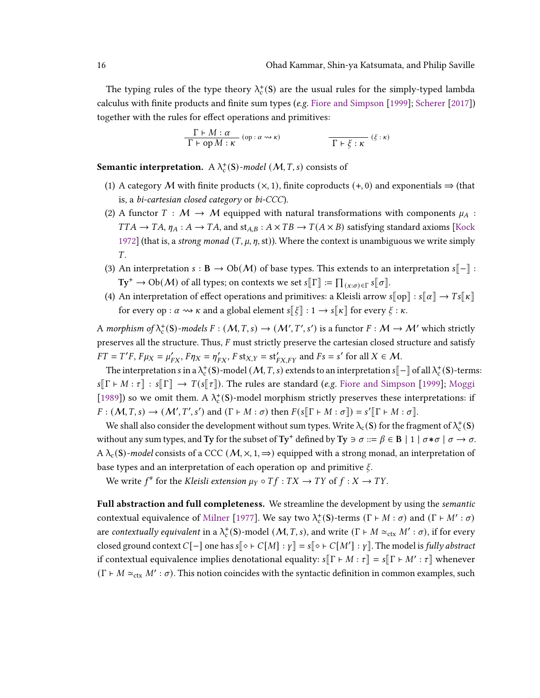The typing rules of the type theory  $\lambda_c^+$ (S) are the usual rules for the simply-typed lambda calculus with finite products and finite sum types (e.g. [Fiore and Simpson](#page-34-7) [\[1999\]](#page-34-7); [Scherer](#page-36-3) [\[2017\]](#page-36-3)) together with the rules for effect operations and primitives:

$$
\frac{\Gamma \vdash M : \alpha}{\Gamma \vdash \text{op } M : \kappa} (\text{op} : \alpha \leadsto \kappa) \qquad \qquad \frac{\Gamma \vdash \xi : \kappa}{\Gamma \vdash \xi : \kappa} (\xi : \kappa)
$$

**Semantic interpretation.**  $A \lambda_c^+ (S)$ -model  $(M, T, s)$  consists of

- (1) A category M with finite products  $(x, 1)$ , finite coproducts  $(+, 0)$  and exponentials  $\Rightarrow$  (that is, a bi-cartesian closed category or bi-CCC).
- (2) A functor  $T : \mathcal{M} \to \mathcal{M}$  equipped with natural transformations with components  $\mu_A$ :  $TTA \rightarrow TA$ ,  $\eta_A : A \rightarrow TA$ , and  $st_{A,B} : A \times TB \rightarrow T(A \times B)$  satisfying standard axioms [\[Kock](#page-35-16) [1972\]](#page-35-16) (that is, a *strong monad*  $(T, \mu, \eta, st)$ ). Where the context is unambiguous we write simply  $T_{\perp}$
- (3) An interpretation  $s : \mathbf{B} \to Ob(\mathcal{M})$  of base types. This extends to an interpretation  $s[-]$ :  $\text{Ty}^+ \to \text{Ob}(\mathcal{M})$  of all types; on contexts we set  $s[\![\Gamma]\!]:=\prod_{(x:\sigma)\in \Gamma} s[\![\sigma]\!].$
- (4) An interpretation of effect operations and primitives: a Kleisli arrow  $s[\![op]\!] : s[\![\alpha]\!] \to Ts[\![\kappa]\!]$ for every op :  $\alpha \rightsquigarrow \kappa$  and a global element  $s[[\xi] : 1 \rightarrow s[[\kappa]]$  for every  $\xi : \kappa$ .

A morphism of  $\lambda_c^+(S)$ -models  $F : (M, T, s) \to (M', T', s')$  is a functor  $F : M \to M'$  which strictly preserves all the structure. Thus,  $F$  must strictly preserve the cartesian closed structure and satisfy  $FT = T'F$ ,  $F\mu_X = \mu'_{FX}$ ,  $F\eta_X = \eta'_{FX}$ ,  $F \text{st}_{X,Y} = \text{st}'_{FX,FY}$  and  $Fs = s'$  for all  $X \in \mathcal{M}$ .

The interpretation s in a  $\lambda_c^+$ (S)-model (M, T, s) extends to an interpretation s[-] of all  $\lambda_c^+$ (S)-terms:  $s[\Gamma \vdash M : \tau] : s[\Gamma] \rightarrow T(s[\tau])$ . The rules are standard (e.g. [Fiore and Simpson](#page-34-7) [\[1999\]](#page-34-7); [Moggi](#page-35-0) [\[1989\]](#page-35-0)) so we omit them. A  $\lambda_c^+(S)$ -model morphism strictly preserves these interpretations: if  $F: (\mathcal{M}, T, s) \to (\mathcal{M}', T', s')$  and  $(\Gamma \vdash M : \sigma)$  then  $F(s[\Gamma \vdash M : \sigma]) = s'[\Gamma \vdash M : \sigma]$ .

We shall also consider the development without sum types. Write  $\lambda_c(\mathbf{S})$  for the fragment of  $\lambda_c^+(\mathbf{S})$ without any sum types, and Ty for the subset of Ty<sup>+</sup> defined by Ty  $\Rightarrow \sigma ::= \beta \in B \mid 1 \mid \sigma * \sigma \mid \sigma \rightarrow \sigma$ .  $A \lambda_c(S)$ -model consists of a CCC  $(M, \times, 1, \Rightarrow)$  equipped with a strong monad, an interpretation of base types and an interpretation of each operation op and primitive  $\xi$ .

We write  $f^*$  for the Kleisli extension  $\mu_Y \circ Tf : TX \to TY$  of  $f : X \to TY$ .

Full abstraction and full completeness. We streamline the development by using the *semantic* contextual equivalence of [Milner](#page-35-8) [\[1977\]](#page-35-8). We say two  $\lambda_c^+(S)$ -terms (Γ  $\vdash M : \sigma$ ) and (Γ  $\vdash M' : \sigma$ ) are contextually equivalent in a  $\lambda_c^+$ (S)-model (M, T, s), and write ( $\Gamma \vdash M \simeq_{\text{ctx}} M' : \sigma$ ), if for every closed ground context  $C[-]$  one has  $s[\diamond \vdash C[M] : \gamma] = s[\diamond \vdash C[M'] : \gamma]$ . The model is *fully abstract* if contextual equivalence implies denotational equality:  $s[\![\Gamma \vdash M : \tau]\!] = s[\![\Gamma \vdash M' : \tau]\!]$  whenever  $(\Gamma \vdash M \simeq_{\text{ctx}} M' : \sigma)$ . This notion coincides with the syntactic definition in common examples, such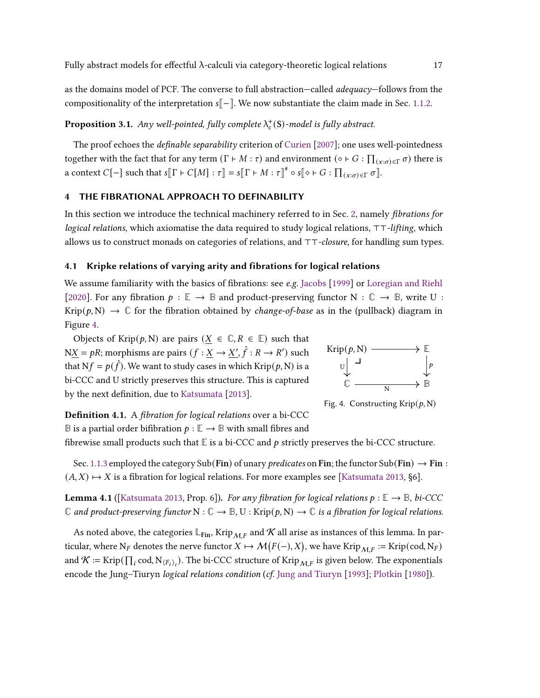as the domains model of PCF. The converse to full abstraction—called *adequacy*—follows from the compositionality of the interpretation  $s[-]$ . We now substantiate the claim made in Sec. [1.1.2.](#page-4-1)

# <span id="page-16-0"></span>**Proposition 3.1.** Any well-pointed, fully complete  $\lambda_c^+$ (S)-model is fully abstract.

The proof echoes the *definable separability* criterion of [Curien](#page-33-9) [\[2007\]](#page-33-9); one uses well-pointedness together with the fact that for any term  $(\Gamma \vdash M : \tau)$  and environment  $(\diamond \vdash G : \prod_{(x : \sigma) \in \Gamma} \sigma)$  there is a context  $C[-]$  such that  $s[\![\Gamma \vdash C[M] : \tau]\!] = s[\![\Gamma \vdash M : \tau]\!]^{\#} \circ s[\![\diamond \vdash G : \prod_{(x : \sigma) \in \Gamma} \sigma]\!]$ .

# <span id="page-16-1"></span>4 THE FIBRATIONAL APPROACH TO DEFINABILITY

In this section we introduce the technical machinery referred to in Sec. [2,](#page-8-0) namely *fibrations for* logical relations, which axiomatise the data required to study logical relations, ⊤⊤-lifting, which allows us to construct monads on categories of relations, and ⊤⊤-closure, for handling sum types.

# <span id="page-16-2"></span>4.1 Kripke relations of varying arity and fibrations for logical relations

We assume familiarity with the basics of fibrations: see e.g. [Jacobs](#page-34-3) [\[1999\]](#page-34-3) or [Loregian and Riehl](#page-35-17) [\[2020\]](#page-35-17). For any fibration  $p : \mathbb{E} \to \mathbb{B}$  and product-preserving functor N :  $\mathbb{C} \to \mathbb{B}$ , write U : Krip( $p, N$ )  $\rightarrow \mathbb{C}$  for the fibration obtained by *change-of-base* as in the (pullback) diagram in Figure [4.](#page-16-3)

Objects of Krip $(p, N)$  are pairs  $(X \in \mathbb{C}, R \in \mathbb{E})$  such that  $NX = pR$ ; morphisms are pairs  $(f : X \rightarrow X', \hat{f} : R \rightarrow R')$  such that  $Nf = p(\hat{f})$ . We want to study cases in which Krip $(p, N)$  is a bi-CCC and U strictly preserves this structure. This is captured by the next definition, due to [Katsumata](#page-35-5) [\[2013\]](#page-35-5).

<span id="page-16-3"></span>

Fig. 4. Constructing Krip $(p, N)$ 

Definition 4.1. A fibration for logical relations over a bi-CCC **B** is a partial order bifibration  $p : \mathbb{E} \to \mathbb{B}$  with small fibres and

fibrewise small products such that  $E$  is a bi-CCC and  $p$  strictly preserves the bi-CCC structure.

Sec. [1.1.3](#page-5-1) employed the category Sub(Fin) of unary *predicates* on Fin; the functor Sub(Fin)  $\rightarrow$  Fin :  $(A, X) \mapsto X$  is a fibration for logical relations. For more examples see [\[Katsumata](#page-35-5) [2013,](#page-35-5) §6].

<span id="page-16-4"></span>**Lemma 4.1** ([\[Katsumata](#page-35-5) [2013,](#page-35-5) Prop. 6]). For any fibration for logical relations  $p : \mathbb{E} \to \mathbb{B}$ , bi-CCC  $\mathbb C$  and product-preserving functor  $N : \mathbb C \to \mathbb B$ ,  $U : Krip(p, N) \to \mathbb C$  is a fibration for logical relations.

As noted above, the categories  $\mathbb{L}_{\text{Fin}}$ , Krip<sub>M,F</sub> and K all arise as instances of this lemma. In particular, where  $N_F$  denotes the nerve functor  $X \mapsto \mathcal{M}(F(-), X)$ , we have Krip $_{\mathcal{M}, F} :=$  Krip $(\text{cod}, N_F)$ and  $K := \text{Krip}(\prod_i \text{cod}, N_{\langle F_i \rangle_i})$ . The bi-CCC structure of  $\text{Krip}_{\mathcal{M},F}$  is given below. The exponentials encode the Jung-Tiuryn logical relations condition (cf. [Jung and Tiuryn](#page-34-12) [\[1993\]](#page-34-12); [Plotkin](#page-35-18) [\[1980\]](#page-35-18)).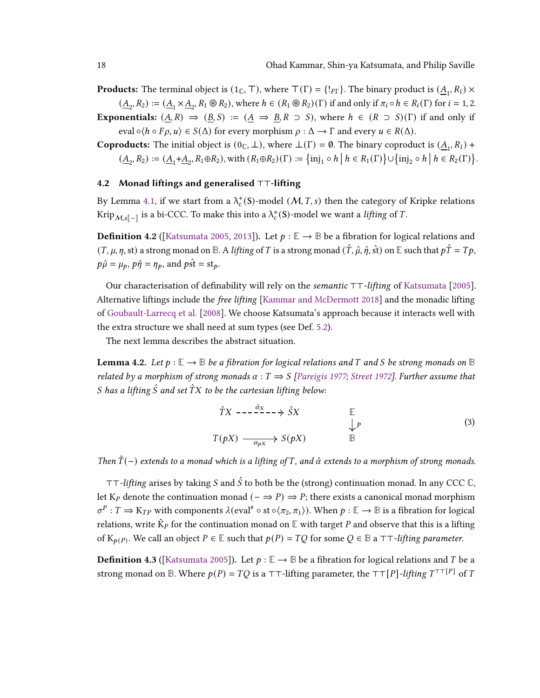**Products:** The terminal object is  $(1_C, T)$ , where  $T(\Gamma) = \{!_{F\Gamma} \}$ . The binary product is  $(\underline{A}_1, R_1) \times$ 

 $(\underline{A}_2, R_2) := (\underline{A}_1 \times \underline{A}_2, R_1 \otimes R_2)$ , where  $h \in (R_1 \otimes R_2)(\Gamma)$  if and only if  $\pi_i \circ h \in R_i(\Gamma)$  for  $i = 1, 2$ . **Exponentials:**  $(A, R) \Rightarrow (B, S) := (A \Rightarrow B, R \supset S)$ , where  $h \in (R \supset S)(\Gamma)$  if and only if eval  $\circ \langle h \circ F \rho, u \rangle \in S(\Delta)$  for every morphism  $\rho : \Delta \to \Gamma$  and every  $u \in R(\Delta)$ .

**Coproducts:** The initial object is  $(0<sub>C</sub>, \perp)$ , where  $\perp(\Gamma) = \emptyset$ . The binary coproduct is  $(\underline{A}_1, R_1)$  +  $(\underline{A}_2, R_2) := (\underline{A}_1 + \underline{A}_2, R_1 \oplus R_2), \text{ with } (R_1 \oplus R_2)(\Gamma) := \{ \text{inj}_1 \circ h \mid h \in R_1(\Gamma) \} \cup \{ \text{inj}_2 \circ h \mid h \in R_2(\Gamma) \}.$ 

#### 4.2 Monad liftings and generalised ⊤⊤-lifting

By Lemma [4.1,](#page-16-4) if we start from a  $\lambda_c^+$ (S)-model  $(M, T, s)$  then the category of Kripke relations Krip $M_{\mathcal{M},S}$ [ $-$ ] is a bi-CCC. To make this into a  $\lambda_c^+$ (S)-model we want a *lifting* of  $T$ .

<span id="page-17-0"></span>**Definition 4.2** ([\[Katsumata](#page-34-1) [2005,](#page-34-1) [2013\]](#page-35-5)). Let  $p : \mathbb{E} \to \mathbb{B}$  be a fibration for logical relations and  $(T, \mu, \eta, st)$  a strong monad on **B**. A lifting of T is a strong monad  $(\hat{T}, \hat{\mu}, \hat{\eta}, st)$  on **E** such that  $p\hat{T} = Tp$ ,  $p\hat{\mu} = \mu_p$ ,  $p\hat{\eta} = \eta_p$ , and  $p\hat{\text{st}} = \text{st}_p$ .

Our characterisation of definability will rely on the *semantic* ⊤⊤-lifting of [Katsumata](#page-34-1) [\[2005\]](#page-34-1). Alternative liftings include the *free lifting* [\[Kammar and McDermott](#page-34-16) [2018\]](#page-34-16) and the monadic lifting of [Goubault-Larrecq et al.](#page-34-9) [\[2008\]](#page-34-9). We choose Katsumata's approach because it interacts well with the extra structure we shall need at sum types (see Def. [5.2\)](#page-19-0).

The next lemma describes the abstract situation.

**Lemma 4.2.** Let  $p : \mathbb{E} \to \mathbb{B}$  be a fibration for logical relations and T and S be strong monads on  $\mathbb{B}$ related by a morphism of strong monads  $\alpha : T \implies S$  [\[Pareigis](#page-35-19) [1977;](#page-35-19) [Street](#page-36-4) [1972\]](#page-36-4). Further assume that S has a lifting  $\hat{S}$  and set  $\hat{T}X$  to be the cartesian lifting below:

<span id="page-17-1"></span>
$$
\hat{T}X \longrightarrow \hat{S}X \qquad \qquad \mathbb{E}
$$
\n
$$
T(pX) \longrightarrow_{\alpha_{pX}} S(pX) \qquad \qquad \mathbb{B}
$$
\n(3)

Then  $\hat{T}(-)$  extends to a monad which is a lifting of T, and  $\hat{\alpha}$  extends to a morphism of strong monads.

⊤⊤-lifting arises by taking S and S to both be the (strong) continuation monad. In any CCC **C**, let K<sub>*p*</sub> denote the continuation monad ( $-\Rightarrow P$ )  $\Rightarrow$  *P*; there exists a canonical monad morphism  $\sigma^P : T \Rightarrow K_{TP}$  with components  $\lambda(\text{eval}^* \circ \text{st} \circ \langle \pi_2, \pi_1 \rangle)$ . When  $p : \mathbb{E} \to \mathbb{B}$  is a fibration for logical relations, write  $\hat{K}_P$  for the continuation monad on  $\mathbb E$  with target P and observe that this is a lifting of  $K_{p(P)}$ . We call an object  $P \in \mathbb{E}$  such that  $p(P) = TQ$  for some  $Q \in \mathbb{B}$  a  $TT$ -lifting parameter.

**Definition 4.3** ([\[Katsumata](#page-34-1) [2005\]](#page-34-1)). Let  $p : \mathbb{E} \to \mathbb{B}$  be a fibration for logical relations and T be a strong monad on **B**. Where  $p(P) = TQ$  is a ⊤⊤-lifting parameter, the ⊤⊤[P]-lifting  $T^{\top\top[P]}$  of  $T$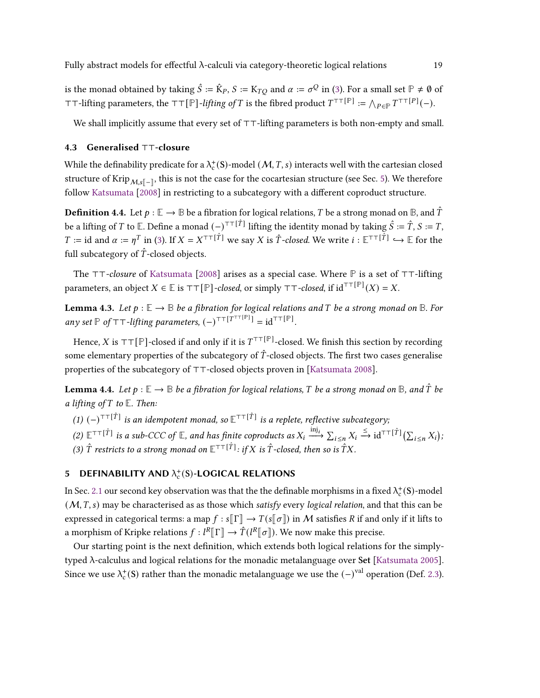is the monad obtained by taking  $\hat{S} := \hat{K}_P$ ,  $S := K_{TO}$  and  $\alpha := \sigma^Q$  in [\(3\)](#page-17-1). For a small set  $\mathbb{P} \neq \emptyset$  of  $\top$ ⊤-lifting parameters, the  $\top$ ⊤[ $\mathbb{P}$ ]-*lifting of*  $T$  is the fibred product  $T^{\top\top}[\mathbb{P}] := \bigwedge_{P \in \mathbb{P}} T^{\top\top[P]}(-)$ .

We shall implicitly assume that every set of ⊤⊤-lifting parameters is both non-empty and small.

#### 4.3 Generalised ⊤⊤-closure

While the definability predicate for a  $\lambda_{\rm c}^{+}$ (S)-model  $(\mathcal{M},T,s)$  interacts well with the cartesian closed structure of Krip $_{\mathcal{M},s[-]}$ , this is not the case for the cocartesian structure (see Sec. [5\)](#page-18-0). We therefore follow [Katsumata](#page-35-6) [\[2008\]](#page-35-6) in restricting to a subcategory with a different coproduct structure.

**Definition 4.4.** Let  $p : \mathbb{E} \to \mathbb{B}$  be a fibration for logical relations, T be a strong monad on  $\mathbb{B}$ , and  $\hat{T}$ be a lifting of T to **E**. Define a monad  $(-)^{\top\top[\hat{T}]}$  lifting the identity monad by taking  $\hat{S} := \hat{T}, S := T$ ,  $T :=$  id and  $\alpha := \eta^T$  in [\(3\)](#page-17-1). If  $X = X^{\top T[\hat{T}]}$  we say X is  $\hat{T}$ -closed. We write  $i : \mathbb{E}^{\top T[\hat{T}]} \hookrightarrow \mathbb{E}$  for the full subcategory of  $\hat{T}$ -closed objects.

The ⊤⊤-closure of [Katsumata](#page-35-6) [\[2008\]](#page-35-6) arises as a special case. Where **P** is a set of ⊤⊤-lifting parameters, an object  $X \in \mathbb{E}$  is  $\top \top [\mathbb{P}]$ *-closed*, or simply  $\top \top$ *-closed*, if  $\mathrm{id}^{\top \top [\mathbb{P}]}(X) = X.$ 

**Lemma 4.3.** Let  $p : \mathbb{E} \to \mathbb{B}$  be a fibration for logical relations and T be a strong monad on  $\mathbb{B}$ . For any set  $\mathbb P$  of  $\top$ ⊤-lifting parameters,  $(-)^{\top\top[T^{\top\top[F]}}$  = id<sup> $\top\top[\mathbb P]$ </sup>.

Hence, X is ⊤⊤[P]-closed if and only if it is  $T^{\top\top[P]}$ -closed. We finish this section by recording some elementary properties of the subcategory of  $\hat{T}$ -closed objects. The first two cases generalise properties of the subcategory of ⊤⊤-closed objects proven in [\[Katsumata](#page-35-6) [2008\]](#page-35-6).

<span id="page-18-2"></span>**Lemma 4.4.** Let  $p : \mathbb{E} \to \mathbb{B}$  be a fibration for logical relations, T be a strong monad on  $\mathbb{B}$ , and  $\hat{T}$  be a lifting of  $T$  to  $E$ . Then:

(1)  $(-)^{\top\top[\hat{T}]}$  is an idempotent monad, so  ${\mathbb E}^{\top\top[\hat{T}]}$  is a replete, reflective subcategory;

<span id="page-18-3"></span>(2)  $\mathbb{E}^{\text{TT}}[\hat{\tau}]$  is a sub-CCC of  $\mathbb{E}$ , and has finite coproducts as  $X_i \xrightarrow{\text{inj}_i} \sum_{i \leq n} X_i \xrightarrow{\leq} \text{id}^{\text{TT}}[\hat{\tau}]$  ( $\sum_{i \leq n} X_i$ );

(3)  $\hat{T}$  restricts to a strong monad on  $\mathbb{E}^{\tau\tau[\hat{T}]}$ : if X is  $\hat{T}$ -closed, then so is  $\hat{T}X$ .

# <span id="page-18-0"></span>5 DEFINABILITY AND  $\lambda_c^+(S)$ -LOGICAL RELATIONS

In Sec. [2.1](#page-9-0) our second key observation was that the the definable morphisms in a fixed  $\lambda_c^+(\mathbf{S})$ -model  $(M, T, s)$  may be characterised as as those which satisfy every logical relation, and that this can be expressed in categorical terms: a map  $f : s[[\Gamma]] \to T(s[[\sigma]])$  in M satisfies R if and only if it lifts to a morphism of Kripke relations  $f: \overline{L^R}[\Gamma] \to \hat{T}(L^R[\sigma])$ . We now make this precise.

<span id="page-18-1"></span>Our starting point is the next definition, which extends both logical relations for the simplytyped λ-calculus and logical relations for the monadic metalanguage over Set [\[Katsumata](#page-34-1) [2005\]](#page-34-1). Since we use  $\lambda_c^+$ (S) rather than the monadic metalanguage we use the  $(-)^\text{val}$  operation (Def. [2.3\)](#page-10-1).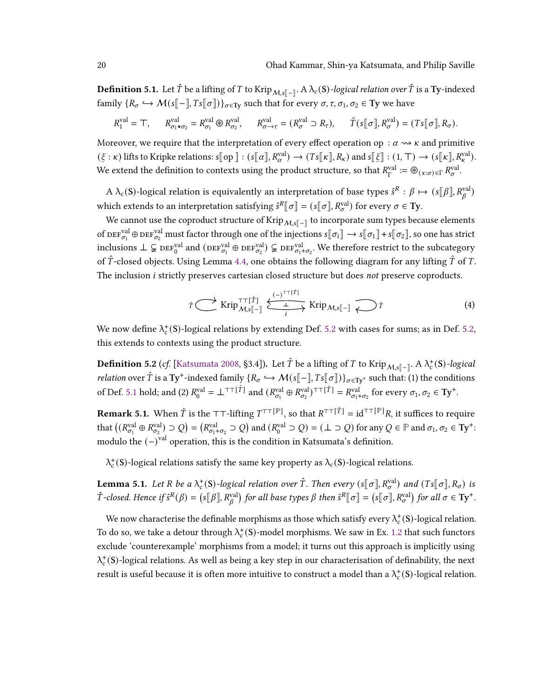**Definition 5.1.** Let  $\hat{T}$  be a lifting of  $T$  to Krip $_{\mathcal{M},s[\,-]}$ . A  $\lambda_{\rm c}(\rm S)$ -logical relation over  $\hat{T}$  is a  $\rm\bf Ty$ -indexed family  $\{R_{\sigma} \hookrightarrow \mathcal{M}(s[-], Ts[\sigma])\}_{\sigma \in \text{Ty}}$  such that for every  $\sigma, \tau, \sigma_1, \sigma_2 \in \text{Ty}$  we have

$$
R_1^{\text{val}} = \top, \qquad R_{\sigma_1 * \sigma_2}^{\text{val}} = R_{\sigma_1}^{\text{val}} \circledast R_{\sigma_2}^{\text{val}}, \qquad R_{\sigma \to \tau}^{\text{val}} = (R_{\sigma}^{\text{val}} \supset R_{\tau}), \qquad \hat{T}(s[\![\sigma]\!], R_{\sigma}^{\text{val}}) = (Ts[\![\sigma]\!], R_{\sigma}).
$$

Moreover, we require that the interpretation of every effect operation op :  $\alpha \rightsquigarrow \kappa$  and primitive  $(\xi : \kappa)$  lifts to Kripke relations:  $s[\![\text{op}]\!] : (s[\![\alpha]\!], R_{\alpha}^{\text{val}}) \to (Ts[\![\kappa]\!], R_{\kappa})$  and  $s[\![\xi]\!] : (1, \top) \to (s[\![\kappa]\!], R_{\kappa}^{\text{val}})$ . We extend the definition to contexts using the product structure, so that  $R_r^{\text{val}}$  $I_{\Gamma}^{\text{val}} := \circledast_{(x:\sigma) \in \Gamma} R_{\sigma}^{\text{val}}.$ 

A  $\lambda_c(S)$ -logical relation is equivalently an interpretation of base types  $\hat{s}^R:\beta\mapsto (s[\![\beta]\!],R_g^{\rm val})$ which extends to an interpretation satisfying  $\hat{s}^R[\sigma] = (s[\![\sigma]\!], R_{\sigma}^{\text{val}})$  for every  $\sigma \in \mathbf{Ty}$ .

We cannot use the coproduct structure of Krip $_{\mathcal{M},s[\![-\!]}$  to incorporate sum types because elements of  $\text{DEF}_{\sigma_1}^{\text{val}} \oplus \text{DEF}_{\sigma_2}^{\text{val}}$  must factor through one of the injections  $s[\![\sigma_i]\!] \to s[\![\sigma_1]\!] + s[\![\sigma_2]\!]$ , so one has strict inclusions ⊥ ⊊  $\text{DEF}_{\sigma_0}^{\text{val}}$  and  $(\text{DEF}_{\sigma_1}^{\text{val}} \oplus \text{DEF}_{\sigma_2}^{\text{val}})$  ⊊  $\text{DEF}_{\sigma_1+\sigma_2}^{\text{val}}$ . We therefore restrict to the subcategory of  $\hat{T}$ -closed objects. Using Lemma [4.4,](#page-18-2) one obtains the following diagram for any lifting  $\hat{T}$  of T. The inclusion *i* strictly preserves cartesian closed structure but does not preserve coproducts.

<span id="page-19-1"></span>
$$
\hat{\tau} \overset{\longrightarrow}{\longrightarrow} \operatorname{Krip}_{\mathcal{M},s[\![-]\!]}\overset{(-)^{\top\top[\hat{T}]} }{\xrightarrow{i}} \operatorname{Krip}_{\mathcal{M},s[\![-]\!]}\overset{\longrightarrow}{\longleftrightarrow}\hat{\tau}
$$
\n(4)

We now define  $\lambda_c^+$ (S)-logical relations by extending Def. [5.2](#page-19-0) with cases for sums; as in Def. [5.2,](#page-19-0) this extends to contexts using the product structure.

<span id="page-19-0"></span>**Definition 5.2** (cf. [\[Katsumata](#page-35-6) [2008,](#page-35-6) §3.4]). Let  $\hat{T}$  be a lifting of  $T$  to Krip $_{\mathcal{M},s[\,-]}$ . A  $\lambda_c^+(\mathrm{S})$ -logical *relation* over  $\hat{T}$  is a Ty<sup>+</sup>-indexed family  $\{R_{\sigma} \hookrightarrow \mathcal{M}(s[\![-\!] , Ts[\![\sigma]\!])\}_{\sigma \in \mathrm{Ty}^+}$  such that: (1) the conditions of Def. [5.1](#page-18-1) hold; and (2)  $R_0^{\text{val}} = \perp^{\top\top}[\hat{T}]$  and  $(R_{\sigma_1}^{\text{val}} \oplus R_{\sigma_2}^{\text{val}})^{\top\top}[\hat{T}] = R_{\sigma_1 + \sigma_2}^{\text{val}}$  for every  $\sigma_1, \sigma_2 \in \text{Ty}^+$ .

**Remark 5.1.** When  $\hat{T}$  is the  $T$ T-lifting  $T^{\top[\mathbb{P}]}$ , so that  $R^{\top\top[\hat{T}]} = id^{\top\top[\mathbb{P}]}R$ , it suffices to require that  $((R_{\sigma_1}^{\text{val}} \oplus R_{\sigma_2}^{\text{val}}) \supset Q) = (R_{\sigma_1 + \sigma_2}^{\text{val}} \supset Q)$  and  $(R_0^{\text{val}} \supset Q) = (\perp \supset Q)$  for any  $Q \in \mathbb{P}$  and  $\sigma_1, \sigma_2 \in \text{Ty}^+$ : modulo the  $(-)^{val}$  operation, this is the condition in Katsumata's definition.

 $\lambda_c^+$ (S)-logical relations satisfy the same key property as  $\lambda_c$ (S)-logical relations.

**Lemma 5.1.** Let R be a  $\lambda_c^{\text{+}}(\text{S})$ -logical relation over  $\hat{T}$ . Then every  $(s[\![\sigma]\!], R_{\sigma}^{\text{val}})$  and  $(Ts[\![\sigma]\!], R_{\sigma})$  is  $\hat{T}$ -closed. Hence if  $\hat{s}^R(\beta) = (s[\![\beta]\!], R^{\text{val}}_\beta)$  for all base types  $\beta$  then  $\hat{s}^R[\![\sigma]\!] = (s[\![\sigma]\!], R^{\text{val}}_\sigma)$  for all  $\sigma \in \text{Ty}^+$ .

We now characterise the definable morphisms as those which satisfy every  $\lambda_c^+(\mathbf{S})$ -logical relation. To do so, we take a detour through  $\lambda_c^+(\mathbf{S})$ -model morphisms. We saw in Ex. [1.2](#page-2-0) that such functors exclude 'counterexample' morphisms from a model; it turns out this approach is implicitly using  $\lambda_c^{\pm}$ (S)-logical relations. As well as being a key step in our characterisation of definability, the next result is useful because it is often more intuitive to construct a model than a  $\lambda_c^+(\mathbf{S})$ -logical relation.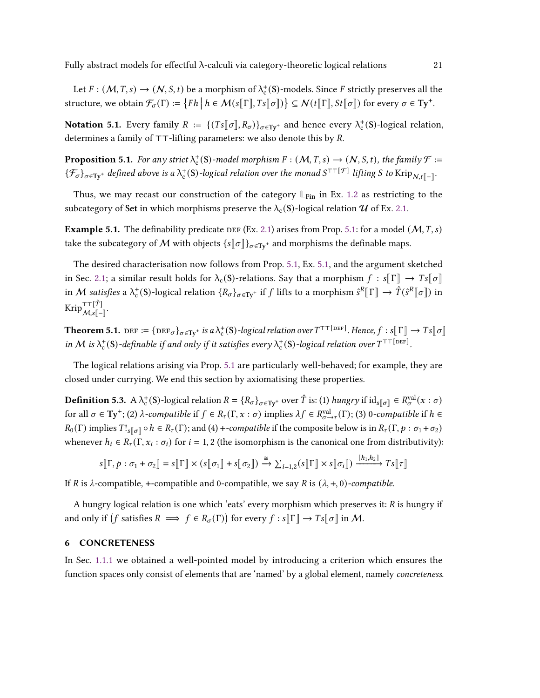Let  $F : (M, T, s) \to (N, S, t)$  be a morphism of  $\lambda_c^+ (S)$ -models. Since F strictly preserves all the structure, we obtain  $\mathcal{F}_{\sigma}(\Gamma) := \{ Fh \mid h \in \mathcal{M}(s[\![\Gamma]\!], Ts[\![\sigma]\!]) \} \subseteq \mathcal{N}(t[\![\Gamma]\!], St[\![\sigma]\!])$  for every  $\sigma \in \mathrm{Ty}^+.$ 

**Notation 5.1.** Every family  $R := \{(Ts[[\sigma], R_{\sigma})\}_{\sigma \in Ty^+} \text{ and hence every } \lambda_c^+(S)$ -logical relation, determines a family of  $T\tau$ -lifting parameters: we also denote this by R.

<span id="page-20-1"></span>**Proposition 5.1.** For any strict  $\lambda_c^+(S)$ -model morphism  $F : (M, T, s) \to (N, S, t)$ , the family  $\mathcal{F} :=$  $\{\mathcal{F}_\sigma\}_{\sigma \in \mathrm{Ty}^+}$  defined above is a  $\lambda_{\rm c}^+({\sf S})$ -logical relation over the monad  $S^{\top\top[\mathcal{F}]}$  lifting S to Krip $_{\mathcal{N},t[\![-\!]}$ .

Thus, we may recast our construction of the category  $\mathbb{L}_{\text{Fin}}$  in Ex. [1.2](#page-2-0) as restricting to the subcategory of Set in which morphisms preserve the  $\lambda_c(S)$ -logical relation U of Ex. [2.1.](#page-11-0)

<span id="page-20-4"></span>**Example 5.1.** The definability predicate DEF (Ex. [2.1\)](#page-11-0) arises from Prop. [5.1:](#page-20-1) for a model ( $M$ ,  $T$ , s) take the subcategory of M with objects  $\{s[\![\sigma]\!] \}_{\sigma \in \mathrm{Ty}^+}$  and morphisms the definable maps.

The desired characterisation now follows from Prop. [5.1,](#page-20-1) Ex. [5.1,](#page-20-4) and the argument sketched in Sec. [2.1;](#page-9-0) a similar result holds for  $\lambda_c(S)$ -relations. Say that a morphism  $f : s[[\Gamma]] \to Ts[[\sigma]]$ in M satisfies a  $\lambda_c^+$ (S)-logical relation  $\{R_{\sigma}\}_{{\sigma \in \mathbf{Ty}^+}}$  if f lifts to a morphism  $\hat{s}^R[\![\Gamma]\!] \to \hat{\vec{T}}(\hat{s}^R[\![\sigma]\!])$  in  $\text{Krip}^{\top\top[\hat{T}]}_{\mathcal{M},s[\![-\!]}$ .

<span id="page-20-2"></span>**Theorem 5.1.**  $\text{DEF} := {\text{Def}}_{\sigma} \}_{{\sigma} \in \text{Ty}^+}$  is a  $\lambda_{\text{c}}^+(S)$ -logical relation over  $T^{\top\top[\text{DEF]}}$ . Hence,  $f: s[\![\Gamma]\!] \to Ts[\![\sigma]\!]$ in M is  $\lambda_c^+$ (S)-definable if and only if it satisfies every  $\lambda_c^+$ (S)-logical relation over  $T^{\top\top[\text{DEF]}}$ .

The logical relations arising via Prop. [5.1](#page-20-1) are particularly well-behaved; for example, they are closed under currying. We end this section by axiomatising these properties.

<span id="page-20-3"></span>**Definition 5.3.** A  $\lambda_c^+$ (S)-logical relation  $R = \{R_{\sigma}\}_{\sigma \in \mathbf{Ty}^+}$  over  $\hat{T}$  is: (1) hungry if  $\mathrm{id}_{s[\sigma]} \in R_{\sigma}^{\mathrm{val}}(x:\sigma)$ for all  $\sigma \in Ty^+$ ; (2)  $\lambda$ -compatible if  $f \in R_\tau(\Gamma, x : \sigma)$  implies  $\lambda f \in R_{\sigma \to \tau}^{\text{val}}(\Gamma)$ ; (3) 0-compatible if  $h \in$  $R_0(\Gamma)$  implies  $T!_{s[\sigma]} \circ h \in R_{\tau}(\Gamma)$ ; and (4) +-compatible if the composite below is in  $R_{\tau}(\Gamma, p : \sigma_1 + \sigma_2)$ whenever  $h_i \in R_{\tau}(\Gamma, x_i : \sigma_i)$  for  $i = 1, 2$  (the isomorphism is the canonical one from distributivity):

$$
s[\![\Gamma, p : \sigma_1 + \sigma_2]\!] = s[\![\Gamma]\!] \times (s[\![\sigma_1]\!] + s[\![\sigma_2]\!]) \xrightarrow{\cong} \sum_{i=1,2} (s[\![\Gamma]\!] \times s[\![\sigma_i]\!]) \xrightarrow{[h_1, h_2]} T s[\![\tau]\!]
$$

If R is  $\lambda$ -compatible, +-compatible and 0-compatible, we say R is  $(\lambda, +, 0)$ -compatible.

A hungry logical relation is one which 'eats' every morphism which preserves it:  $R$  is hungry if and only if  $(f$  satisfies  $R \implies f \in R_{\sigma}(\Gamma)$  for every  $f : s[\Gamma] \to T s[\sigma]$  in M.

# <span id="page-20-0"></span>6 CONCRETENESS

In Sec. [1.1.1](#page-3-2) we obtained a well-pointed model by introducing a criterion which ensures the function spaces only consist of elements that are 'named' by a global element, namely concreteness.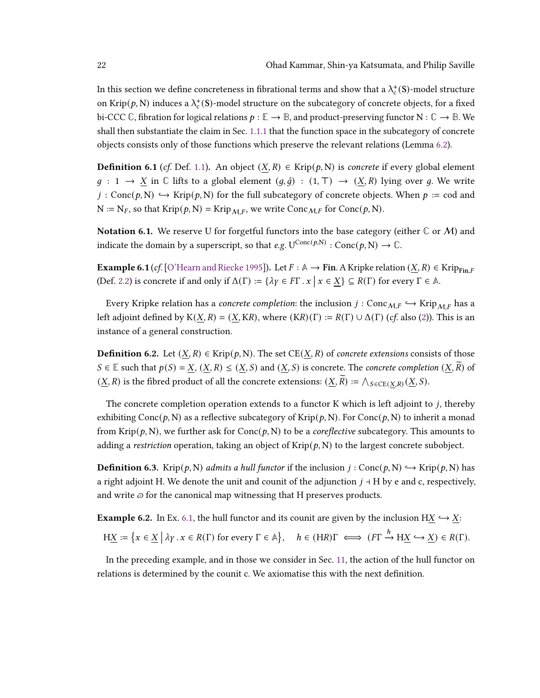In this section we define concreteness in fibrational terms and show that a  $\lambda_{\rm c}^{+}(\rm S)$ -model structure on Krip $(p, N)$  induces a  $\lambda_c^+ (S)$ -model structure on the subcategory of concrete objects, for a fixed bi-CCC  $\mathbb{C}$ , fibration for logical relations  $p : \mathbb{E} \to \mathbb{B}$ , and product-preserving functor  $N : \mathbb{C} \to \mathbb{B}$ . We shall then substantiate the claim in Sec. [1.1.1](#page-3-2) that the function space in the subcategory of concrete objects consists only of those functions which preserve the relevant relations (Lemma [6.2\)](#page-23-1).

**Definition 6.1** (cf. Def. [1.1\)](#page-3-1). An object  $(X, R)$  ∈ Krip $(p, N)$  is concrete if every global element  $g : 1 \to X$  in  $\mathbb C$  lifts to a global element  $(g, \hat{g}) : (1, \mathbb T) \to (X, R)$  lying over g. We write  $j: Conc(p, N) \hookrightarrow Krip(p, N)$  for the full subcategory of concrete objects. When  $p := cod$  and  $N := N_F$ , so that  $Krip(p, N) = Krip_{MF}$ , we write Conc $M_F$  for Conc $(p, N)$ .

**Notation 6.1.** We reserve U for forgetful functors into the base category (either  $\mathbb{C}$  or  $\mathcal{M}$ ) and indicate the domain by a superscript, so that *e.g.*  $U^{\text{Conc}(p,N)} : \text{Conc}(p, N) \to \mathbb{C}$ .

<span id="page-21-0"></span>**Example 6.1** (cf. [\[O'Hearn and Riecke](#page-35-2) [1995\]](#page-35-2)). Let  $F : \mathbb{A} \to \mathbf{Fin}$ . A Kripke relation  $(X, R) \in \text{Krip}_{\text{Fin }F}$ (Def. [2.2\)](#page-9-1) is concrete if and only if  $\Delta(\Gamma) := {\lambda \gamma \in F\Gamma} \cdot x \mid x \in \underline{X} \subseteq R(\Gamma)$  for every  $\Gamma \in \mathbb{A}$ .

Every Kripke relation has a *concrete completion*: the inclusion  $j : \text{Conc}_{M,F} \hookrightarrow \text{Krip}_{M,F}$  has a left adjoint defined by  $K(X, R) = (X, KR)$ , where  $(KR)(\Gamma) := R(\Gamma) \cup \Delta(\Gamma)$  (cf. also [\(2\)](#page-3-3)). This is an instance of a general construction.

**Definition 6.2.** Let  $(X, R) \in$ Krip $(p, N)$ . The set CE $(X, R)$  of *concrete extensions* consists of those S ∈ **E** such that  $p(S) = \underline{X}$ ,  $(\underline{X}, R) \leq (\underline{X}, S)$  and  $(\underline{X}, S)$  is concrete. The *concrete completion*  $(X, \overline{R})$  of  $(\underline{X}, R)$  is the fibred product of all the concrete extensions:  $(\underline{X}, \widetilde{R}) := \bigwedge_{S \in \mathrm{CE}(\underline{X}, R)} (\underline{X}, S)$ .

The concrete completion operation extends to a functor  $K$  which is left adjoint to  $j$ , thereby exhibiting Conc( $p$ , N) as a reflective subcategory of Krip( $p$ , N). For Conc( $p$ , N) to inherit a monad from Krip( $p$ , N), we further ask for Conc( $p$ , N) to be a *coreflective* subcategory. This amounts to adding a restriction operation, taking an object of  $\text{Krip}(p, N)$  to the largest concrete subobject.

**Definition 6.3.** Krip $(p, N)$  admits a hull functor if the inclusion  $j : \text{Conc}(p, N) \hookrightarrow \text{Krip}(p, N)$  has a right adjoint H. We denote the unit and counit of the adjunction  $j \dashv H$  by e and c, respectively, and write  $\varpi$  for the canonical map witnessing that H preserves products.

<span id="page-21-1"></span>**Example 6.2.** In Ex. [6.1,](#page-21-0) the hull functor and its counit are given by the inclusion H $\underline{X} \hookrightarrow \underline{X}$ :

$$
H\underline{X} := \left\{ x \in \underline{X} \mid \lambda y \, . \, x \in R(\Gamma) \text{ for every } \Gamma \in \mathbb{A} \right\}, \quad h \in (HR)\Gamma \iff (F\Gamma \xrightarrow{h} H\underline{X} \hookrightarrow \underline{X}) \in R(\Gamma).
$$

In the preceding example, and in those we consider in Sec. [11,](#page-31-1) the action of the hull functor on relations is determined by the counit c. We axiomatise this with the next definition.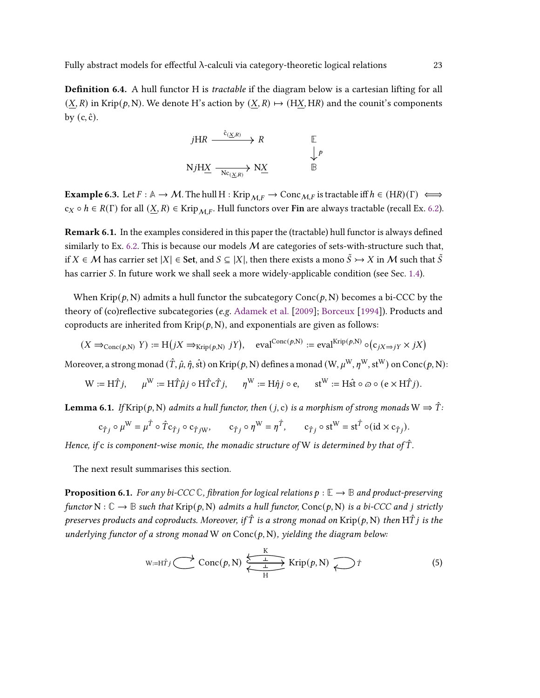**Definition 6.4.** A hull functor H is *tractable* if the diagram below is a cartesian lifting for all  $(X, R)$  in Krip $(p, N)$ . We denote H's action by  $(X, R) \mapsto (HX, HR)$  and the counit's components by  $(c, \hat{c})$ .

$$
jHR \xrightarrow{\hat{c}_{(\underline{X},R)}} R \qquad \qquad \mathbb{E}
$$
  

$$
NjH\underline{X} \xrightarrow[Nc_{(X,R)})} N\underline{X} \qquad \qquad \mathbb{B}
$$

**Example 6.3.** Let  $F : \mathbb{A} \to M$ . The hull  $H : Krip_{MF} \to \text{Conc}_{MF}$  is tractable iff  $h \in (HR)(\Gamma) \iff$  $c_X \circ h \in R(\Gamma)$  for all  $(\underline{X}, R) \in$  Krip $\bigcup_{M,F}$ . Hull functors over Fin are always tractable (recall Ex. [6.2\)](#page-21-1).

<span id="page-22-3"></span>Remark 6.1. In the examples considered in this paper the (tractable) hull functor is always defined similarly to Ex. [6.2.](#page-21-1) This is because our models  $M$  are categories of sets-with-structure such that, if  $X \in \mathcal{M}$  has carrier set  $|X| \in$  Set, and  $S \subseteq |X|$ , then there exists a mono  $\tilde{S} \rightarrowtail X$  in  $\mathcal{M}$  such that  $\tilde{S}$ has carrier S. In future work we shall seek a more widely-applicable condition (see Sec. [1.4\)](#page-8-1).

When Krip( $p$ , N) admits a hull functor the subcategory Conc( $p$ , N) becomes a bi-CCC by the theory of (co)reflective subcategories (e.g. [Adamek et al.](#page-33-10) [\[2009\]](#page-33-10); [Borceux](#page-33-11) [\[1994\]](#page-33-11)). Products and coproducts are inherited from  $\text{Krip}(p, N)$ , and exponentials are given as follows:

$$
(X \Rightarrow_{\text{Conc}(p,N)} Y) := \text{H}(jX \Rightarrow_{\text{Krip}(p,N)} jY), \text{ eval}^{\text{Conc}(p,N)} := \text{eval}^{\text{Krip}(p,N)} \circ (c_{jX \Rightarrow jY} \times jX)
$$

Moreover, a strong monad  $(\hat{T}, \hat{\mu}, \hat{\eta}, \hat{\text{st}})$  on Krip $(p, N)$  defines a monad  $(W, \mu^W, \eta^W, \text{st}^W)$  on Conc $(p, N)$ :

$$
\mathbf{W} := \mathbf{H} \hat{T} j, \qquad \mu^\mathbf{W} := \mathbf{H} \hat{T} \hat{\mu} j \circ \mathbf{H} \hat{T} \mathbf{c} \hat{T} j, \qquad \eta^\mathbf{W} := \mathbf{H} \hat{\eta} j \circ \mathbf{e}, \qquad \mathbf{st}^\mathbf{W} := \mathbf{H} \hat{\mathbf{st}} \circ \varpi \circ (\mathbf{e} \times \mathbf{H} \hat{T} j).
$$

<span id="page-22-0"></span>**Lemma 6.1.** If Krip $(p, N)$  admits a hull functor, then  $(j, c)$  is a morphism of strong monads  $W \Rightarrow \hat{T}$ :

$$
\mathbf{c}_{\hat{T}j} \circ \mu^{\mathbf{W}} = \mu^{\hat{T}} \circ \hat{T} \mathbf{c}_{\hat{T}j} \circ \mathbf{c}_{\hat{T}j\mathbf{W}}, \qquad \mathbf{c}_{\hat{T}j} \circ \eta^{\mathbf{W}} = \eta^{\hat{T}}, \qquad \mathbf{c}_{\hat{T}j} \circ \mathbf{st}^{\mathbf{W}} = \mathbf{st}^{\hat{T}} \circ (\mathrm{id} \times \mathbf{c}_{\hat{T}j}).
$$

Hence, if c is component-wise monic, the monadic structure of W is determined by that of  $\hat{T}$ .

<span id="page-22-1"></span>The next result summarises this section.

**Proposition 6.1.** For any bi-CCC  $\mathbb{C}$ , fibration for logical relations  $p : \mathbb{E} \to \mathbb{B}$  and product-preserving functor N :  $\mathbb{C} \to \mathbb{B}$  such that Krip $(p, N)$  admits a hull functor, Conc $(p, N)$  is a bi-CCC and *i* strictly preserves products and coproducts. Moreover, if  $\hat{T}$  is a strong monad on Krip(p, N) then H $\hat{T}$  is the underlying functor of a strong monad W on  $Conc(p, N)$ , yielding the diagram below:

<span id="page-22-2"></span>
$$
\text{W:}=\text{H}\hat{\tau}_j \bigcirc \text{Conc}(p,\text{N}) \xleftarrow[\text{H}]{\text{K}} \text{Krip}(p,\text{N}) \bigcirc \text{H} \hat{\tau}
$$
\n(5)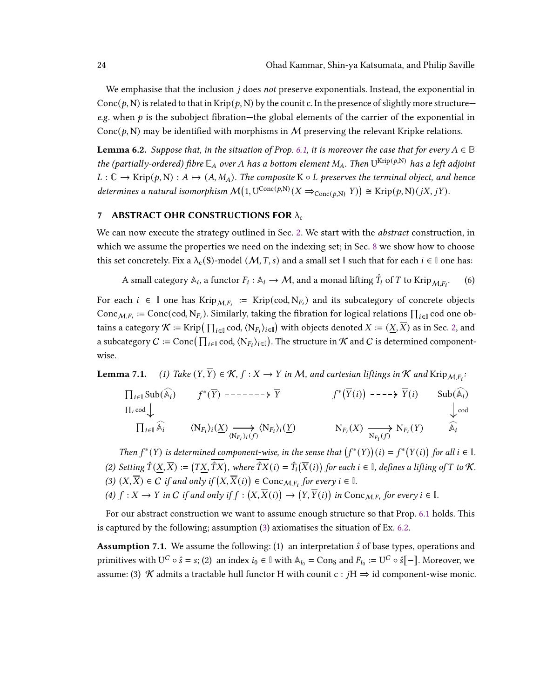We emphasise that the inclusion  $j$  does not preserve exponentials. Instead, the exponential in Conc $(p, N)$  is related to that in Krip $(p, N)$  by the counit c. In the presence of slightly more structure e.g. when  $p$  is the subobject fibration—the global elements of the carrier of the exponential in Conc $(p, N)$  may be identified with morphisms in M preserving the relevant Kripke relations.

<span id="page-23-1"></span>**Lemma 6.2.** Suppose that, in the situation of Prop. [6.1,](#page-22-1) it is moreover the case that for every  $A \in \mathbb{B}$ the (partially-ordered) fibre  $\mathbb{E}_A$  over A has a bottom element  $M_A$ . Then  $U^{Krip(p,N)}$  has a left adjoint  $L: \mathbb{C} \to$  Krip $(p, N): A \mapsto (A, M_A)$ . The composite K  $\circ$  L preserves the terminal object, and hence determines a natural isomorphism  $\mathcal{M}(1, U^{\text{Conc}(p,N)}(X \Rightarrow_{\text{Conc}(p,N)} Y)) \cong \text{Krip}(p,N)(jX, jY).$ 

#### <span id="page-23-0"></span>7 ABSTRACT OHR CONSTRUCTIONS FOR  $\lambda_c$

We can now execute the strategy outlined in Sec. [2.](#page-8-0) We start with the *abstract* construction, in which we assume the properties we need on the indexing set; in Sec. [8](#page-25-0) we show how to choose this set concretely. Fix a  $\lambda_c(S)$ -model  $(M, T, s)$  and a small set **I** such that for each  $i \in \mathbb{I}$  one has:

<span id="page-23-7"></span>A small category  $\mathbb{A}_i$ , a functor  $F_i: \mathbb{A}_i \to \mathcal{M}$ , and a monad lifting  $\hat{T}_i$  of  $T$  to Krip $_{\mathcal{M},F_i}$  $(6)$ 

For each  $i \in \mathbb{I}$  one has Krip $M_{i}F_i := Krip(cod, N_{F_i})$  and its subcategory of concrete objects Conc  $M_{F_i}$  := Conc(cod, N<sub>F<sub>i</sub></sub>). Similarly, taking the fibration for logical relations  $\prod_{i\in\mathbb{I}}$  cod one obtains a category  $\mathcal{K}\coloneqq\mathrm{Krip}\big(\prod_{i\in\mathbb{I}}\mathrm{cod},\langle\mathrm{N}_{F_i}\rangle_{i\in\mathbb{I}}\big)$  with objects denoted  $X\coloneqq(\underline{X},\overline{X})$  as in Sec. [2,](#page-8-0) and a subcategory  $C \coloneqq \mathrm{Conc}(\prod_{i\in \mathbb{I}}\mathrm{cod}, \langle \mathrm{N}_{F_i}\rangle_{i\in \mathbb{I}})$ . The structure in  $\mathcal K$  and  $C$  is determined componentwise.

<span id="page-23-8"></span><span id="page-23-5"></span>**Lemma 7.1.** (1) Take  $(\underline{Y}, \overline{Y}) \in \mathcal{K}$ ,  $f : \underline{X} \to \underline{Y}$  in M, and cartesian liftings in  $\mathcal K$  and  $\text{Krip}_{\mathcal M,F_i}$ :

$$
\Pi_{i \in \mathbb{I}} \text{Sub}(\widehat{\mathbb{A}}_{i}) \qquad f^{*}(\overline{Y}) \qquad \cdots \qquad \qquad \overline{Y} \qquad \qquad f^{*}(\overline{Y}(i)) \qquad \cdots \qquad \overline{Y}(i) \qquad \text{Sub}(\widehat{\mathbb{A}}_{i})
$$
\n
$$
\Pi_{i} \text{cod} \downarrow \qquad \qquad \overline{\Pi_{i} \in \mathbb{I}} \widehat{\mathbb{A}}_{i} \qquad \langle N_{F_{i}} \rangle_{i}(\underline{X}) \longrightarrow \langle N_{F_{i}} \rangle_{i}(\underline{Y}) \qquad \qquad N_{F_{i}}(\underline{X}) \longrightarrow \overline{N_{F_{i}}(f)} N_{F_{i}}(\underline{Y}) \qquad \qquad \widehat{\mathbb{A}}_{i}
$$

Then  $f^*(\overline{Y})$  is determined component-wise, in the sense that  $(f^*(\overline{Y}))(i) = f^*(\overline{Y}(i))$  for all  $i \in \mathbb{I}$ . (2) Setting  $\hat{T}(\underline{X},\overline{X}):=(T\underline{X},\overline{\hat{T}X})$ , where  $\overline{\hat{T}X}(i)=\hat{T}_i(\overline{X}(i))$  for each  $i\in\mathbb{I}$ , defines a lifting of  $T$  to  $\mathcal K$ .  $(3)$   $(\underline{X}, \overline{X}) \in C$  if and only if  $(\underline{X}, \overline{X}(i)) \in \text{Conc}_{\mathcal{M}, F_i}$  for every  $i \in \mathbb{I}$ .

<span id="page-23-6"></span>(4) 
$$
f: X \to Y
$$
 in C if and only if  $f: (\underline{X}, \overline{X}(i)) \to (\underline{Y}, \overline{Y}(i))$  in  $\text{Conc}_{\mathcal{M}, F_i}$  for every  $i \in \mathbb{I}$ .

For our abstract construction we want to assume enough structure so that Prop. [6.1](#page-22-1) holds. This is captured by the following; assumption [\(3\)](#page-23-2) axiomatises the situation of Ex. [6.2.](#page-21-1)

<span id="page-23-4"></span><span id="page-23-3"></span><span id="page-23-2"></span>**Assumption 7.1.** We assume the following: (1) an interpretation  $\hat{s}$  of base types, operations and primitives with U<sup>C</sup> ∘  $\hat{s} = s$ ; (2) an index  $i_0 \in \mathbb{I}$  with  $\mathbb{A}_{i_0} = \text{Con}_S$  and  $F_{i_0} := U^C \circ \hat{s}[\![ - ]\!]$ . Moreover, we assume: (3) K admits a tractable hull functor H with counit c :  $iH \Rightarrow id$  component-wise monic.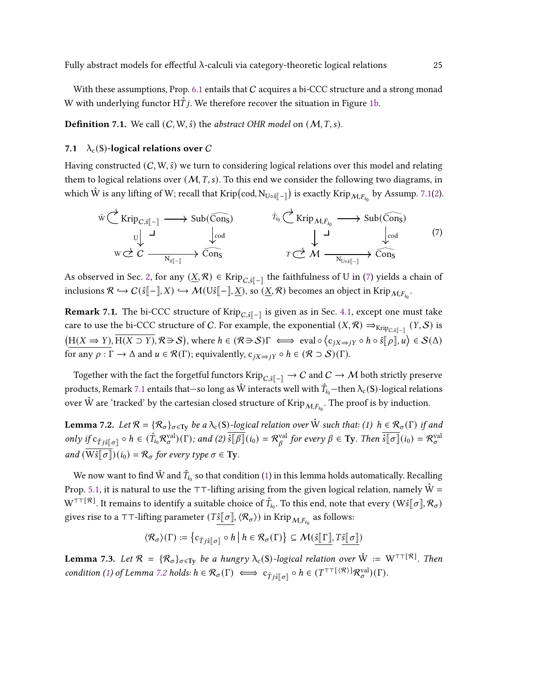With these assumptions, Prop.  $6.1$  entails that  $C$  acquires a bi-CCC structure and a strong monad W with underlying functor  $H\ddot{T}$  *j*. We therefore recover the situation in Figure [1b.](#page-5-0)

<span id="page-24-5"></span>**Definition 7.1.** We call  $(C, W, \hat{s})$  the *abstract OHR model* on  $(M, T, s)$ .

#### 7.1  $\lambda_c(S)$ -logical relations over C

Having constructed  $(C, W, \hat{s})$  we turn to considering logical relations over this model and relating them to logical relations over  $(M, T, s)$ . To this end we consider the following two diagrams, in which  $\hat{W}$  is any lifting of W; recall that Krip(cod,  $N_{U\circ \hat{s}[-]}$ ) is exactly Krip $_{\mathcal{M},F_{i_0}}$  by Assump. [7.1\(](#page-23-3)[2\)](#page-23-4).

<span id="page-24-1"></span>
$$
\hat{w} \underset{W \subset \mathcal{E}}{\leftarrow} \text{Krip}_{C,\hat{s}[-]} \longrightarrow \text{Sub}(\widehat{\text{Cons}}) \qquad \qquad \hat{\tau}_{i_0} \underset{W \subset \mathcal{E}}{\leftarrow} \text{Krip}_{M,F_{i_0}} \longrightarrow \text{Sub}(\widehat{\text{Cons}}) \qquad (7)
$$
\n
$$
w \underset{W \subset \mathcal{E}}{\leftarrow} C \xrightarrow[N_{\hat{s}[-]}\longrightarrow \widehat{\text{Cons}}]{} \qquad \qquad T \underset{W \cup \hat{s}[-]}{\leftarrow} M \xrightarrow[N_{\text{Uos}[-]}\longrightarrow \widehat{\text{Cons}}]{} \qquad (7)
$$

As observed in Sec. [2,](#page-8-0) for any  $(\underline{X}, \mathcal{R})$  ∈ Krip $_{C, \hat{s}$ ∥-∥ the faithfulness of U in [\(7\)](#page-24-1) yields a chain of inclusions  $\mathcal{R} \hookrightarrow C(\hat{\mathfrak{s}}[\![-\!],X) \hookrightarrow \mathcal{M}(U\hat{\mathfrak{s}}[\![-\!],\underline{X}),$  so  $(\underline{X},\mathcal{R})$  becomes an object in Krip $_{\mathcal{M},F_{i_0}}$ .

<span id="page-24-2"></span>**Remark 7.1.** The bi-CCC structure of Krip<sub>C,</sub> $s$ <sub>[-]</sub> is given as in Sec. [4.1,](#page-16-2) except one must take care to use the bi-CCC structure of C. For example, the exponential  $(X, \mathcal{R}) \Rightarrow_{Krip_{C, \delta}[-]} (Y, \mathcal{S})$  is  $(H(X \Rightarrow Y), \overline{H(X \supset Y)}, \mathcal{R} \ni S)$ , where  $h \in (\mathcal{R} \ni S)$   $\Gamma \iff \text{eval} \circ \langle c_{jX \Rightarrow jY} \circ h \circ \hat{s} \llbracket \rho \rrbracket, u \rangle \in \mathcal{S}(\Delta)$ for any  $\rho : \Gamma \to \Delta$  and  $u \in \mathcal{R}(\Gamma)$ ; equivalently,  $c_{iX \to iY} \circ h \in (\mathcal{R} \supset \mathcal{S})(\Gamma)$ .

Together with the fact the forgetful functors Krip $_{C, \hat{s}$ |-| → C and  $C \to M$  both strictly preserve products, Remark [7.1](#page-24-2) entails that—so long as  $\hat{W}$  interacts well with  $\hat{T}_{i_0}$ —then  $\lambda_c(S)$ -logical relations over  $\hat{W}$  are 'tracked' by the cartesian closed structure of Krip $_{\mathcal{M},F_{i_0}}.$  The proof is by induction.

<span id="page-24-4"></span>**Lemma 7.2.** Let  $\mathcal{R} = \{\mathcal{R}_{\sigma}\}_{\sigma \in \text{Ty}}$  be a  $\lambda_c(S)$ -logical relation over  $\hat{W}$  such that: (1)  $h \in \mathcal{R}_{\sigma}(\Gamma)$  if and only if  $c_{\hat{T} j\hat{s} \|\sigma\|} \circ h \in (\hat{T}_{i_0} \mathcal{R}^{\text{val}}_{\sigma})(\Gamma)$ ; and (2)  $\overline{\hat{s}[\beta]}(i_0) = \mathcal{R}^{\text{val}}_{\beta}$  $f_{\beta}^{\text{val}}$  for every  $\beta \in \text{Ty}$ . Then  $\overline{\hat{s}[\![\sigma]\!]}(i_0) = \mathcal{R}_{\sigma}^{\text{val}}$ and  $(\overline{\text{W}\hat{s}[\sigma]})(i_0) = \mathcal{R}_{\sigma}$  for every type  $\sigma \in \text{Ty}$ .

We now want to find  $\hat{\mathrm{W}}$  and  $\hat{T}_{i_0}$  so that condition [\(1\)](#page-24-3) in this lemma holds automatically. Recalling Prop. [5.1,](#page-20-1) it is natural to use the ⊤⊤-lifting arising from the given logical relation, namely  $\hat{W}$  =  $W^{\top\top[\mathcal{R}]}$ . It remains to identify a suitable choice of  $\hat{T}_{i_0}$ . To this end, note that every  $(W\hat{s}[\![\sigma]\!],\mathcal{R}_\sigma)$ gives rise to a ⊤⊤-lifting parameter  $(T \underline{\hat{s}}[\sigma], \langle \mathcal{R}_{\sigma} \rangle)$  in Krip $_{\mathcal{M}, F_{i_0}}$  as follows:

<span id="page-24-3"></span>
$$
\langle \mathcal{R}_\sigma\rangle(\Gamma) := \left\{ \mathsf{c}_{\hat{T} j\hat{s}[\sigma]} \circ h \, \middle| \, h \in \mathcal{R}_\sigma(\Gamma) \right\} \subseteq \mathcal{M}(\underline{\hat{s}[\![\Gamma]\!]},T \underline{\hat{s}[\![\sigma]\!]})
$$

<span id="page-24-0"></span>**Lemma 7.3.** Let  $\mathcal{R} = {\mathcal{R}_{\sigma}}_{\sigma \in \text{Tw}}$  be a hungry  $\lambda_c(S)$ -logical relation over  $\hat{W} := W^{\top \top [R]}$ . Then condition [\(1\)](#page-24-3) of Lemma [7.2](#page-24-4) holds:  $h \in \mathcal{R}_{\sigma}(\Gamma) \iff c_{\hat{T} \setminus \hat{s} \parallel \sigma \parallel} \circ h \in (T^{\top \top \{ \langle \mathcal{R} \rangle \}} \mathcal{R}_{\sigma}^{\text{val}})(\Gamma).$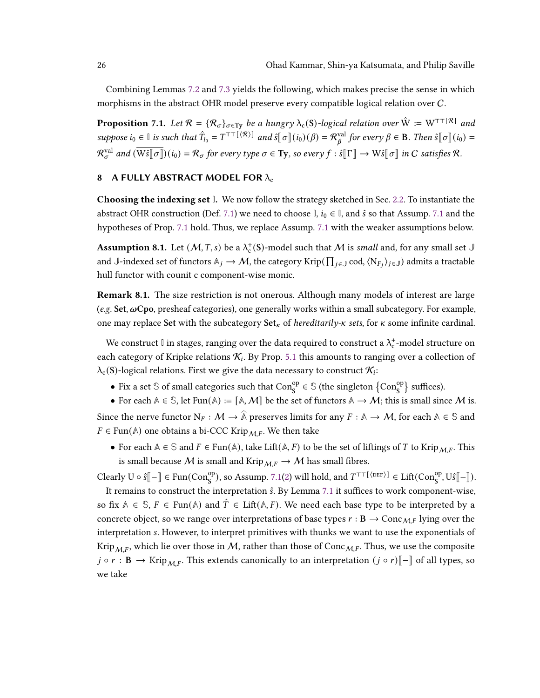Combining Lemmas [7.2](#page-24-4) and [7.3](#page-24-0) yields the following, which makes precise the sense in which morphisms in the abstract OHR model preserve every compatible logical relation over C.

<span id="page-25-1"></span>**Proposition 7.1.** Let  $\mathcal{R} = {\mathcal{R}_{\sigma}}_{\sigma \in T_y}$  be a hungry  $\lambda_c(S)$ -logical relation over  $\hat{W} := W^{\top T[R]}$  and suppose  $i_0 \in \mathbb{I}$  is such that  $\hat{T}_{i_0} = T^{\top \top}(\mathcal{R}) \mid$  and  $\overline{\hat{s}[\sigma]}(i_0)(\beta) = \mathcal{R}_{\beta}^{\text{val}}$  $f_{\beta}^{\text{val}}$  for every  $\beta \in \mathbf{B}$ . Then  $\overline{\hat{s}[\![\sigma]\!]}(i_0) =$  $\mathcal{R}^{\text{val}}_\sigma$  and  $(\overline{\text{W}\hat{s}[\![\sigma]\!]})(i_0) = \mathcal{R}_\sigma$  for every type  $\sigma \in \text{Ty}$ , so every  $f : \hat{s}[\![\Gamma]\!] \to \text{W}\hat{s}[\![\sigma]\!]$  in  $C$  satisfies  $\mathcal{R}.$ 

# <span id="page-25-0"></span>8 A FULLY ABSTRACT MODEL FOR  $\lambda_c$

Choosing the indexing set **I**. We now follow the strategy sketched in Sec. [2.2.](#page-12-1) To instantiate the abstract OHR construction (Def. [7.1\)](#page-24-5) we need to choose  $\mathbb{I}$ ,  $i_0 \in \mathbb{I}$ , and  $\hat{s}$  so that Assump. [7.1](#page-23-3) and the hypotheses of Prop. [7.1](#page-25-1) hold. Thus, we replace Assump. [7.1](#page-23-3) with the weaker assumptions below.

Assumption 8.1. Let  $(M, T, s)$  be a  $\lambda_c^+$ (S)-model such that M is small and, for any small set J and  $\mathbb{J}\text{-}\text{indexed set of functors }\mathbb{A}_j\to\mathcal{M}\text{, the category }\text{Krip}(\prod_{j\in\mathbb{J}}\text{cod},\langle\mathrm{N}_{F_j}\rangle_{j\in\mathbb{J}})\text{ admits a tractable}$ hull functor with counit c component-wise monic.

<span id="page-25-2"></span>Remark 8.1. The size restriction is not onerous. Although many models of interest are large  $(e.g.$  Set,  $\omega$ Cpo, presheaf categories), one generally works within a small subcategory. For example, one may replace Set with the subcategory Set<sub>k</sub> of *hereditarily-* sets, for  $\kappa$  some infinite cardinal.

We construct  $\mathbb I$  in stages, ranging over the data required to construct a  $\lambda_{\rm c}^*$ -model structure on each category of Kripke relations  $\mathcal{K}_i$ . By Prop. [5.1](#page-20-1) this amounts to ranging over a collection of  $\lambda_{\rm c}(\rm S)$ -logical relations. First we give the data necessary to construct  $\mathcal{K}_i$ :

• Fix a set  $\Im$  of small categories such that  $Con_S^{op} \in \Im$  (the singleton  $\{Con_S^{op}\}$  suffices).

• For each  $A \in \mathbb{S}$ , let Fun( $A$ ) := [ $A$ ,  $M$ ] be the set of functors  $A \rightarrow M$ ; this is small since M is. Since the nerve functor  $\mathrm{N}_F:\mathcal{M}\to \widehat{\mathbb{A}}$  preserves limits for any  $F:\mathbb{A}\to \mathcal{M},$  for each  $\mathbb{A}\in \mathbb{S}$  and  $F ∈ Fun(A)$  one obtains a bi-CCC Krip<sub>M,F</sub>. We then take

• For each  $A \in \mathbb{S}$  and  $F \in \text{Fun}(\mathbb{A})$ , take Lift( $\mathbb{A}, F$ ) to be the set of liftings of T to Krip<sub>MF</sub>. This is small because M is small and Krip $_{MF} \rightarrow M$  has small fibres.

Clearly  $U \circ \hat{\mathfrak{s}} \llbracket - \rrbracket \in \text{Fun}(\text{Con}^{\text{op}}_{\mathsf{S}}), \text{ so Assump. } 7.1(2) \text{ will hold, and } T^{\top\top\{\text{[DEF]}}\} \in \text{Lift}(\text{Con}^{\text{op}}_{\mathsf{S}}, \text{U}\hat{\mathfrak{s}} \llbracket - \rrbracket).$  $U \circ \hat{\mathfrak{s}} \llbracket - \rrbracket \in \text{Fun}(\text{Con}^{\text{op}}_{\mathsf{S}}), \text{ so Assump. } 7.1(2) \text{ will hold, and } T^{\top\top\{\text{[DEF]}}\} \in \text{Lift}(\text{Con}^{\text{op}}_{\mathsf{S}}, \text{U}\hat{\mathfrak{s}} \llbracket - \rrbracket).$  $U \circ \hat{\mathfrak{s}} \llbracket - \rrbracket \in \text{Fun}(\text{Con}^{\text{op}}_{\mathsf{S}}), \text{ so Assump. } 7.1(2) \text{ will hold, and } T^{\top\top\{\text{[DEF]}}\} \in \text{Lift}(\text{Con}^{\text{op}}_{\mathsf{S}}, \text{U}\hat{\mathfrak{s}} \llbracket - \rrbracket).$  $U \circ \hat{\mathfrak{s}} \llbracket - \rrbracket \in \text{Fun}(\text{Con}^{\text{op}}_{\mathsf{S}}), \text{ so Assump. } 7.1(2) \text{ will hold, and } T^{\top\top\{\text{[DEF]}}\} \in \text{Lift}(\text{Con}^{\text{op}}_{\mathsf{S}}, \text{U}\hat{\mathfrak{s}} \llbracket - \rrbracket).$ 

It remains to construct the interpretation  $\hat{s}$ . By Lemma [7.1](#page-23-5) it suffices to work component-wise, so fix  $A \in \mathcal{S}, F \in \text{Fun}(\mathcal{A})$  and  $\hat{T} \in \text{Lift}(\mathcal{A}, F)$ . We need each base type to be interpreted by a concrete object, so we range over interpretations of base types  $r : B \to \text{Conc}_{M,F}$  lying over the interpretation s. However, to interpret primitives with thunks we want to use the exponentials of Krip $_{\mathcal{M}, F}$ , which lie over those in  $\mathcal{M}$ , rather than those of Conc $_{\mathcal{M}, F}$ . Thus, we use the composite  $j \circ r : \mathbf{B} \to \text{Krip}_{MF}$ . This extends canonically to an interpretation  $(j \circ r)[\![-]\!]$  of all types, so we take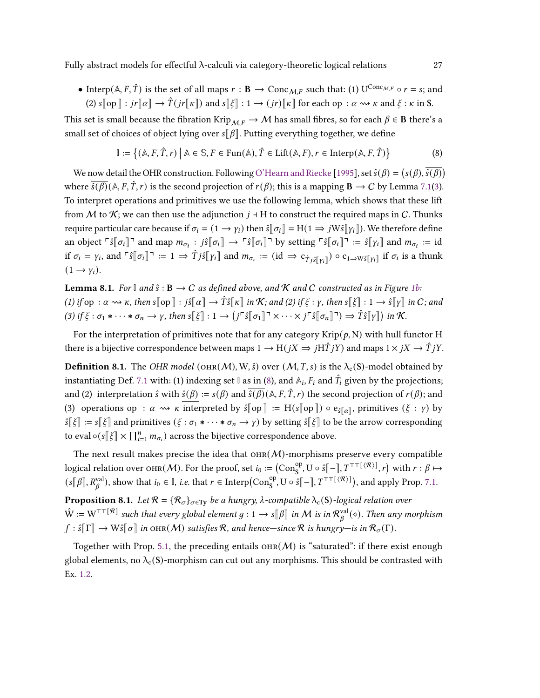Fully abstract models for effectful  $\lambda$ -calculi via category-theoretic logical relations 27

• Interp( $A, F, \hat{T}$ ) is the set of all maps  $r : B \to \text{Conc}_{\mathcal{M}, F}$  such that: (1) U<sup>Conc</sup><sub>M,F</sub> o  $r = s$ ; and (2)  $s[\n\log \mid : j\leftarrow \hat{T}(j\leftarrow \mid \mathbf{k} \mid])$  and  $s[\notin] : 1 \rightarrow (j\leftarrow \mid \mathbf{k} \mid]$  for each op  $: \alpha \rightarrow \infty$   $\kappa$  and  $\xi : \kappa$  in S.

This set is small because the fibration Krip $_{MF} \rightarrow M$  has small fibres, so for each  $\beta \in B$  there's a small set of choices of object lying over  $s[\![\beta]\!]$ . Putting everything together, we define

<span id="page-26-0"></span>
$$
\mathbb{I} := \left\{ (\mathbb{A}, F, \hat{T}, r) \mid \mathbb{A} \in \mathbb{S}, F \in \text{Fun}(\mathbb{A}), \hat{T} \in \text{Lift}(\mathbb{A}, F), r \in \text{Interp}(\mathbb{A}, F, \hat{T}) \right\}
$$
(8)

We now detail the OHR construction. Following [O'Hearn and Riecke](#page-35-2) [\[1995\]](#page-35-2), set  $\hat{s}(\beta) = (s(\beta), \overline{\hat{s}(\beta)})$ where  $\overline{\hat{s}(\beta)}$  ( $\mathbb{A}, F, \hat{T}, r$ ) is the second projection of  $r(\beta)$ ; this is a mapping  $\mathbf{B} \to C$  by Lemma [7.1\(](#page-23-5)[3\)](#page-23-6). To interpret operations and primitives we use the following lemma, which shows that these lift from M to K; we can then use the adjunction  $j \dashv H$  to construct the required maps in C. Thunks require particular care because if  $\sigma_i = (1 \rightarrow \gamma_i)$  then  $\hat{s} \cdot \sigma_i = H(1 \Rightarrow jW \hat{s} \cdot \gamma_i)$ . We therefore define an object  $\ulcorner \hat{s} \urcorner \sigma_i \urcorner \urcorner$  and map  $m_{\sigma_i} : j \hat{s} \urcorner \sigma_i \urcorner \rightarrow \ulcorner \hat{s} \urcorner \sigma_i \urcorner \urcorner$  by setting  $\ulcorner \hat{s} \urcorner \sigma_i \urcorner \urcorner \urcorner = \hat{s} \urcorner \urcorner \gamma_i \urcorner$  and  $m_{\sigma_i} := \text{id}$ if  $\sigma_i = \gamma_i$ , and  $\ulcorner \hat{s} \urcorner \sigma_i \urcorner = 1 \Rightarrow \hat{T} j \hat{s} \urcorner \urcorner \gamma_i \urcorner$  and  $m_{\sigma_i} := (\text{id} \Rightarrow c_{\hat{T} j \hat{s} \urcorner \urcorner \gamma_i \urcorner \urcorner}) \circ c_{1 \Rightarrow W \hat{s} \urcorner \urcorner \gamma_i \urcorner \urcorner \urcorner \urcorner \sigma_i \urcorner$  is a thunk  $(1 \rightarrow \gamma_i)$ .

**Lemma 8.1.** For  $\mathbb{I}$  and  $\hat{s} : B \to C$  as defined above, and K and C constructed as in Figure [1b:](#page-5-0) (1) if op :  $\alpha \rightsquigarrow \kappa$ , then  $s[\![\text{op}]\!] : j\hat{s}[\![\alpha]\!] \rightarrow \hat{T}\hat{s}[\![\kappa]\!]$  in  $\mathcal{K}$ ; and (2) if  $\xi : \gamma$ , then  $s[\![\xi]\!] : 1 \rightarrow \hat{s}[\![\gamma]\!]$  in  $C$ ; and (3) if  $\xi : \sigma_1 * \cdots * \sigma_n \to \gamma$ , then  $s[\xi] : 1 \to (j^r \hat{s}[\sigma_1] \to \cdots \times j^r \hat{s}[\sigma_n] \to \hat{T} \hat{s}[\gamma])$  in K.

For the interpretation of primitives note that for any category  $\text{Krip}(\rho, N)$  with hull functor H there is a bijective correspondence between maps  $1 \to H(jX \Rightarrow jH\hat{T}jY)$  and maps  $1 \times jX \to \hat{T}jY$ .

<span id="page-26-3"></span>**Definition 8.1.** The OHR model (OHR(M), W,  $\hat{s}$ ) over (M, T, s) is the  $\lambda_c(S)$ -model obtained by instantiating Def. [7.1](#page-24-5) with: (1) indexing set  $\mathbb{I}$  as in [\(8\)](#page-26-0), and  $\mathbb{A}_i$ ,  $F_i$  and  $\hat{T}_i$  given by the projections; and (2) interpretation  $\hat{s}$  with  $\hat{s}(\beta) := s(\beta)$  and  $\overline{\hat{s}(\beta)}(\mathbb{A}, F, \hat{T}, r)$  the second projection of  $r(\beta)$ ; and (3) operations op :  $\alpha \rightsquigarrow \kappa$  interpreted by  $\hat{s}$ [op] := H( $s$ [op])  $\circ e_{\hat{s}(\alpha)},$  primitives ( $\xi : \gamma$ ) by  $\hat{s}$ [ξ] :=  $s$ [ξ] and primitives (ξ :  $\sigma_1$  ∗ · · · •  $\sigma_n \to \gamma$ ) by setting  $\hat{s}$ [ξ] to be the arrow corresponding to eval  $\circ$  ( $s[\![\xi]\!] \times \prod_{i=1}^n m_{\sigma_i}$ ) across the bijective correspondence above.

The next result makes precise the idea that  $\text{OHR}(M)$ -morphisms preserve every compatible logical relation over  $\text{OHR}(\mathcal{M})$ . For the proof, set  $i_0 := \left(\text{Con}_{\text{S}}^{\text{op}}, \text{U} \circ \hat{\text{s}} \right[ - \rceil, T^{\top\top}[\langle \mathcal{R} \rangle], r\right)$  with  $r : \beta \mapsto$  $(s[[\beta], R^{\text{val}}_{\beta}), \text{ show that } i_0 \in \mathbb{I}, \text{ i.e. that } r \in \text{Interp}(\text{Con}^{\text{op}}_{\mathbf{S}}, \mathbf{U} \circ \hat{s}[-], T^{\top \top}(\mathcal{R})]$ , and apply Prop. [7.1.](#page-25-1)

<span id="page-26-1"></span>**Proposition 8.1.** Let  $\mathcal{R} = \{\mathcal{R}_{\sigma}\}_{{\sigma \in T_y}}$  be a hungry,  $\lambda$ -compatible  $\lambda_c(S)$ -logical relation over  $\hat{W} := W^{\top\top[\mathcal{R}]}$  such that every global element  $g: 1 \to s[\![\beta]\!]$  in M is in  $\mathcal{R}^{\text{val}}_{\beta}$  $\chi_{\beta}^{\text{val}}(\diamond)$ . Then any morphism  $f : \hat{s} \llbracket \Gamma \rrbracket \to W\hat{s} \llbracket \sigma \rrbracket$  in  $\text{OHR}(\mathcal{M})$  satisfies  $\mathcal{R}$ , and hence—since  $\mathcal{R}$  is hungry—is in  $\mathcal{R}_\sigma(\Gamma)$ .

<span id="page-26-2"></span>Together with Prop. [5.1,](#page-20-1) the preceding entails  $\text{OHR}(\mathcal{M})$  is "saturated": if there exist enough global elements, no  $\lambda_c(S)$ -morphism can cut out any morphisms. This should be contrasted with Ex. [1.2.](#page-2-0)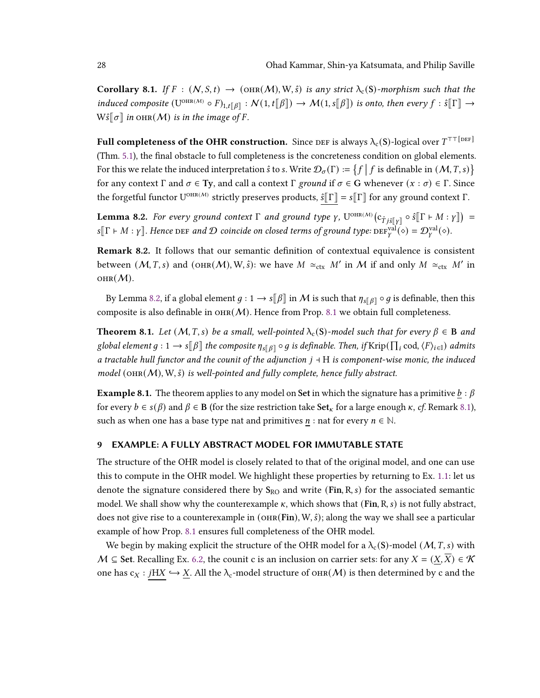**Corollary 8.1.** If  $F : (N, S, t) \to (\text{ORR}(M), W, \hat{s})$  is any strict  $\lambda_c(S)$ -morphism such that the induced composite  $(U^{OHR(M)} \circ F)_{1,t[\![\beta]\!]} : \mathcal{N}(1,t[\![\beta]\!]) \to \mathcal{M}(1,s[\![\beta]\!])$  is onto, then every  $f : \hat{s}[\![\Gamma]\!] \to$  $W\hat{s}\llbracket \sigma \rrbracket$  in  $\text{OHR}(\mathcal{M})$  is in the image of F.

Full completeness of the OHR construction. Since  ${\tt DEF}$  is always  $\lambda_{\rm c}({\sf S})$ -logical over  $T^{\top\top[{\tt DEF}]}$ (Thm. [5.1\)](#page-20-2), the final obstacle to full completeness is the concreteness condition on global elements. For this we relate the induced interpretation  $\hat{s}$  to  $s$ . Write  $\mathcal{D}_{\sigma}(\Gamma) := \{f \mid f \text{ is definable in } (\mathcal{M}, T, s)\}\$ for any context  $\Gamma$  and  $\sigma \in Ty$ , and call a context  $\Gamma$  ground if  $\sigma \in G$  whenever  $(x : \sigma) \in \Gamma$ . Since the forgetful functor  $U^{OHR(M)}$  strictly preserves products,  $\hat{s}$ [ $\Gamma$ ] =  $s$ [ $\Gamma$ ] for any ground context  $\Gamma$ .

<span id="page-27-2"></span>**Lemma 8.2.** For every ground context  $\Gamma$  and ground type  $\gamma$ ,  $U^{OHR(M)}(c_{\hat{T} j\hat{s}[[\gamma]]}\circ \hat{s}[[\Gamma \vdash M : \gamma]]) =$  $s[\![\Gamma \vdash M : \gamma]\!]$ . Hence DEF and  $\mathcal D$  coincide on closed terms of ground type:  $\text{DEF}_{\gamma}^{\text{val}}(\diamond) = \mathcal D_{\gamma}^{\text{val}}(\diamond)$ .

<span id="page-27-4"></span>Remark 8.2. It follows that our semantic definition of contextual equivalence is consistent between  $(M, T, s)$  and  $(\text{OHR}(M), W, \hat{s})$ : we have  $M \simeq_{\text{ctx}} M'$  in M if and only  $M \simeq_{\text{ctx}} M'$  in  $OHR(M).$ 

By Lemma [8.2,](#page-27-2) if a global element  $g: 1 \to s[\beta]$  in M is such that  $\eta_{s[\beta]} \circ g$  is definable, then this composite is also definable in  $O(H)$ . Hence from Prop. [8.1](#page-26-1) we obtain full completeness.

<span id="page-27-3"></span>**Theorem 8.1.** Let  $(M, T, s)$  be a small, well-pointed  $\lambda_c(S)$ -model such that for every  $\beta \in B$  and global element  $g: 1 \to s[\![\beta]\!]$  the composite  $\eta_{s[\![\beta]\!]} \circ g$  is definable. Then, if  $\mathrm{Krip}(\prod_i \mathrm{cod}, \langle F \rangle_{i\in\mathbb{I}})$  admits a tractable hull functor and the counit of the adjunction  $j + H$  is component-wise monic, the induced model ( $\text{OHR}(M)$ , W,  $\hat{s}$ ) is well-pointed and fully complete, hence fully abstract.

<span id="page-27-1"></span>**Example 8.1.** The theorem applies to any model on Set in which the signature has a primitive  $b : \beta$ for every  $b \in s(\beta)$  and  $\beta \in \mathbf{B}$  (for the size restriction take  $\text{Set}_{\kappa}$  for a large enough  $\kappa$ , cf. Remark [8.1\)](#page-25-2), such as when one has a base type nat and primitives  $n : \text{nat}$  for every  $n \in \mathbb{N}$ .

# <span id="page-27-0"></span>9 EXAMPLE: A FULLY ABSTRACT MODEL FOR IMMUTABLE STATE

The structure of the OHR model is closely related to that of the original model, and one can use this to compute in the OHR model. We highlight these properties by returning to Ex. [1.1:](#page-1-0) let us denote the signature considered there by  $S_{RO}$  and write (Fin, R, s) for the associated semantic model. We shall show why the counterexample  $\kappa$ , which shows that (Fin, R, s) is not fully abstract, does not give rise to a counterexample in (OHR(Fin), W,  $\hat{s}$ ); along the way we shall see a particular example of how Prop. [8.1](#page-26-1) ensures full completeness of the OHR model.

We begin by making explicit the structure of the OHR model for a  $\lambda_c(S)$ -model  $(M, T, s)$  with  $M \subseteq$  Set. Recalling Ex. [6.2,](#page-21-1) the counit c is an inclusion on carrier sets: for any  $X = (X,\overline{X}) \in \mathcal{K}$ one has  $c_X : jHX \hookrightarrow \underline{X}$ . All the  $\lambda_c$ -model structure of  $\text{OHR}(M)$  is then determined by c and the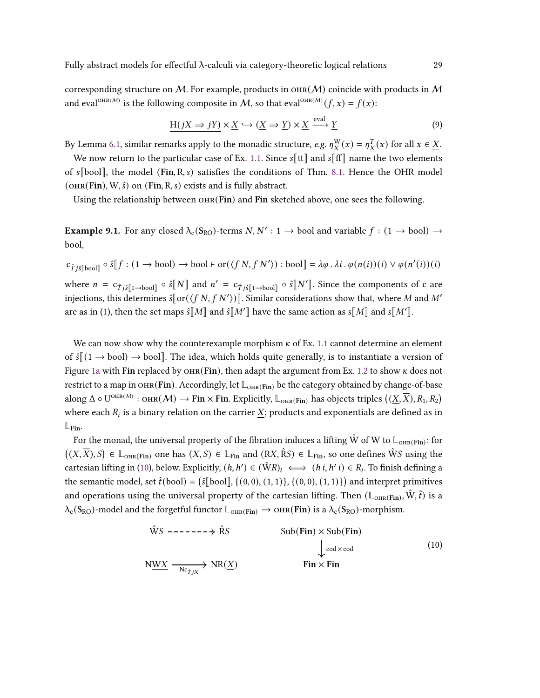corresponding structure on M. For example, products in  $\mathcal{M}$  coincide with products in M and eval<sup>OHR(M)</sup> is the following composite in M, so that eval<sup>OHR(M)</sup>  $(f, x) = f(x)$ :

<span id="page-28-2"></span>
$$
\underline{H(jX \Rightarrow jY)} \times \underline{X} \hookrightarrow (\underline{X} \Rightarrow \underline{Y}) \times \underline{X} \xrightarrow{\text{eval}} \underline{Y}
$$
 (9)

By Lemma [6.1,](#page-22-0) similar remarks apply to the monadic structure, e.g.  $\eta_X^W(x) = \eta_X^T(x)$  for all  $x \in \underline{X}$ .

We now return to the particular case of Ex. [1.1.](#page-1-0) Since  $s[[\mathbf{t}]]$  and  $s[[\mathbf{f}]]$  name the two elements of  $\sqrt{s}$ [bool], the model (Fin, R, s) satisfies the conditions of Thm. [8.1.](#page-27-3) Hence the OHR model  $($ OHR(Fin), W,  $\hat{s}$ ) on (Fin, R, s) exists and is fully abstract.

<span id="page-28-1"></span>Using the relationship between  $OHR(Fin)$  and Fin sketched above, one sees the following.

**Example 9.1.** For any closed  $\lambda_c(S_{RO})$ -terms  $N, N': 1 \rightarrow \text{bool}$  and variable  $f : (1 \rightarrow \text{bool}) \rightarrow$ bool,

 $c_{\hat{T}j\hat{s}\|\text{bool}\|}\circ \hat{s}[[f:(1\rightarrow \text{bool})\rightarrow \text{bool} \vdash \text{or}(\langle fN, fN'\rangle):\text{bool}]\equiv \lambda \varphi \cdot \lambda i \cdot \varphi(n(i))(i) \vee \varphi(n'(i))(i)$ where  $n = c_{\hat{T} j\hat{s}[\![1\rightarrow \text{bool}]\!]}\circ \hat{s}[\![N]\!]$  and  $n' = c_{\hat{T} j\hat{s}[\![1\rightarrow \text{bool}]\!]}\circ \hat{s}[\![N']\!]$ . Since the components of c are injections, this determines  $\hat{s}$ [or( $\langle f N, f N' \rangle$ )]. Similar considerations show that, where M and M' are as in [\(1\)](#page-1-1), then the set maps  $\hat{s}[[M]]$  and  $\hat{s}[[M']]$  have the same action as  $s[[M]]$  and  $s[[M']]$ .

We can now show why the counterexample morphism  $\kappa$  of Ex. [1.1](#page-1-0) cannot determine an element of  $\hat{s}$   $(1 \rightarrow$  bool $) \rightarrow$  bool]. The idea, which holds quite generally, is to instantiate a version of Figure [1a](#page-5-0) with Fin replaced by  $OHR(Fin)$ , then adapt the argument from Ex. [1.2](#page-2-0) to show  $\kappa$  does not restrict to a map in OHR(Fin). Accordingly, let  $\mathbb{L}_{\text{OR}(Fin)}$  be the category obtained by change-of-base along  $\Delta \circ U^{\text{OHR}(\mathcal{M})}: \text{OHR}(\mathcal{M}) \to \text{Fin} \times \text{Fin}$ . Explicitly,  $\mathbb{L}_{\text{OHR}(\text{Fin})}$  has objects triples  $((\underline{X},\overline{X}), R_1, R_2)$ where each  $R_i$  is a binary relation on the carrier X; products and exponentials are defined as in **L**Fin.

For the monad, the universal property of the fibration induces a lifting  $\hat{W}$  of  $W$  to  $\mathbb{L}_{\text{OHR}(\text{Fin})}$ : for  $((\underline{X}, \overline{X}), S) \in \mathbb{L}_{\text{OHR}(\text{Fin})}$  one has  $(\underline{X}, S) \in \mathbb{L}_{\text{Fin}}$  and  $(R\underline{X}, \hat{R}S) \in \mathbb{L}_{\text{Fin}}$ , so one defines  $\hat{W}S$  using the cartesian lifting in [\(10\)](#page-28-0), below. Explicitly,  $(h, h') \in (\hat{W}R)_i \iff (h i, h' i) \in R_i$ . To finish defining a the semantic model, set  $\hat{t}(\text{bool}) = (\hat{s}[\text{bool}], \{(0,0), (1,1)\}, \{(0,0), (1,1)\})$  and interpret primitives and operations using the universal property of the cartesian lifting. Then  $(\mathbb{L}_{\text{OHR}(Fin)}, \hat{W}, \hat{t})$  is a  $\lambda_c(S_{RO})$ -model and the forgetful functor  $\mathbb{L}_{OHR(Fin)} \to OHR(Fin)$  is a  $\lambda_c(S_{RO})$ -morphism.

<span id="page-28-0"></span>
$$
\hat{W}S \n\begin{array}{ccc}\n-\n- - - - - \rightarrow \hat{R}S & \text{Sub(Fin)} \times \text{Sub(Fin)} \\
\downarrow \text{cod} \times \text{cod} \\
\downarrow \text{cod} \times \text{cod}\n\end{array}\n\tag{10}
$$
\n
$$
\text{N\underline{WX}} \n\begin{array}{ccc}\n-\n\text{N\underline{V}X} & \text{NR}(\underline{X}) & \text{Fin} \times \text{Fin}\n\end{array}
$$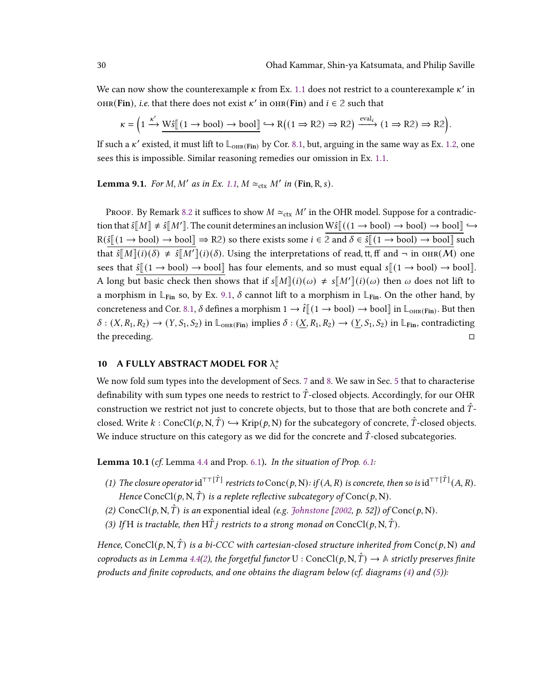We can now show the counterexample  $\kappa$  from Ex. [1.1](#page-1-0) does not restrict to a counterexample  $\kappa'$  in OHR(Fin), *i.e.* that there does not exist  $\kappa'$  in OHR(Fin) and  $i \in \mathbb{2}$  such that

$$
\kappa = \left(1 \xrightarrow{\kappa'} \underline{\text{W}\hat{s}} \left[ (1 \to \text{bool}) \to \text{bool} \right] \longleftrightarrow R \left( (1 \Rightarrow R2) \Rightarrow R2 \right) \xrightarrow{\text{eval}_i} (1 \Rightarrow R2) \Rightarrow R2 \right).
$$

If such a  $\kappa'$  existed, it must lift to  $\mathbb{L}_{\text{OHR}(\text{Fin})}$  by Cor. [8.1,](#page-26-2) but, arguing in the same way as Ex. [1.2,](#page-2-0) one sees this is impossible. Similar reasoning remedies our omission in Ex. [1.1.](#page-1-0)

<span id="page-29-0"></span>**Lemma 9.1.** For M, M' as in Ex. [1.1,](#page-1-0)  $M \approx_{\text{ctx}} M'$  in (Fin, R, s).

PROOF. By Remark [8.2](#page-27-4) it suffices to show  $M \simeq_{\text{ctx}} M'$  in the OHR model. Suppose for a contradiction that  $\hat{s}[M] \neq \hat{s}[M']$ . The counit determines an inclusion  $W\hat{s}[(1 \rightarrow bool) \rightarrow bool] \rightarrow bool]$  $R(\hat{s} \mid (1 \rightarrow \text{bool}) \rightarrow \text{bool} \mid \Rightarrow R2)$  so there exists some  $i \in \{2 \text{ and } \delta \in \hat{s} \mid (1 \rightarrow \text{bool}) \rightarrow \text{bool} \mid \text{such}$ that  $\hat{s}[[M]](i)(\delta) \neq \hat{s}[M']](i)(\delta)$ . Using the interpretations of read, it, ff and  $\neg$  in  $\text{OHR}(M)$  one sees that  $\hat{s} \sim \sim$  bool)  $\rightarrow$  bool] has four elements, and so must equal  $s \sim \sim$  bool)  $\rightarrow$  bool]. A long but basic check then shows that if  $s[M](i)(\omega) \neq s[M'](i)(\omega)$  then  $\omega$  does not lift to a morphism in  $\mathbb{L}_{\text{Fin}}$  so, by Ex. [9.1,](#page-28-1)  $\delta$  cannot lift to a morphism in  $\mathbb{L}_{\text{Fin}}$ . On the other hand, by concreteness and Cor. [8.1,](#page-26-2)  $\delta$  defines a morphism  $1 \to \hat{t} \llbracket (1 \to \text{bool}) \to \text{bool} \rrbracket$  in  $\mathbb{L}_{\text{OHR}(\text{Fin})}$ . But then  $\delta: (X, R_1, R_2) \to (Y, S_1, S_2)$  in  $\mathbb{L}_{\text{OHR}}(\text{Fin})$  implies  $\delta: (\underline{X}, R_1, R_2) \to (\underline{Y}, S_1, S_2)$  in  $\mathbb{L}_{\text{Fin}}$ , contradicting the preceding. □

# <span id="page-29-1"></span>10 A FULLY ABSTRACT MODEL FOR  $\lambda_c^+$

We now fold sum types into the development of Secs. [7](#page-23-0) and [8.](#page-25-0) We saw in Sec. [5](#page-18-0) that to characterise definability with sum types one needs to restrict to  $\hat{T}$ -closed objects. Accordingly, for our OHR construction we restrict not just to concrete objects, but to those that are both concrete and  $\hat{T}$ closed. Write  $k : \text{ConcCl}(p, N, \hat{T}) \hookrightarrow \text{Krip}(p, N)$  for the subcategory of concrete,  $\hat{T}$ -closed objects. We induce structure on this category as we did for the concrete and  $\hat{T}$ -closed subcategories.

<span id="page-29-2"></span>**Lemma 10.1** (cf. Lemma [4.4](#page-18-2) and Prop. [6.1\)](#page-22-1). In the situation of Prop. [6.1:](#page-22-1)

- (1) The closure operator  ${\rm id}^{\tau\tau[\hat{T}]}$  restricts to  ${\rm Conc}(p,{\rm N})$  : if  $(A,R)$  is concrete, then so is  ${\rm id}^{\tau\tau[\hat{T}]}(A,R)$ . Hence ConcCl(p, N,  $\hat{T}$ ) is a replete reflective subcategory of Conc(p, N).
- (2) ConcCl(p, N,  $\hat{T}$ ) is an exponential ideal (e.g. [Johnstone](#page-34-17) [\[2002,](#page-34-17) p. 52]) of Conc(p, N).
- (3) If H is tractable, then HT *i* restricts to a strong monad on ConcCl(p, N, T).

Hence, ConcCl(p, N,  $\hat{T}$ ) is a bi-CCC with cartesian-closed structure inherited from Conc(p, N) and coproducts as in Lemma [4.4\(](#page-18-2)[2\)](#page-18-3), the forgetful functor U : ConcCl(p, N,  $\hat{T}$ )  $\rightarrow \mathbb{A}$  strictly preserves finite products and finite coproducts, and one obtains the diagram below (cf. diagrams  $(4)$  and  $(5)$ ):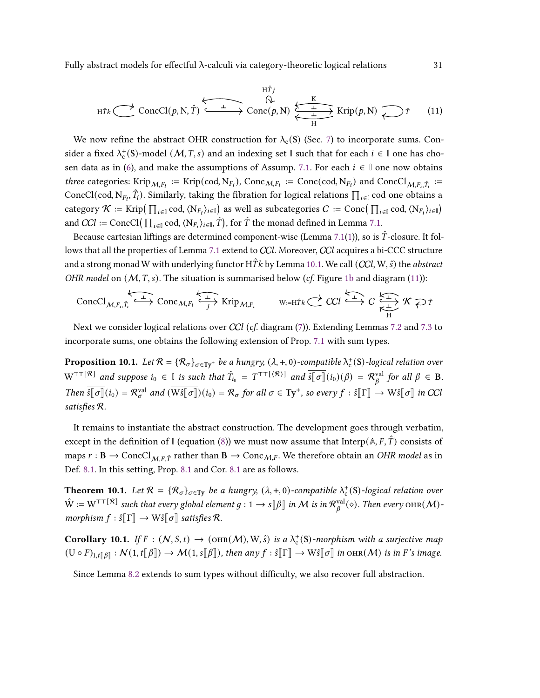Fully abstract models for effectful λ-calculi via category-theoretic logical relations 31

<span id="page-30-1"></span>
$$
H\hat{T}j
$$
\n
$$
H\hat{T}j
$$
\n
$$
\longleftrightarrow \text{ConcCl}(p, N, \hat{T}) \xrightarrow{\perp} \text{Conc}(p, N) \xleftarrow{\text{K}} \text{Krip}(p, N) \xrightarrow{\text{L}} \hat{T}
$$
\n
$$
(11)
$$

We now refine the abstract OHR construction for  $\lambda_c(S)$  (Sec. [7\)](#page-23-0) to incorporate sums. Consider a fixed  $\lambda_c^+(S)$ -model  $(M, T, s)$  and an indexing set  $\mathbb{I}$  such that for each  $i \in \mathbb{I}$  one has cho-sen data as in [\(6\)](#page-23-7), and make the assumptions of Assump. [7.1.](#page-23-3) For each  $i \in \mathbb{I}$  one now obtains *three* categories: Krip<sub>M,F<sub>i</sub></sub> := Krip(cod, N<sub>F<sub>i</sub></sub>), Conc<sub>M,F<sub>i</sub></sub> := Conc(cod, N<sub>F<sub>i</sub></sub>) and ConcCl<sub>M,F<sub>i</sub>, $\hat{T}_i$  :=</sub> ConcCl(cod, N<sub>F<sub>i</sub></sub>,  $\hat{T}_i$ ). Similarly, taking the fibration for logical relations  $\prod_{i\in\mathbb{I}}$  cod one obtains a  $\mathcal{R} := \text{Krip}(\prod_{i \in \mathbb{I}} \text{cod}, \langle N_{F_i} \rangle_{i \in \mathbb{I}})$  as well as subcategories  $C := \text{Conc}(\prod_{i \in \mathbb{I}} \text{cod}, \langle N_{F_i} \rangle_{i \in \mathbb{I}})$ and  $CCl := \text{ConcCl}(\prod_{i \in \mathbb{I}} \text{cod}, \langle N_{F_i} \rangle_{i \in \mathbb{I}}, \hat{T})$ , for  $\hat{T}$  the monad defined in Lemma [7.1.](#page-23-5)

Because cartesian liftings are determined component-wise (Lemma [7.1](#page-23-5)[\(1\)](#page-23-8)), so is  $\hat{T}$ -closure. It fol-lows that all the properties of Lemma [7.1](#page-23-5) extend to CCl. Moreover, CCl acquires a bi-CCC structure and a strong monad W with underlying functor  $H\hat{T}k$  by Lemma [10.1.](#page-29-2) We call (CCl, W,  $\hat{s}$ ) the abstract OHR model on  $(M, T, s)$ . The situation is summarised below (cf. Figure [1b](#page-5-0) and diagram [\(11\)](#page-30-1)):

$$
\text{ConcCl}_{M,F_i,\hat{T}_i} \xrightarrow{\perp} \text{Conc}_{M,F_i} \xleftarrow{\perp} \text{Krip}_{M,F_i} \qquad \text{w:=H\hat{T}k} \xleftarrow{\sim} \text{CCl} \xrightarrow{\perp} C \xleftarrow{\perp} \text{K} \text{C} \text{F} \text{F}
$$

Next we consider logical relations over CCl (cf. diagram  $(7)$ ). Extending Lemmas [7.2](#page-24-4) and [7.3](#page-24-0) to incorporate sums, one obtains the following extension of Prop. [7.1](#page-25-1) with sum types.

**Proposition 10.1.** Let  $\mathcal{R} = \{\mathcal{R}_{\sigma}\}_{\sigma \in \text{Ty}^+}$  be a hungry,  $(\lambda, +, 0)$ -compatible  $\lambda_c^+(S)$ -logical relation over  $W^{\top\top[\mathcal{R}]}$  and suppose  $i_0 \in \mathbb{I}$  is such that  $\hat{T}_{i_0} = T^{\top\top[\mathcal{R}]}$  and  $\overline{\hat{s}[\sigma]}(i_0)(\beta) = \mathcal{R}_{\beta}^{\text{val}}$  $\int_{\beta}^{\text{val}}$  for all  $\beta \in \mathbf{B}$ . Then  $\overline{\hat{s}[\sigma]}(i_0) = \mathcal{R}^{\text{val}}_{\sigma}$  and  $(\overline{\text{W}\hat{s}[\sigma]})(i_0) = \mathcal{R}_{\sigma}$  for all  $\sigma \in \text{Ty}^+$ , so every  $f : \hat{s}[\Gamma] \to \text{W}\hat{s}[\sigma]$  in CCl satisfies R.

It remains to instantiate the abstract construction. The development goes through verbatim, except in the definition of  $\mathbb{I}$  (equation [\(8\)](#page-26-0)) we must now assume that  $Interp(\mathbb{A}, F, \hat{T})$  consists of maps  $r : B \to \text{ConcCl}_{MF \hat{T}}$  rather than  $B \to \text{Conc}_{M,F}$ . We therefore obtain an *OHR model* as in Def. [8.1.](#page-26-3) In this setting, Prop. [8.1](#page-26-1) and Cor. [8.1](#page-26-2) are as follows.

**Theorem 10.1.** Let  $\mathcal{R} = \{\mathcal{R}_{\sigma}\}_{{\sigma} \in \mathrm{Ty}}$  be a hungry,  $(\lambda, +, 0)$ -compatible  $\lambda_c^+(S)$ -logical relation over  $\hat{W} := W^{\top\top[\mathcal{R}]}$  such that every global element  $g: 1 \to s[\![\beta]\!]$  in M is in  $\mathcal{R}^{\text{val}}_{\beta}$  $_{\beta}^{\mathrm{val}}(\diamond)$ . Then every  $\mathrm{OHR}(\mathcal{M})$ morphism  $f : \hat{s} \llbracket \Gamma \rrbracket \rightarrow W \hat{s} \llbracket \sigma \rrbracket$  satisfies  $\mathcal{R}$ .

**Corollary 10.1.** If  $F : (N, S, t) \to (\text{ORR}(M), W, \hat{s})$  is a  $\lambda_c^+(S)$ -morphism with a surjective map  $(U \circ F)_{1,t[\![\beta]\!]} : \mathcal{N}(1,t[\![\beta]\!]) \to \mathcal{M}(1,s[\![\beta]\!])$ , then any  $f : \hat{s}[\![\Gamma]\!] \to W\hat{s}[\![\sigma]\!]$  in  $\text{OR}(\mathcal{M})$  is in  $F$ 's image.

<span id="page-30-0"></span>Since Lemma [8.2](#page-27-2) extends to sum types without difficulty, we also recover full abstraction.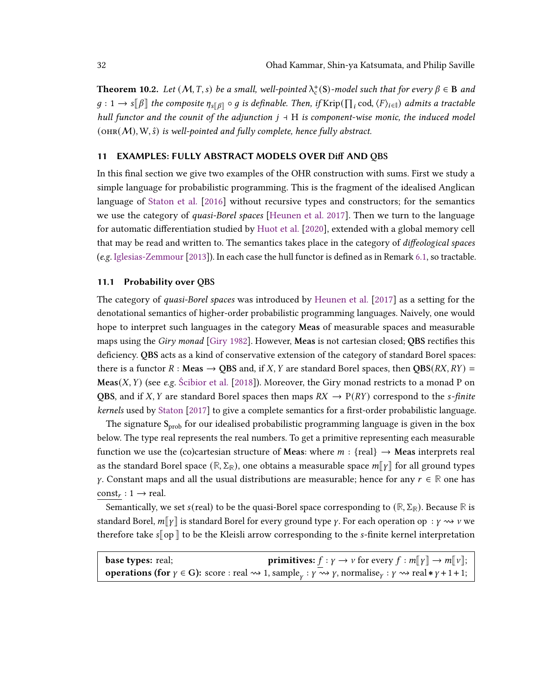**Theorem 10.2.** Let  $(M, T, s)$  be a small, well-pointed  $\lambda_c^+(S)$ -model such that for every  $\beta \in B$  and  $g: 1 \to s[\![\beta]\!]$  the composite  $\eta_{s[\![\beta]\!]} \circ g$  is definable. Then, if Krip $(\prod_i \text{cod}, \langle F \rangle_{i \in \mathbb{I}})$  admits a tractable hull functor and the counit of the adjunction  $j + H$  is component-wise monic, the induced model  $(OHR(M), W, \hat{s})$  is well-pointed and fully complete, hence fully abstract.

#### <span id="page-31-1"></span>11 EXAMPLES: FULLY ABSTRACT MODELS OVER Diff AND QBS

In this final section we give two examples of the OHR construction with sums. First we study a simple language for probabilistic programming. This is the fragment of the idealised Anglican language of [Staton et al.](#page-36-5) [\[2016\]](#page-36-5) without recursive types and constructors; for the semantics we use the category of *quasi-Borel spaces* [\[Heunen et al.](#page-34-4) [2017\]](#page-34-4). Then we turn to the language for automatic differentiation studied by [Huot et al.](#page-34-5) [\[2020\]](#page-34-5), extended with a global memory cell that may be read and written to. The semantics takes place in the category of *diffeological spaces* (e.g. [Iglesias-Zemmour](#page-34-6) [\[2013\]](#page-34-6)). In each case the hull functor is defined as in Remark [6.1,](#page-22-3) so tractable.

# <span id="page-31-0"></span>11.1 Probability over QBS

The category of quasi-Borel spaces was introduced by [Heunen et al.](#page-34-4) [\[2017\]](#page-34-4) as a setting for the denotational semantics of higher-order probabilistic programming languages. Naively, one would hope to interpret such languages in the category Meas of measurable spaces and measurable maps using the Giry monad [\[Giry](#page-34-18) [1982\]](#page-34-18). However, Meas is not cartesian closed; QBS rectifies this deficiency. QBS acts as a kind of conservative extension of the category of standard Borel spaces: there is a functor R : Meas  $\rightarrow$  QBS and, if X, Y are standard Borel spaces, then QBS(RX, RY) = Meas $(X, Y)$  (see e.g. [Ścibior et al.](#page-36-6) [\[2018\]](#page-36-6)). Moreover, the Giry monad restricts to a monad P on QBS, and if X, Y are standard Borel spaces then maps  $RX \rightarrow P(RY)$  correspond to the *s-finite* kernels used by [Staton](#page-36-7) [\[2017\]](#page-36-7) to give a complete semantics for a first-order probabilistic language.

The signature  $S_{prob}$  for our idealised probabilistic programming language is given in the box below. The type real represents the real numbers. To get a primitive representing each measurable function we use the (co)cartesian structure of **Meas**: where  $m : \{real\} \rightarrow$  **Meas** interprets real as the standard Borel space  $(\mathbb{R}, \Sigma_{\mathbb{R}})$ , one obtains a measurable space  $m||\gamma||$  for all ground types y. Constant maps and all the usual distributions are measurable; hence for any  $r \in \mathbb{R}$  one has  $const_r : 1 \rightarrow real$ .

Semantically, we set  $s$ (real) to be the quasi-Borel space corresponding to  $(\mathbb{R}, \Sigma_{\mathbb{R}})$ . Because  $\mathbb{R}$  is standard Borel,  $m||\gamma||$  is standard Borel for every ground type  $\gamma$ . For each operation op :  $\gamma \rightsquigarrow \nu$  we therefore take  $s$  op  $\parallel$  to be the Kleisli arrow corresponding to the s-finite kernel interpretation

| <b>base types:</b> real;                                                                                                                                                                                         | <b>primitives:</b> $f : \gamma \to \nu$ for every $f : m[\![\gamma]\!] \to m[\![\nu]\!];$ |
|------------------------------------------------------------------------------------------------------------------------------------------------------------------------------------------------------------------|-------------------------------------------------------------------------------------------|
| <b>operations (for</b> $\gamma \in G$ ): score : real $\rightsquigarrow$ 1, sample <sub>v</sub> : $\gamma \rightsquigarrow \gamma$ , normalise <sub>y</sub> : $\gamma \rightsquigarrow$ real $*\gamma + 1 + 1$ ; |                                                                                           |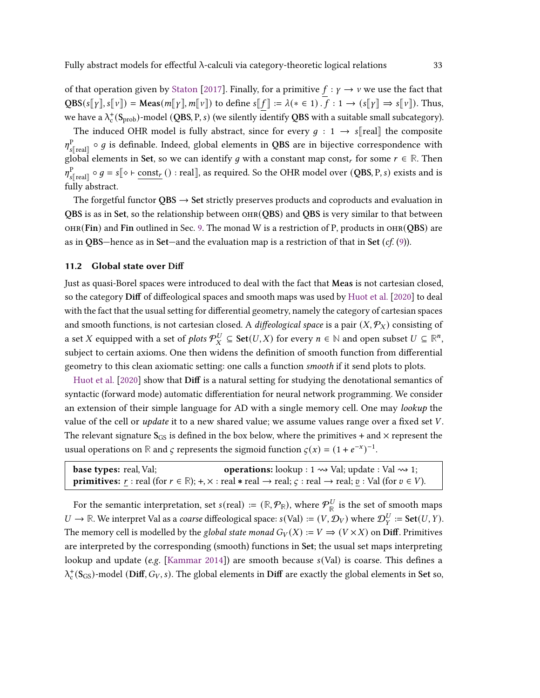of that operation given by [Staton](#page-36-7) [\[2017\]](#page-36-7). Finally, for a primitive  $f : \gamma \to \nu$  we use the fact that  $QBS(s[\![\gamma]\!], s[\![\nu]\!]) = \text{Meas}(m[\![\gamma]\!], m[\![\nu]\!])$  to define  $s[\![f]\!]: = \lambda(* \in 1) \cdot f : 1 \to (s[\![\gamma]\!]) \Rightarrow s[\![\nu]\!])$ . Thus, we have a  $\lambda_c^+$ (S<sub>prob</sub>)-model (QBS, P, s) (we silently identify QBS with a suitable small subcategory).

The induced OHR model is fully abstract, since for every  $q : 1 \rightarrow s$  real the composite  $n^{\rm P}$  $\frac{\text{P}}{\text{s} \parallel \text{real}}$   $\circ$   $g$  is definable. Indeed, global elements in QBS are in bijective correspondence with global elements in Set, so we can identify g with a constant map const<sub>r</sub> for some  $r \in \mathbb{R}$ . Then  $n^{\rm P}$  $F_{s[\text{real}]} \circ g = s[\diamond \vdash \underline{\text{const}}_r() : \text{real}],$  as required. So the OHR model over  $(QBS, P, s)$  exists and is fully abstract.

The forgetful functor  $QBS \rightarrow Set$  strictly preserves products and coproducts and evaluation in QBS is as in Set, so the relationship between  $OHR(QBS)$  and QBS is very similar to that between  $OHR(Fin)$  and Fin outlined in Sec. [9.](#page-27-0) The monad W is a restriction of P, products in  $OHR(OBS)$  are as in QBS—hence as in Set—and the evaluation map is a restriction of that in Set  $(cf. (9))$  $(cf. (9))$  $(cf. (9))$ .

# <span id="page-32-0"></span>11.2 Global state over Diff

Just as quasi-Borel spaces were introduced to deal with the fact that Meas is not cartesian closed, so the category Diff of diffeological spaces and smooth maps was used by [Huot et al.](#page-34-5) [\[2020\]](#page-34-5) to deal with the fact that the usual setting for differential geometry, namely the category of cartesian spaces and smooth functions, is not cartesian closed. A diffeological space is a pair  $(X, \mathcal{P}_X)$  consisting of a set  $X$  equipped with a set of  $plots \mathcal{P}_X^U \subseteq \mathsf{Set}(U,X)$  for every  $n \in \mathbb{N}$  and open subset  $U \subseteq \mathbb{R}^n$ , subject to certain axioms. One then widens the definition of smooth function from differential geometry to this clean axiomatic setting: one calls a function smooth if it send plots to plots.

[Huot et al.](#page-34-5) [\[2020\]](#page-34-5) show that Diff is a natural setting for studying the denotational semantics of syntactic (forward mode) automatic differentiation for neural network programming. We consider an extension of their simple language for AD with a single memory cell. One may lookup the value of the cell or *update* it to a new shared value; we assume values range over a fixed set  $V$ . The relevant signature  $S_{GS}$  is defined in the box below, where the primitives + and  $\times$  represent the usual operations on  $\mathbb R$  and  $\zeta$  represents the sigmoid function  $\zeta(x) = (1 + e^{-x})^{-1}$ .

| <b>base types:</b> real, Val; | <b>operations:</b> lookup : $1 \rightsquigarrow$ Val; update : Val $\rightsquigarrow$ 1;                                                                                 |
|-------------------------------|--------------------------------------------------------------------------------------------------------------------------------------------------------------------------|
|                               | <b>primitives:</b> r: real (for $r \in \mathbb{R}$ ); +, $\times$ : real $*$ real $\rightarrow$ real; $\varsigma$ : real $\rightarrow$ real; $v$ : Val (for $v \in V$ ). |

For the semantic interpretation, set  $s(\text{real}) := (\mathbb{R}, \mathcal{P}_{\mathbb{R}})$ , where  $\mathcal{P}_{\mathbb{R}}^{U}$  $\frac{dV}{dR}$  is the set of smooth maps  $U \to \mathbb{R}$ . We interpret Val as a *coarse* diffeological space:  $s(Val) := (V, \mathcal{D}_V)$  where  $\mathcal{D}_Y^U := \mathbf{Set}(U, Y)$ . The memory cell is modelled by the global state monad  $G_V(X) := V \implies (V \times X)$  on Diff. Primitives are interpreted by the corresponding (smooth) functions in Set; the usual set maps interpreting lookup and update (e.g. [\[Kammar](#page-34-19) [2014\]](#page-34-19)) are smooth because  $s(Val)$  is coarse. This defines a  $\lambda_c^+$ (S<sub>GS</sub>)-model (Diff, G<sub>V</sub>, s). The global elements in Diff are exactly the global elements in Set so,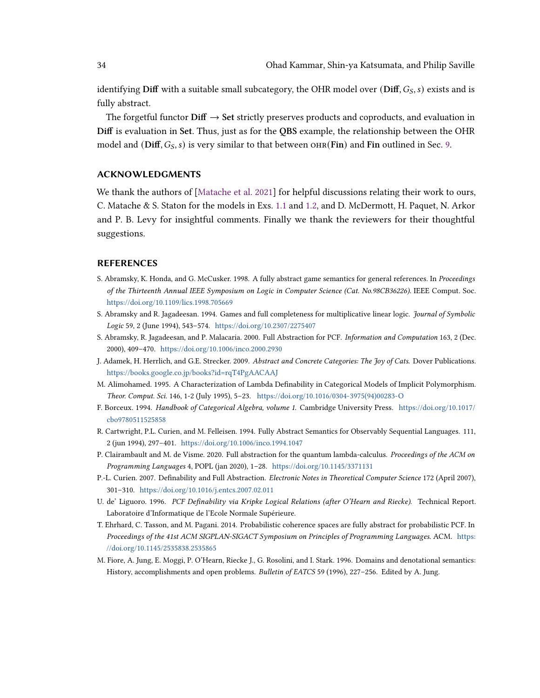identifying Diff with a suitable small subcategory, the OHR model over  $(Diff, G_S, s)$  exists and is fully abstract.

The forgetful functor  $\text{Diff} \rightarrow \text{Set}$  strictly preserves products and coproducts, and evaluation in Diff is evaluation in Set. Thus, just as for the QBS example, the relationship between the OHR model and (Diff,  $G_S$ , s) is very similar to that between OHR(Fin) and Fin outlined in Sec. [9.](#page-27-0)

# ACKNOWLEDGMENTS

We thank the authors of [\[Matache et al.](#page-35-11) [2021\]](#page-35-11) for helpful discussions relating their work to ours, C. Matache & S. Staton for the models in Exs. [1.1](#page-1-0) and [1.2,](#page-2-0) and D. McDermott, H. Paquet, N. Arkor and P. B. Levy for insightful comments. Finally we thank the reviewers for their thoughtful suggestions.

# **REFERENCES**

- <span id="page-33-2"></span>S. Abramsky, K. Honda, and G. McCusker. 1998. A fully abstract game semantics for general references. In Proceedings of the Thirteenth Annual IEEE Symposium on Logic in Computer Science (Cat. No.98CB36226). IEEE Comput. Soc. <https://doi.org/10.1109/lics.1998.705669>
- <span id="page-33-0"></span>S. Abramsky and R. Jagadeesan. 1994. Games and full completeness for multiplicative linear logic. Journal of Symbolic Logic 59, 2 (June 1994), 543–574. <https://doi.org/10.2307/2275407>
- <span id="page-33-3"></span>S. Abramsky, R. Jagadeesan, and P. Malacaria. 2000. Full Abstraction for PCF. Information and Computation 163, 2 (Dec. 2000), 409–470. <https://doi.org/10.1006/inco.2000.2930>
- <span id="page-33-10"></span>J. Adamek, H. Herrlich, and G.E. Strecker. 2009. Abstract and Concrete Categories: The Joy of Cats. Dover Publications. <https://books.google.co.jp/books?id=rqT4PgAACAAJ>
- <span id="page-33-8"></span>M. Alimohamed. 1995. A Characterization of Lambda Definability in Categorical Models of Implicit Polymorphism. Theor. Comput. Sci. 146, 1-2 (July 1995), 5–23. [https://doi.org/10.1016/0304-3975\(94\)00283-O](https://doi.org/10.1016/0304-3975(94)00283-O)
- <span id="page-33-11"></span>F. Borceux. 1994. Handbook of Categorical Algebra, volume 1. Cambridge University Press. [https://doi.org/10.1017/](https://doi.org/10.1017/cbo9780511525858) [cbo9780511525858](https://doi.org/10.1017/cbo9780511525858)
- <span id="page-33-6"></span>R. Cartwright, P.L. Curien, and M. Felleisen. 1994. Fully Abstract Semantics for Observably Sequential Languages. 111, 2 (jun 1994), 297–401. <https://doi.org/10.1006/inco.1994.1047>
- <span id="page-33-4"></span>P. Clairambault and M. de Visme. 2020. Full abstraction for the quantum lambda-calculus. Proceedings of the ACM on Programming Languages 4, POPL (jan 2020), 1–28. <https://doi.org/10.1145/3371131>
- <span id="page-33-9"></span>P.-L. Curien. 2007. Definability and Full Abstraction. Electronic Notes in Theoretical Computer Science 172 (April 2007), 301–310. <https://doi.org/10.1016/j.entcs.2007.02.011>
- <span id="page-33-1"></span>U. de' Liguoro. 1996. PCF Definability via Kripke Logical Relations (after O'Hearn and Riecke). Technical Report. Laboratoire d'Informatique de l'Ecole Normale Supérieure.
- <span id="page-33-7"></span>T. Ehrhard, C. Tasson, and M. Pagani. 2014. Probabilistic coherence spaces are fully abstract for probabilistic PCF. In Proceedings of the 41st ACM SIGPLAN-SIGACT Symposium on Principles of Programming Languages. ACM. [https:](https://doi.org/10.1145/2535838.2535865) [//doi.org/10.1145/2535838.2535865](https://doi.org/10.1145/2535838.2535865)
- <span id="page-33-5"></span>M. Fiore, A. Jung, E. Moggi, P. O'Hearn, Riecke J., G. Rosolini, and I. Stark. 1996. Domains and denotational semantics: History, accomplishments and open problems. Bulletin of EATCS 59 (1996), 227–256. Edited by A. Jung.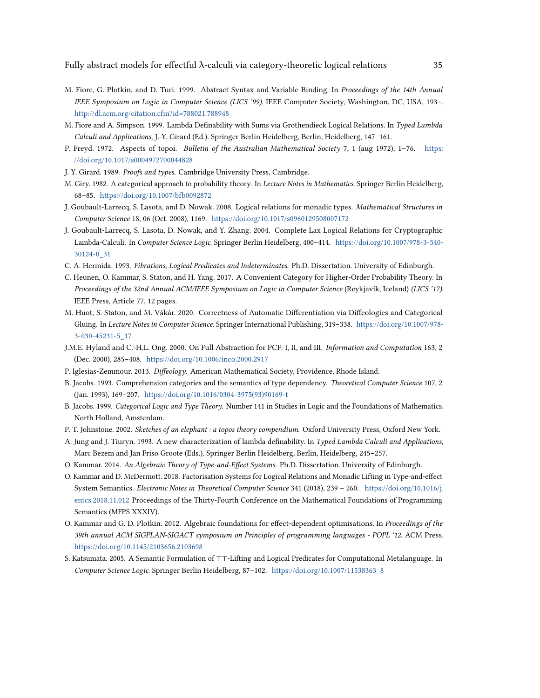Fully abstract models for effectful  $\lambda$ -calculi via category-theoretic logical relations  $35$ 

- <span id="page-34-13"></span>M. Fiore, G. Plotkin, and D. Turi. 1999. Abstract Syntax and Variable Binding. In Proceedings of the 14th Annual IEEE Symposium on Logic in Computer Science (LICS '99). IEEE Computer Society, Washington, DC, USA, 193–. <http://dl.acm.org/citation.cfm?id=788021.788948>
- <span id="page-34-7"></span>M. Fiore and A. Simpson. 1999. Lambda Definability with Sums via Grothendieck Logical Relations. In Typed Lambda Calculi and Applications, J.-Y. Girard (Ed.). Springer Berlin Heidelberg, Berlin, Heidelberg, 147–161.
- <span id="page-34-0"></span>P. Freyd. 1972. Aspects of topoi. Bulletin of the Australian Mathematical Society 7, 1 (aug 1972), 1–76. [https:](https://doi.org/10.1017/s0004972700044828) [//doi.org/10.1017/s0004972700044828](https://doi.org/10.1017/s0004972700044828)
- <span id="page-34-18"></span><span id="page-34-14"></span>J. Y. Girard. 1989. Proofs and types. Cambridge University Press, Cambridge.
- M. Giry. 1982. A categorical approach to probability theory. In Lecture Notes in Mathematics. Springer Berlin Heidelberg, 68–85. <https://doi.org/10.1007/bfb0092872>
- <span id="page-34-9"></span>J. Goubault-Larrecq, S. Lasota, and D. Nowak. 2008. Logical relations for monadic types. Mathematical Structures in Computer Science 18, 06 (Oct. 2008), 1169. <https://doi.org/10.1017/s0960129508007172>
- <span id="page-34-8"></span>J. Goubault-Larrecq, S. Lasota, D. Nowak, and Y. Zhang. 2004. Complete Lax Logical Relations for Cryptographic Lambda-Calculi. In Computer Science Logic. Springer Berlin Heidelberg, 400–414. [https://doi.org/10.1007/978-3-540-](https://doi.org/10.1007/978-3-540-30124-0_31) [30124-0\\_31](https://doi.org/10.1007/978-3-540-30124-0_31)
- <span id="page-34-4"></span><span id="page-34-2"></span>C. A. Hermida. 1993. Fibrations, Logical Predicates and Indeterminates. Ph.D. Dissertation. University of Edinburgh.
- C. Heunen, O. Kammar, S. Staton, and H. Yang. 2017. A Convenient Category for Higher-Order Probability Theory. In Proceedings of the 32nd Annual ACM/IEEE Symposium on Logic in Computer Science (Reykjavík, Iceland) (LICS '17). IEEE Press, Article 77, 12 pages.
- <span id="page-34-5"></span>M. Huot, S. Staton, and M. Vákár. 2020. Correctness of Automatic Differentiation via Diffeologies and Categorical Gluing. In Lecture Notes in Computer Science. Springer International Publishing, 319–338. [https://doi.org/10.1007/978-](https://doi.org/10.1007/978-3-030-45231-5_17) [3-030-45231-5\\_17](https://doi.org/10.1007/978-3-030-45231-5_17)
- <span id="page-34-10"></span>J.M.E. Hyland and C.-H.L. Ong. 2000. On Full Abstraction for PCF: I, II, and III. Information and Computation 163, 2 (Dec. 2000), 285–408. <https://doi.org/10.1006/inco.2000.2917>
- <span id="page-34-11"></span><span id="page-34-6"></span>P. Iglesias-Zemmour. 2013. Diffeology. American Mathematical Society, Providence, Rhode Island.
- B. Jacobs. 1993. Comprehension categories and the semantics of type dependency. Theoretical Computer Science 107, 2 (Jan. 1993), 169–207. [https://doi.org/10.1016/0304-3975\(93\)90169-t](https://doi.org/10.1016/0304-3975(93)90169-t)
- <span id="page-34-3"></span>B. Jacobs. 1999. Categorical Logic and Type Theory. Number 141 in Studies in Logic and the Foundations of Mathematics. North Holland, Amsterdam.
- <span id="page-34-17"></span>P. T. Johnstone. 2002. Sketches of an elephant : a topos theory compendium. Oxford University Press, Oxford New York.
- <span id="page-34-12"></span>A. Jung and J. Tiuryn. 1993. A new characterization of lambda definability. In Typed Lambda Calculi and Applications, Marc Bezem and Jan Friso Groote (Eds.). Springer Berlin Heidelberg, Berlin, Heidelberg, 245–257.
- <span id="page-34-19"></span><span id="page-34-16"></span>O. Kammar. 2014. An Algebraic Theory of Type-and-Effect Systems. Ph.D. Dissertation. University of Edinburgh.
- O. Kammar and D. McDermott. 2018. Factorisation Systems for Logical Relations and Monadic Lifting in Type-and-effect System Semantics. Electronic Notes in Theoretical Computer Science 341 (2018), 239 – 260. [https://doi.org/10.1016/j.](https://doi.org/10.1016/j.entcs.2018.11.012) [entcs.2018.11.012](https://doi.org/10.1016/j.entcs.2018.11.012) Proceedings of the Thirty-Fourth Conference on the Mathematical Foundations of Programming Semantics (MFPS XXXIV).
- <span id="page-34-15"></span>O. Kammar and G. D. Plotkin. 2012. Algebraic foundations for effect-dependent optimisations. In Proceedings of the 39th annual ACM SIGPLAN-SIGACT symposium on Principles of programming languages - POPL '12. ACM Press. <https://doi.org/10.1145/2103656.2103698>
- <span id="page-34-1"></span>S. Katsumata. 2005. A Semantic Formulation of ⊤⊤-Lifting and Logical Predicates for Computational Metalanguage. In Computer Science Logic. Springer Berlin Heidelberg, 87–102. [https://doi.org/10.1007/11538363\\_8](https://doi.org/10.1007/11538363_8)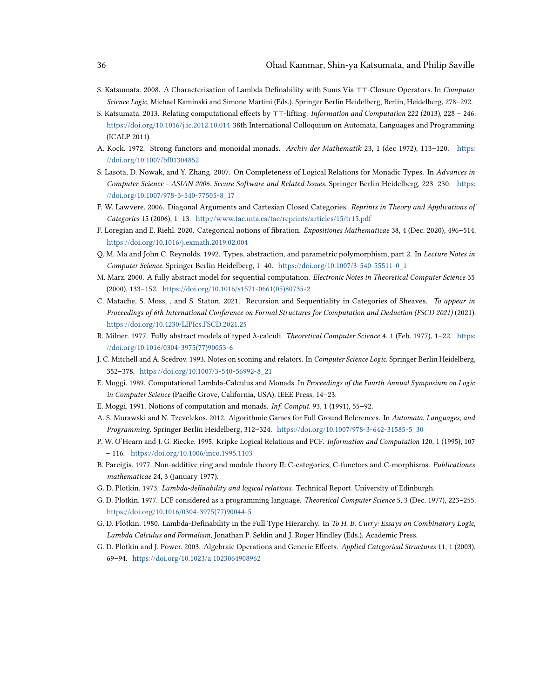- <span id="page-35-6"></span>S. Katsumata. 2008. A Characterisation of Lambda Definability with Sums Via ⊤⊤-Closure Operators. In Computer Science Logic, Michael Kaminski and Simone Martini (Eds.). Springer Berlin Heidelberg, Berlin, Heidelberg, 278–292.
- <span id="page-35-5"></span>S. Katsumata. 2013. Relating computational effects by ⊤⊤-lifting. Information and Computation 222 (2013), 228 – 246. <https://doi.org/10.1016/j.ic.2012.10.014> 38th International Colloquium on Automata, Languages and Programming (ICALP 2011).
- <span id="page-35-16"></span>A. Kock. 1972. Strong functors and monoidal monads. Archiv der Mathematik 23, 1 (dec 1972), 113–120. [https:](https://doi.org/10.1007/bf01304852) [//doi.org/10.1007/bf01304852](https://doi.org/10.1007/bf01304852)
- <span id="page-35-7"></span>S. Lasota, D. Nowak, and Y. Zhang. 2007. On Completeness of Logical Relations for Monadic Types. In Advances in Computer Science - ASIAN 2006. Secure Software and Related Issues. Springer Berlin Heidelberg, 223–230. [https:](https://doi.org/10.1007/978-3-540-77505-8_17) [//doi.org/10.1007/978-3-540-77505-8\\_17](https://doi.org/10.1007/978-3-540-77505-8_17)
- <span id="page-35-4"></span>F. W. Lawvere. 2006. Diagonal Arguments and Cartesian Closed Categories. Reprints in Theory and Applications of Categories 15 (2006), 1–13. <http://www.tac.mta.ca/tac/reprints/articles/15/tr15.pdf>
- <span id="page-35-17"></span>F. Loregian and E. Riehl. 2020. Categorical notions of fibration. Expositiones Mathematicae 38, 4 (Dec. 2020), 496–514. <https://doi.org/10.1016/j.exmath.2019.02.004>
- <span id="page-35-13"></span>Q. M. Ma and John C. Reynolds. 1992. Types, abstraction, and parametric polymorphism, part 2. In Lecture Notes in Computer Science. Springer Berlin Heidelberg, 1–40. [https://doi.org/10.1007/3-540-55511-0\\_1](https://doi.org/10.1007/3-540-55511-0_1)
- <span id="page-35-10"></span>M. Marz. 2000. A fully abstract model for sequential computation. Electronic Notes in Theoretical Computer Science 35 (2000), 133–152. [https://doi.org/10.1016/s1571-0661\(05\)80735-2](https://doi.org/10.1016/s1571-0661(05)80735-2)
- <span id="page-35-11"></span>C. Matache, S. Moss, , and S. Staton. 2021. Recursion and Sequentiality in Categories of Sheaves. To appear in Proceedings of 6th International Conference on Formal Structures for Computation and Deduction (FSCD 2021) (2021). <https://doi.org/10.4230/LIPIcs.FSCD.2021.25>
- <span id="page-35-8"></span>R. Milner. 1977. Fully abstract models of typed λ-calculi. Theoretical Computer Science 4, 1 (Feb. 1977), 1–22. [https:](https://doi.org/10.1016/0304-3975(77)90053-6) [//doi.org/10.1016/0304-3975\(77\)90053-6](https://doi.org/10.1016/0304-3975(77)90053-6)
- <span id="page-35-14"></span>J. C. Mitchell and A. Scedrov. 1993. Notes on sconing and relators. In Computer Science Logic. Springer Berlin Heidelberg, 352–378. [https://doi.org/10.1007/3-540-56992-8\\_21](https://doi.org/10.1007/3-540-56992-8_21)
- <span id="page-35-0"></span>E. Moggi. 1989. Computational Lambda-Calculus and Monads. In Proceedings of the Fourth Annual Symposium on Logic in Computer Science (Pacific Grove, California, USA). IEEE Press, 14–23.
- <span id="page-35-1"></span>E. Moggi. 1991. Notions of computation and monads. Inf. Comput. 93, 1 (1991), 55–92.
- <span id="page-35-9"></span>A. S. Murawski and N. Tzevelekos. 2012. Algorithmic Games for Full Ground References. In Automata, Languages, and Programming. Springer Berlin Heidelberg, 312–324. [https://doi.org/10.1007/978-3-642-31585-5\\_30](https://doi.org/10.1007/978-3-642-31585-5_30)
- <span id="page-35-2"></span>P. W. O'Hearn and J. G. Riecke. 1995. Kripke Logical Relations and PCF. Information and Computation 120, 1 (1995), 107 – 116. <https://doi.org/10.1006/inco.1995.1103>
- <span id="page-35-19"></span>B. Pareigis. 1977. Non-additive ring and module theory II: C-categories, C-functors and C-morphisms. Publicationes mathematicae 24, 3 (January 1977).
- <span id="page-35-12"></span><span id="page-35-3"></span>G. D. Plotkin. 1973. Lambda-definability and logical relations. Technical Report. University of Edinburgh.
- G. D. Plotkin. 1977. LCF considered as a programming language. Theoretical Computer Science 5, 3 (Dec. 1977), 223–255. [https://doi.org/10.1016/0304-3975\(77\)90044-5](https://doi.org/10.1016/0304-3975(77)90044-5)
- <span id="page-35-18"></span>G. D. Plotkin. 1980. Lambda-Definability in the Full Type Hierarchy. In To H. B. Curry: Essays on Combinatory Logic, Lambda Calculus and Formalism, Jonathan P. Seldin and J. Roger Hindley (Eds.). Academic Press.
- <span id="page-35-15"></span>G. D. Plotkin and J. Power. 2003. Algebraic Operations and Generic Effects. Applied Categorical Structures 11, 1 (2003), 69–94. <https://doi.org/10.1023/a:1023064908962>